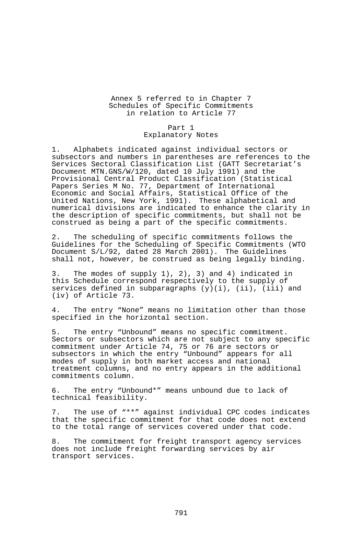# Annex 5 referred to in Chapter 7 Schedules of Specific Commitments in relation to Article 77

### Part 1

## Explanatory Notes

1. Alphabets indicated against individual sectors or subsectors and numbers in parentheses are references to the Services Sectoral Classification List (GATT Secretariat's Document MTN.GNS/W/120, dated 10 July 1991) and the Provisional Central Product Classification (Statistical Papers Series M No. 77, Department of International Economic and Social Affairs, Statistical Office of the United Nations, New York, 1991). These alphabetical and numerical divisions are indicated to enhance the clarity in the description of specific commitments, but shall not be construed as being a part of the specific commitments.

2. The scheduling of specific commitments follows the Guidelines for the Scheduling of Specific Commitments (WTO Document S/L/92, dated 28 March 2001). The Guidelines shall not, however, be construed as being legally binding.

3. The modes of supply 1), 2), 3) and 4) indicated in this Schedule correspond respectively to the supply of services defined in subparagraphs  $(y)(i)$ , (ii), (iii) and (iv) of Article 73.

4. The entry "None" means no limitation other than those specified in the horizontal section.

5. The entry "Unbound" means no specific commitment. Sectors or subsectors which are not subject to any specific commitment under Article 74, 75 or 76 are sectors or subsectors in which the entry "Unbound" appears for all modes of supply in both market access and national treatment columns, and no entry appears in the additional commitments column.

6. The entry "Unbound\*" means unbound due to lack of technical feasibility.

7. The use of "\*\*" against individual CPC codes indicates that the specific commitment for that code does not extend to the total range of services covered under that code.

8. The commitment for freight transport agency services does not include freight forwarding services by air transport services.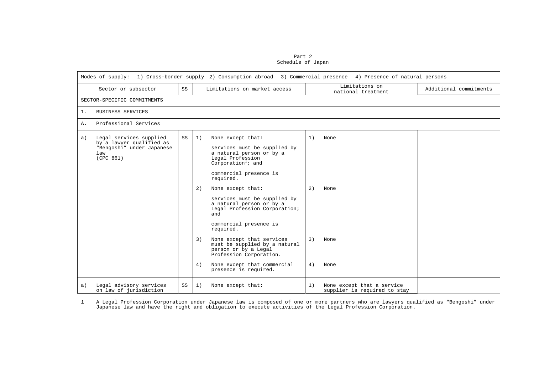Part 2 Schedule of Japan

|    | Modes of supply: 1) Cross-border supply 2) Consumption abroad 3) Commercial presence 4) Presence of natural persons |    |                |                                                                                                                                                                                                                                                                                                                                                                                                          |                |                                                            |                        |  |  |  |  |  |
|----|---------------------------------------------------------------------------------------------------------------------|----|----------------|----------------------------------------------------------------------------------------------------------------------------------------------------------------------------------------------------------------------------------------------------------------------------------------------------------------------------------------------------------------------------------------------------------|----------------|------------------------------------------------------------|------------------------|--|--|--|--|--|
|    | Sector or subsector                                                                                                 | SS |                | Limitations on market access                                                                                                                                                                                                                                                                                                                                                                             |                | Limitations on<br>national treatment                       | Additional commitments |  |  |  |  |  |
|    | SECTOR-SPECIFIC COMMITMENTS                                                                                         |    |                |                                                                                                                                                                                                                                                                                                                                                                                                          |                |                                                            |                        |  |  |  |  |  |
| 1. | <b>BUSINESS SERVICES</b>                                                                                            |    |                |                                                                                                                                                                                                                                                                                                                                                                                                          |                |                                                            |                        |  |  |  |  |  |
| Α. | Professional Services                                                                                               |    |                |                                                                                                                                                                                                                                                                                                                                                                                                          |                |                                                            |                        |  |  |  |  |  |
| a) | Legal services supplied<br>by a lawyer qualified as<br>"Bengoshi" under Japanese<br>law<br>(CPC 861)                | SS | 1)<br>2)<br>3) | None except that:<br>services must be supplied by<br>a natural person or by a<br>Legal Profession<br>Corporation <sup>1</sup> ; and<br>commercial presence is<br>required.<br>None except that:<br>services must be supplied by<br>a natural person or by a<br>Legal Profession Corporation;<br>and<br>commercial presence is<br>required.<br>None except that services<br>must be supplied by a natural | 1)<br>2)<br>3) | None<br>None<br>None                                       |                        |  |  |  |  |  |
|    |                                                                                                                     |    | 4)             | person or by a Legal<br>Profession Corporation.<br>None except that commercial<br>presence is required.                                                                                                                                                                                                                                                                                                  | 4)             | None                                                       |                        |  |  |  |  |  |
| a) | Legal advisory services<br>on law of jurisdiction                                                                   | SS | 1)             | None except that:                                                                                                                                                                                                                                                                                                                                                                                        | 1)             | None except that a service<br>supplier is required to stay |                        |  |  |  |  |  |

<span id="page-1-0"></span>A Legal Profession Corporation under Japanese law is composed of one or more partners who are lawyers qualified as "Bengoshi" under<br>Japanese law and have the right and obligation to execute activities of the Legal Professi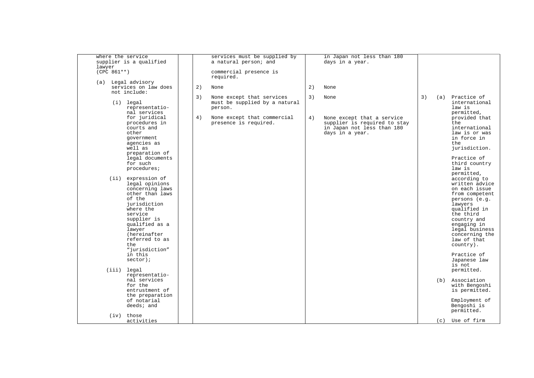| where the service<br>supplier is a qualified<br>lawyer                                                                                                                                                                                         |    | services must be supplied by<br>a natural person; and |    | in Japan not less than 180<br>days in a year.                                                               |    |     |                                                                                                                                                                                                                                         |
|------------------------------------------------------------------------------------------------------------------------------------------------------------------------------------------------------------------------------------------------|----|-------------------------------------------------------|----|-------------------------------------------------------------------------------------------------------------|----|-----|-----------------------------------------------------------------------------------------------------------------------------------------------------------------------------------------------------------------------------------------|
| $(CPC 861**)$                                                                                                                                                                                                                                  |    | commercial presence is<br>required.                   |    |                                                                                                             |    |     |                                                                                                                                                                                                                                         |
| (a) Legal advisory<br>services on law does                                                                                                                                                                                                     | 2) | None                                                  | 2) | None                                                                                                        |    |     |                                                                                                                                                                                                                                         |
| not include:                                                                                                                                                                                                                                   | 3) | None except that services                             | 3) | None                                                                                                        | 3) | (a) | Practice of                                                                                                                                                                                                                             |
| $(i)$ legal<br>representatio-<br>nal services                                                                                                                                                                                                  |    | must be supplied by a natural<br>person.              |    |                                                                                                             |    |     | international<br>law is<br>permitted,                                                                                                                                                                                                   |
| for juridical<br>procedures in<br>courts and<br>other<br>government<br>agencies as<br>well as                                                                                                                                                  | 4) | None except that commercial<br>presence is required.  | 4) | None except that a service<br>supplier is required to stay<br>in Japan not less than 180<br>days in a year. |    |     | provided that<br>t.he<br>international<br>law is or was<br>in force in<br>t.he<br>jurisdiction.                                                                                                                                         |
| preparation of<br>legal documents<br>for such<br>procedures;                                                                                                                                                                                   |    |                                                       |    |                                                                                                             |    |     | Practice of<br>third country<br>law is<br>permitted,                                                                                                                                                                                    |
| (ii) expression of<br>legal opinions<br>concerning laws<br>other than laws<br>of the<br>jurisdiction<br>where the<br>service<br>supplier is<br>qualified as a<br>lawyer<br>(hereinafter<br>referred to as<br>t.he<br>"jurisdiction"<br>in this |    |                                                       |    |                                                                                                             |    |     | according to<br>written advice<br>on each issue<br>from competent<br>persons (e.g.<br>lawyers<br>qualified in<br>the third<br>country and<br>engaging in<br>legal business<br>concerning the<br>law of that<br>country).<br>Practice of |
| $sector)$ ;<br>(iii) legal                                                                                                                                                                                                                     |    |                                                       |    |                                                                                                             |    |     | Japanese law<br>is not<br>permitted.                                                                                                                                                                                                    |
| representatio-<br>nal services<br>for the<br>entrustment of<br>the preparation                                                                                                                                                                 |    |                                                       |    |                                                                                                             |    | (b) | Association<br>with Bengoshi<br>is permitted.                                                                                                                                                                                           |
| of notarial<br>deeds; and<br>(iv) those                                                                                                                                                                                                        |    |                                                       |    |                                                                                                             |    |     | Employment of<br>Bengoshi is<br>permitted.                                                                                                                                                                                              |
| activities                                                                                                                                                                                                                                     |    |                                                       |    |                                                                                                             |    |     | (c) Use of firm                                                                                                                                                                                                                         |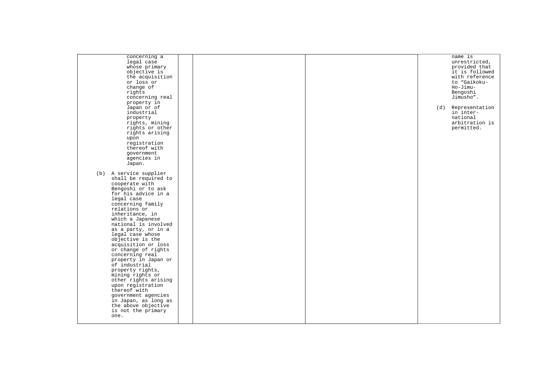| concerning a<br>legal case<br>whose primary<br>objective is<br>the acquisition<br>or loss or<br>change of<br>rights<br>concerning real<br>property in                                                                                                                                                                                                                                                                                                                                                                                                                                                             |  |  | name is<br>unrestricted,<br>provided that<br>it is followed<br>with reference<br>to "Gaikoku-<br>Ho-Jimu-<br>Bengoshi<br>Jimusho". |
|-------------------------------------------------------------------------------------------------------------------------------------------------------------------------------------------------------------------------------------------------------------------------------------------------------------------------------------------------------------------------------------------------------------------------------------------------------------------------------------------------------------------------------------------------------------------------------------------------------------------|--|--|------------------------------------------------------------------------------------------------------------------------------------|
| Japan or of<br>industrial<br>property<br>rights, mining<br>rights or other<br>rights arising<br>upon<br>registration<br>thereof with<br>qovernment<br>agencies in<br>Japan.                                                                                                                                                                                                                                                                                                                                                                                                                                       |  |  | (d) Representation<br>in inter-<br>national<br>arbitration is<br>permitted.                                                        |
| (b) A service supplier<br>shall be required to<br>cooperate with<br>Bengoshi or to ask<br>for his advice in a<br>legal case<br>concerning family<br>relations or<br>inheritance, in<br>which a Japanese<br>national is involved<br>as a party, or in a<br>legal case whose<br>objective is the<br>acquisition or loss<br>or change of rights<br>concerning real<br>property in Japan or<br>of industrial<br>property rights,<br>mining rights or<br>other rights arising<br>upon registration<br>thereof with<br>government agencies<br>in Japan, as long as<br>the above objective<br>is not the primary<br>one. |  |  |                                                                                                                                    |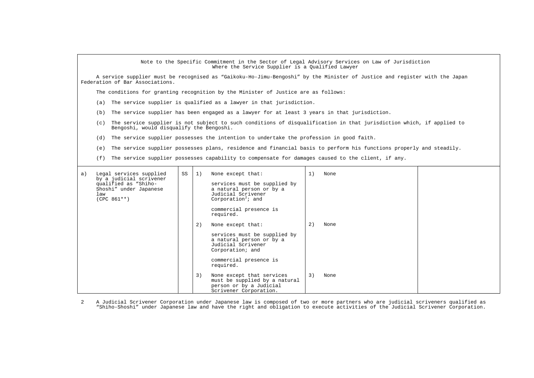|    | Note to the Specific Commitment in the Sector of Legal Advisory Services on Law of Jurisdiction<br>Where the Service Supplier is a Oualified Lawyer                                                                                                                     |    |                |                                                                                                                                                                                                                                                                                                                                                                             |                |                      |  |  |  |  |  |
|----|-------------------------------------------------------------------------------------------------------------------------------------------------------------------------------------------------------------------------------------------------------------------------|----|----------------|-----------------------------------------------------------------------------------------------------------------------------------------------------------------------------------------------------------------------------------------------------------------------------------------------------------------------------------------------------------------------------|----------------|----------------------|--|--|--|--|--|
|    | A service supplier must be recognised as "Gaikoku-Ho-Jimu-Bengoshi" by the Minister of Justice and register with the Japan<br>Federation of Bar Associations.                                                                                                           |    |                |                                                                                                                                                                                                                                                                                                                                                                             |                |                      |  |  |  |  |  |
|    | The conditions for granting recognition by the Minister of Justice are as follows:                                                                                                                                                                                      |    |                |                                                                                                                                                                                                                                                                                                                                                                             |                |                      |  |  |  |  |  |
|    | The service supplier is qualified as a lawyer in that jurisdiction.<br>(a)                                                                                                                                                                                              |    |                |                                                                                                                                                                                                                                                                                                                                                                             |                |                      |  |  |  |  |  |
|    | (b)                                                                                                                                                                                                                                                                     |    |                |                                                                                                                                                                                                                                                                                                                                                                             |                |                      |  |  |  |  |  |
|    | The service supplier has been engaged as a lawyer for at least 3 years in that jurisdiction.<br>The service supplier is not subject to such conditions of disqualification in that jurisdiction which, if applied to<br>(c)<br>Bengoshi, would disqualify the Bengoshi. |    |                |                                                                                                                                                                                                                                                                                                                                                                             |                |                      |  |  |  |  |  |
|    |                                                                                                                                                                                                                                                                         |    |                | (d) The service supplier possesses the intention to undertake the profession in good faith.                                                                                                                                                                                                                                                                                 |                |                      |  |  |  |  |  |
|    | (e)                                                                                                                                                                                                                                                                     |    |                | The service supplier possesses plans, residence and financial basis to perform his functions properly and steadily.                                                                                                                                                                                                                                                         |                |                      |  |  |  |  |  |
|    | (f)                                                                                                                                                                                                                                                                     |    |                | The service supplier possesses capability to compensate for damages caused to the client, if any.                                                                                                                                                                                                                                                                           |                |                      |  |  |  |  |  |
| a) | Legal services supplied<br>by a judicial scrivener<br>qualified as "Shiho-<br>Shoshi" under Japanese<br>law<br>$(CPC 861**)$                                                                                                                                            | SS | 1)<br>2)<br>3) | None except that:<br>services must be supplied by<br>a natural person or by a<br>Judicial Scrivener<br>Corporation <sup>2</sup> ; and<br>commercial presence is<br>required.<br>None except that:<br>services must be supplied by<br>a natural person or by a<br>Judicial Scrivener<br>Corporation; and<br>commercial presence is<br>required.<br>None except that services | 1)<br>2)<br>3) | None<br>None<br>None |  |  |  |  |  |
|    |                                                                                                                                                                                                                                                                         |    |                | must be supplied by a natural<br>person or by a Judicial<br>Scrivener Corporation.                                                                                                                                                                                                                                                                                          |                |                      |  |  |  |  |  |

<span id="page-4-0"></span>A Judicial Scrivener Corporation under Japanese law is composed of two or more partners who are judicial scriveners qualified as<br>Shiho-Shoshi" under Japanese law and have the right and obligation to execute activities of t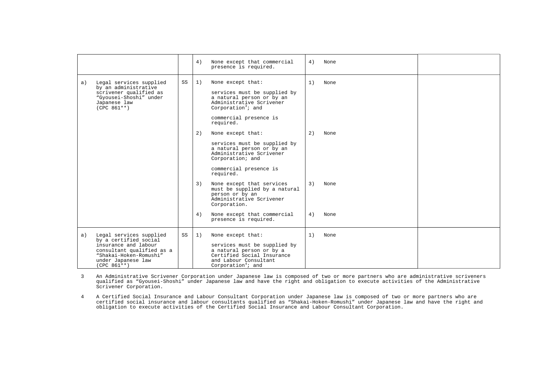|    |                                                                                                                                                                        |    | 4)       | None except that commercial<br>presence is required.                                                                                                                                | 4)       | None         |  |
|----|------------------------------------------------------------------------------------------------------------------------------------------------------------------------|----|----------|-------------------------------------------------------------------------------------------------------------------------------------------------------------------------------------|----------|--------------|--|
| a) | Legal services supplied<br>by an administrative<br>scrivener qualified as<br>"Gyousei-Shoshi" under<br>Japanese law<br>$(CPC 861**)$                                   | SS | 1)       | None except that:<br>services must be supplied by<br>a natural person or by an<br>Administrative Scrivener<br>Corporation <sup>3</sup> ; and<br>commercial presence is<br>required. | 1)       | None         |  |
|    |                                                                                                                                                                        |    | 2)       | None except that:<br>services must be supplied by<br>a natural person or by an<br>Administrative Scrivener<br>Corporation; and<br>commercial presence is<br>required.               | 2)       | None         |  |
|    |                                                                                                                                                                        |    | 3)<br>4) | None except that services<br>must be supplied by a natural<br>person or by an<br>Administrative Scrivener<br>Corporation.<br>None except that commercial                            | 3)<br>4) | None<br>None |  |
|    |                                                                                                                                                                        |    |          | presence is required.                                                                                                                                                               |          |              |  |
| a) | Legal services supplied<br>by a certified social<br>insurance and labour<br>consultant qualified as a<br>"Shakai-Hoken-Romushi"<br>under Japanese law<br>$(CPC 861**)$ | SS | 1)       | None except that:<br>services must be supplied by<br>a natural person or by a<br>Certified Social Insurance<br>and Labour Consultant<br>Corporation <sup>4</sup> ; and              | 1)       | None         |  |

<span id="page-5-0"></span>An Administrative Scrivener Corporation under Japanese law is composed of two or more partners who are administrative scriveners<br>qualified as "Gyousei-Shoshi" under Japanese law and have the right and obligation to execute Scrivener Corporation.

<span id="page-5-1"></span>4 A Certified Social Insurance and Labour Consultant Corporation under Japanese law is composed of two or more partners who are certified social insurance and labour consultants qualified as "Shakai-Hoken-Romushi" under Japanese law and have the right and obligation to execute activities of the Certified Social Insurance and Labour Consultant Corporation.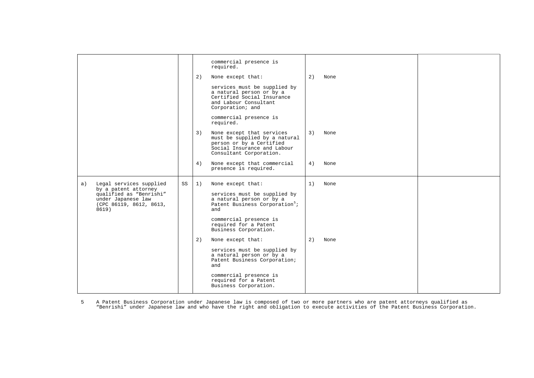|       |                                                                                                  |    |    | commercial presence is<br>required.                                                                                                              |    |      |  |
|-------|--------------------------------------------------------------------------------------------------|----|----|--------------------------------------------------------------------------------------------------------------------------------------------------|----|------|--|
|       |                                                                                                  |    | 2) | None except that:                                                                                                                                | 2) | None |  |
|       |                                                                                                  |    |    | services must be supplied by<br>a natural person or by a<br>Certified Social Insurance<br>and Labour Consultant<br>Corporation; and              |    |      |  |
|       |                                                                                                  |    |    | commercial presence is<br>required.                                                                                                              |    |      |  |
|       |                                                                                                  |    | 3) | None except that services<br>must be supplied by a natural<br>person or by a Certified<br>Social Insurance and Labour<br>Consultant Corporation. | 3) | None |  |
|       |                                                                                                  |    | 4) | None except that commercial<br>presence is required.                                                                                             | 4) | None |  |
| a)    | Legal services supplied                                                                          | SS | 1) | None except that:                                                                                                                                | 1) | None |  |
| 8619) | by a patent attorney<br>qualified as "Benrishi"<br>under Japanese law<br>(CPC 86119, 8612, 8613, |    |    | services must be supplied by<br>a natural person or by a<br>Patent Business Corporation <sup>5</sup> ;<br>and                                    |    |      |  |
|       |                                                                                                  |    |    | commercial presence is<br>required for a Patent<br>Business Corporation.                                                                         |    |      |  |
|       |                                                                                                  |    | 2) | None except that:                                                                                                                                | 2) | None |  |
|       |                                                                                                  |    |    | services must be supplied by<br>a natural person or by a<br>Patent Business Corporation;<br>and                                                  |    |      |  |
|       |                                                                                                  |    |    | commercial presence is<br>required for a Patent<br>Business Corporation.                                                                         |    |      |  |

<span id="page-6-0"></span>A Patent Business Corporation under Japanese law is composed of two or more partners who are patent attorneys qualified as<br>Penrishi″ under Japanese law and who have the right and obligation to execute activities of the Pat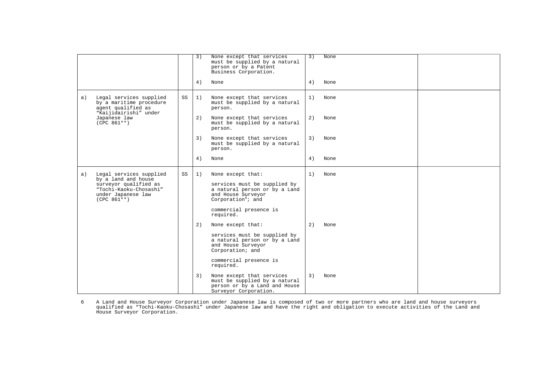|    |                                                                                                   |    | 3) | None except that services<br>must be supplied by a natural<br>person or by a Patent<br>Business Corporation.          | 3) | None |  |
|----|---------------------------------------------------------------------------------------------------|----|----|-----------------------------------------------------------------------------------------------------------------------|----|------|--|
|    |                                                                                                   |    | 4) | None                                                                                                                  | 4) | None |  |
| a) | Legal services supplied<br>by a maritime procedure<br>agent qualified as<br>"Kaijidairishi" under | SS | 1) | None except that services<br>must be supplied by a natural<br>person.                                                 | 1) | None |  |
|    | Japanese law<br>$(CPC 861**)$                                                                     |    | 2) | None except that services<br>must be supplied by a natural<br>person.                                                 | 2) | None |  |
|    |                                                                                                   |    | 3) | None except that services<br>must be supplied by a natural<br>person.                                                 | 3) | None |  |
|    |                                                                                                   |    | 4) | None                                                                                                                  | 4) | None |  |
| a) | Legal services supplied<br>by a land and house                                                    | SS | 1) | None except that:                                                                                                     | 1) | None |  |
|    | surveyor qualified as<br>"Tochi-Kaoku-Chosashi"<br>under Japanese law<br>$(CPC 861**)$            |    |    | services must be supplied by<br>a natural person or by a Land<br>and House Surveyor<br>Corporation <sup>6</sup> ; and |    |      |  |
|    |                                                                                                   |    |    | commercial presence is<br>required.                                                                                   |    |      |  |
|    |                                                                                                   |    | 2) | None except that:                                                                                                     | 2) | None |  |
|    |                                                                                                   |    |    | services must be supplied by<br>a natural person or by a Land<br>and House Surveyor<br>Corporation; and               |    |      |  |
|    |                                                                                                   |    |    | commercial presence is<br>required.                                                                                   |    |      |  |
|    |                                                                                                   |    | 3) | None except that services<br>must be supplied by a natural<br>person or by a Land and House<br>Surveyor Corporation.  | 3) | None |  |

<span id="page-7-0"></span>A Land and House Surveyor Corporation under Japanese law is composed of two or more partners who are land and house surveyors<br>qualified as "Tochi-Kaoku-Chosashi" under Japanese law and have the right and obligation to exec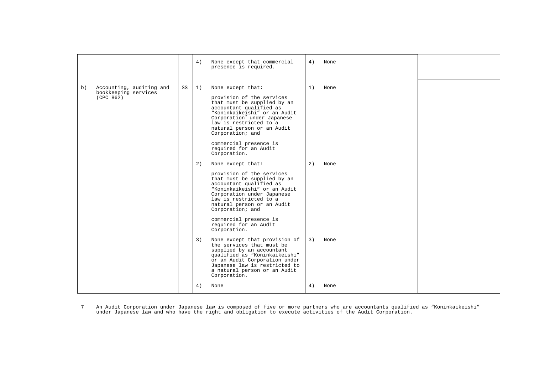|                                                                     |    | None except that commercial<br>4)<br>presence is required.                                                                                                                                                                                                                                                                               | 4) | None |  |
|---------------------------------------------------------------------|----|------------------------------------------------------------------------------------------------------------------------------------------------------------------------------------------------------------------------------------------------------------------------------------------------------------------------------------------|----|------|--|
| Accounting, auditing and<br>b)<br>bookkeeping services<br>(CPC 862) | SS | 1)<br>None except that:<br>provision of the services<br>that must be supplied by an<br>accountant qualified as<br>"Koninkaikeishi" or an Audit<br>Corporation <sup>7</sup> under Japanese<br>law is restricted to a<br>natural person or an Audit<br>Corporation; and<br>commercial presence is<br>required for an Audit<br>Corporation. | 1) | None |  |
|                                                                     |    | None except that:<br>2)<br>provision of the services<br>that must be supplied by an<br>accountant qualified as<br>"Koninkaikeishi" or an Audit<br>Corporation under Japanese<br>law is restricted to a<br>natural person or an Audit<br>Corporation; and<br>commercial presence is<br>required for an Audit<br>Corporation.              | 2) | None |  |
|                                                                     |    | None except that provision of<br>3)<br>the services that must be<br>supplied by an accountant<br>qualified as "Koninkaikeishi"<br>or an Audit Corporation under<br>Japanese law is restricted to<br>a natural person or an Audit<br>Corporation.                                                                                         | 3) | None |  |
|                                                                     |    | 4)<br>None                                                                                                                                                                                                                                                                                                                               | 4) | None |  |

<span id="page-8-0"></span>An Audit Corporation under Japanese law is composed of five or more partners who are accountants qualified as "Koninkaikeishi"<br>under Japanese law and who have the right and obligation to execute activities of the Audit Cor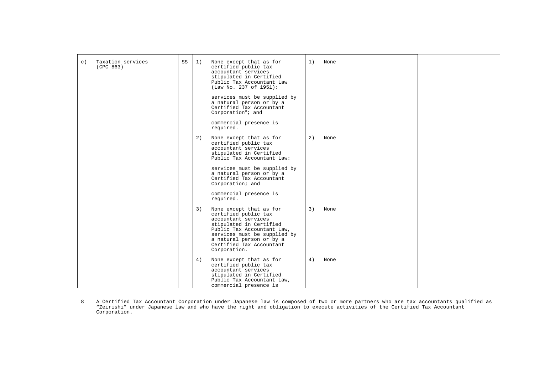| $\circ$ ) | Taxation services<br>(CPC 863) | SS | 1) | None except that as for<br>certified public tax<br>accountant services<br>stipulated in Certified<br>Public Tax Accountant Law<br>(Law No. 237 of 1951):                                                                                | 1) | None |  |
|-----------|--------------------------------|----|----|-----------------------------------------------------------------------------------------------------------------------------------------------------------------------------------------------------------------------------------------|----|------|--|
|           |                                |    |    | services must be supplied by<br>a natural person or by a<br>Certified Tax Accountant<br>Corporation <sup>8</sup> ; and                                                                                                                  |    |      |  |
|           |                                |    |    | commercial presence is<br>required.                                                                                                                                                                                                     |    |      |  |
|           |                                |    | 2) | None except that as for<br>certified public tax<br>accountant services<br>stipulated in Certified<br>Public Tax Accountant Law:                                                                                                         | 2) | None |  |
|           |                                |    |    | services must be supplied by<br>a natural person or by a<br>Certified Tax Accountant<br>Corporation; and                                                                                                                                |    |      |  |
|           |                                |    |    | commercial presence is<br>required.                                                                                                                                                                                                     |    |      |  |
|           |                                |    | 3) | None except that as for<br>certified public tax<br>accountant services<br>stipulated in Certified<br>Public Tax Accountant Law,<br>services must be supplied by<br>a natural person or by a<br>Certified Tax Accountant<br>Corporation. | 3) | None |  |
|           |                                |    | 4) | None except that as for<br>certified public tax<br>accountant services<br>stipulated in Certified<br>Public Tax Accountant Law,<br>commercial presence is                                                                               | 4) | None |  |

<span id="page-9-0"></span>A Certified Tax Accountant Corporation under Japanese law is composed of two or more partners who are tax accountants qualified as<br>"Zeirishi" under Japanese law and who have the right and obligation to execute activities o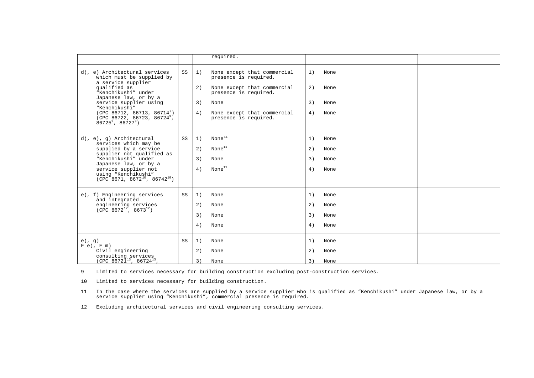|                                                                                                                                                                                             |    |                | required.                                                                                                            |                |                      |  |
|---------------------------------------------------------------------------------------------------------------------------------------------------------------------------------------------|----|----------------|----------------------------------------------------------------------------------------------------------------------|----------------|----------------------|--|
| d), e) Architectural services<br>which must be supplied by<br>a service supplier<br>qualified as<br>"Kenchikushi" under<br>Japanese law, or by a<br>service supplier using<br>"Kenchikushi" | SS | 1)<br>2)<br>3) | None except that commercial<br>presence is required.<br>None except that commercial<br>presence is required.<br>None | 1)<br>2)<br>3) | None<br>None<br>None |  |
| (CPC 86712, 86713, 86714)<br>(CPC 86722, 86723, 86724 $^{\circ}$ ,<br>$86725^9$ , $86727^9$ )                                                                                               |    | 4)             | None except that commercial<br>presence is required.                                                                 | 4)             | None                 |  |
| d), e), g) Architectural<br>services which may be                                                                                                                                           | SS | 1)             | None <sup>11</sup>                                                                                                   | 1)             | None                 |  |
| supplied by a service                                                                                                                                                                       |    | 2)             | None <sup>11</sup>                                                                                                   | 2)             | None                 |  |
| supplier not qualified as<br>"Kenchikushi" under<br>Japanese law, or by a                                                                                                                   |    | 3)             | None                                                                                                                 | 3)             | None                 |  |
| service supplier not<br>using "Kenchikushi"<br>$(CPC$ 8671, 8672 <sup>10</sup> , 86742 <sup>10</sup> )                                                                                      |    | 4)             | None <sup>11</sup>                                                                                                   | 4)             | None                 |  |
| e), f) Engineering services<br>and integrated                                                                                                                                               | SS | 1)             | None                                                                                                                 | 1)             | None                 |  |
| engineering services<br>$(CPC 8672^{12}, 8673^{12})$                                                                                                                                        |    | 2)             | None                                                                                                                 | 2)             | None                 |  |
|                                                                                                                                                                                             |    | 3)             | None                                                                                                                 | 3)             | None                 |  |
|                                                                                                                                                                                             |    | 4)             | None                                                                                                                 | 4)             | None                 |  |
| $e)$ , q)<br>$F e$ , $F m$ )                                                                                                                                                                | SS | 1)             | None                                                                                                                 | 1)             | None                 |  |
| Civil engineering                                                                                                                                                                           |    | 2)             | None                                                                                                                 | 2)             | None                 |  |
| consulting services (CPC 86721 $^{13}$ , 86724 $^{13}$ ,                                                                                                                                    |    | 3)             | None                                                                                                                 | 3)             | None                 |  |

<span id="page-10-1"></span><span id="page-10-0"></span>9 Limited to services necessary for building construction excluding post-construction services.

<span id="page-10-2"></span>10 Limited to services necessary for building construction.

11 In the case where the services are supplied by a service supplier who is qualified as "Kenchikushi" under Japanese law, or by a service supplier using "Kenchikushi", commercial presence is required.

<span id="page-10-3"></span>12 Excluding architectural services and civil engineering consulting services.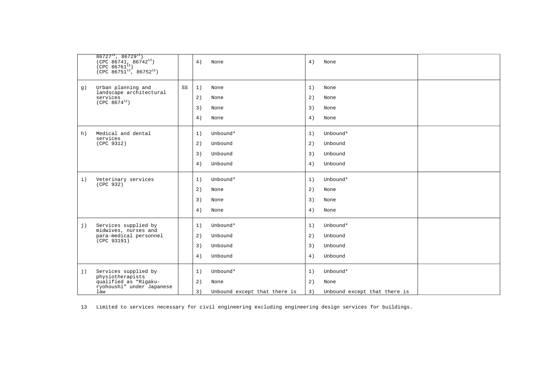|         | $86727^{13}$ , $86729^{13}$ )<br>(CPC 86741, 86742 <sup>13</sup> )<br>(CPC 86761 <sup>13</sup> )<br>(CPC 86751 <sup>13</sup> , 86752 <sup>13</sup> ) |    | 4)<br>None                                                         | 4)                   | None                                             |  |
|---------|------------------------------------------------------------------------------------------------------------------------------------------------------|----|--------------------------------------------------------------------|----------------------|--------------------------------------------------|--|
| g)      | Urban planning and<br>landscape architectural<br>services<br>$(CPC 8674^{12})$                                                                       | SS | 1)<br>None<br>2)<br>None<br>3)<br>None<br>4)<br>None               | 1)<br>2)<br>3)<br>4) | None<br>None<br>None<br>None                     |  |
| h)      | Medical and dental<br>services<br>(CPC 9312)                                                                                                         |    | 1)<br>Unbound*<br>Unbound<br>2)<br>3)<br>Unbound<br>4)<br>Unbound  | 1)<br>2)<br>3)<br>4) | Unbound*<br>Unbound<br>Unbound<br>Unbound        |  |
| $\pm$ ) | Veterinary services<br>(CPC 932)                                                                                                                     |    | Unbound*<br>1)<br>2)<br>None<br>3)<br>None<br>4)<br>None           | 1)<br>2)<br>3)<br>4) | Unbound*<br>None<br>None<br>None                 |  |
| j)      | Services supplied by<br>midwives, nurses and<br>para-medical personnel<br>(CPC 93191)                                                                |    | Unbound*<br>1)<br>2)<br>Unbound<br>3)<br>Unbound<br>Unbound<br>4)  | 1)<br>2)<br>3)<br>4) | Unbound*<br>Unbound<br>Unbound<br>Unbound        |  |
| j)      | Services supplied by<br>physiotherapists<br>qualified as "Rigaku-<br>ryohoushi" under Japanese<br>law                                                |    | 1)<br>Unbound*<br>2)<br>None<br>3)<br>Unbound except that there is | 1)<br>2)<br>3)       | Unbound*<br>None<br>Unbound except that there is |  |

<span id="page-11-0"></span>13 Limited to services necessary for civil engineering excluding engineering design services for buildings.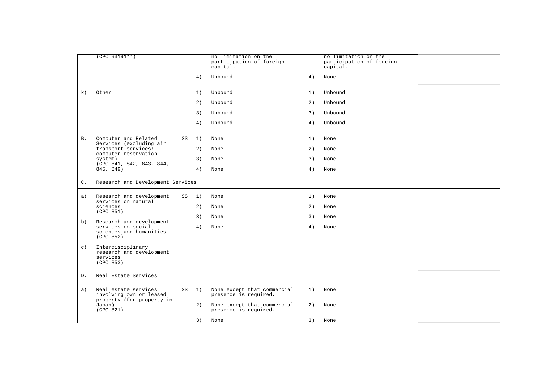|                | $(CPC 93191**)$                                                                                     |    |    | no limitation on the<br>participation of foreign<br>capital. |    | no limitation on the<br>participation of foreign<br>capital. |  |
|----------------|-----------------------------------------------------------------------------------------------------|----|----|--------------------------------------------------------------|----|--------------------------------------------------------------|--|
|                |                                                                                                     |    | 4) | Unbound                                                      | 4) | None                                                         |  |
| k)             | Other                                                                                               |    | 1) | Unbound                                                      | 1) | Unbound                                                      |  |
|                |                                                                                                     |    | 2) | Unbound                                                      | 2) | Unbound                                                      |  |
|                |                                                                                                     |    | 3) | Unbound                                                      | 3) | Unbound                                                      |  |
|                |                                                                                                     |    | 4) | Unbound                                                      | 4) | Unbound                                                      |  |
| В.             | Computer and Related<br>Services (excluding air                                                     | SS | 1) | None                                                         | 1) | None                                                         |  |
|                | transport services:<br>computer reservation                                                         |    | 2) | None                                                         | 2) | None                                                         |  |
|                | system)                                                                                             |    | 3) | None                                                         | 3) | None                                                         |  |
|                | (CPC 841, 842, 843, 844,<br>845, 849)                                                               |    | 4) | None                                                         | 4) | None                                                         |  |
| $\mathsf{C}$ . | Research and Development Services                                                                   |    |    |                                                              |    |                                                              |  |
| a)             | Research and development<br>services on natural                                                     | SS | 1) | None                                                         | 1) | None                                                         |  |
|                | sciences<br>(CPC 851)                                                                               |    | 2) | None                                                         | 2) | None                                                         |  |
| b)             | Research and development                                                                            |    | 3) | None                                                         | 3) | None                                                         |  |
|                | services on social<br>sciences and humanities<br>(CPC 852)                                          |    | 4) | None                                                         | 4) | None                                                         |  |
| $\circ$ )      | Interdisciplinary                                                                                   |    |    |                                                              |    |                                                              |  |
|                | research and development<br>services<br>(CPC 853)                                                   |    |    |                                                              |    |                                                              |  |
| D.             | Real Estate Services                                                                                |    |    |                                                              |    |                                                              |  |
| a)             | Real estate services<br>involving own or leased<br>property (for property in<br>Japan)<br>(CPC 821) | SS | 1) | None except that commercial<br>presence is required.         | 1) | None                                                         |  |
|                |                                                                                                     |    | 2) | None except that commercial<br>presence is required.         | 2) | None                                                         |  |
|                |                                                                                                     |    | 3) | None                                                         | 3) | None                                                         |  |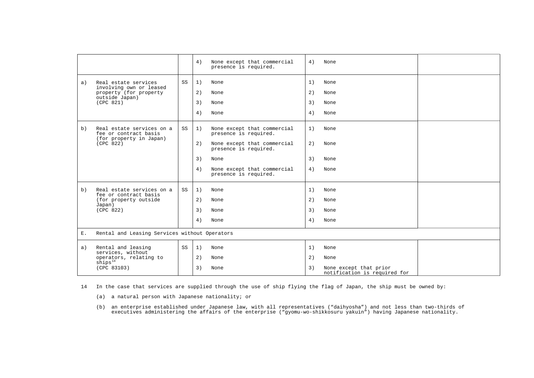|    |                                                    |    | 4) | None except that commercial<br>presence is required. | 4) | None                                                   |  |
|----|----------------------------------------------------|----|----|------------------------------------------------------|----|--------------------------------------------------------|--|
| a) | Real estate services                               | SS | 1) | None                                                 | 1) | None                                                   |  |
|    | involving own or leased<br>property (for property  |    | 2) | None                                                 | 2) | None                                                   |  |
|    | outside Japan)<br>(CPC 821)                        |    | 3) | None                                                 | 3) | None                                                   |  |
|    |                                                    |    | 4) | None                                                 | 4) | None                                                   |  |
| b) | Real estate services on a<br>fee or contract basis | SS | 1) | None except that commercial<br>presence is required. | 1) | None                                                   |  |
|    | (for property in Japan)<br>(CPC 822)               |    | 2) | None except that commercial<br>presence is required. | 2) | None                                                   |  |
|    |                                                    |    | 3) | None                                                 | 3) | None                                                   |  |
|    |                                                    |    | 4) | None except that commercial<br>presence is required. | 4) | None                                                   |  |
| b) | Real estate services on a<br>fee or contract basis | SS | 1) | None                                                 | 1) | None                                                   |  |
|    | (for property outside<br>Japan)                    |    | 2) | None                                                 | 2) | None                                                   |  |
|    | (CPC 822)                                          |    | 3) | None                                                 | 3) | None                                                   |  |
|    |                                                    |    | 4) | None                                                 | 4) | None                                                   |  |
| Ε. | Rental and Leasing Services without Operators      |    |    |                                                      |    |                                                        |  |
| a) | Rental and leasing<br>services, without            | SS | 1) | None                                                 | 1) | None                                                   |  |
|    | operators, relating to<br>$\sinh^{-14}$            |    | 2) | None                                                 | 2) | None                                                   |  |
|    | (CPC 83103)                                        |    | 3) | None                                                 | 3) | None except that prior<br>notification is required for |  |

<span id="page-13-0"></span>14 In the case that services are supplied through the use of ship flying the flag of Japan, the ship must be owned by:

(a) a natural person with Japanese nationality; or

(b) an enterprise established under Japanese law, with all representatives ("daihyosha") and not less than two-thirds of<br>executives administering the affairs of the enterprise ("gyomu-wo-shikkosuru yakuin") having Japanese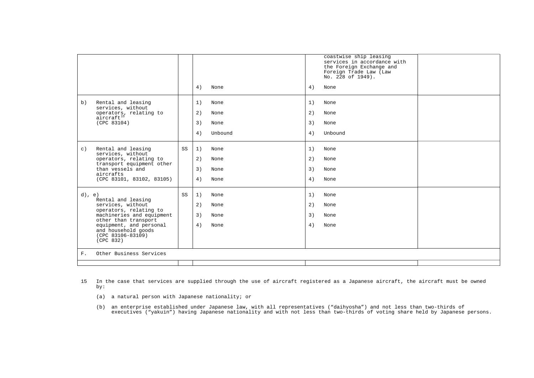|           |                                                                                         |    |               |    | coastwise ship leasing<br>services in accordance with<br>the Foreign Exchange and<br>Foreign Trade Law (Law<br>No. 228 of 1949). |  |
|-----------|-----------------------------------------------------------------------------------------|----|---------------|----|----------------------------------------------------------------------------------------------------------------------------------|--|
|           |                                                                                         |    | 4)<br>None    | 4) | None                                                                                                                             |  |
| b)        | Rental and leasing<br>services, without                                                 |    | 1)<br>None    | 1) | None                                                                                                                             |  |
|           | operators, relating to<br>aircraft <sup>15</sup>                                        |    | 2)<br>None    | 2) | None                                                                                                                             |  |
|           | (CPC 83104)                                                                             |    | 3)<br>None    | 3) | None                                                                                                                             |  |
|           |                                                                                         |    | 4)<br>Unbound | 4) | Unbound                                                                                                                          |  |
| $\circ$ ) | Rental and leasing<br>services, without                                                 | SS | 1)<br>None    | 1) | None                                                                                                                             |  |
|           | operators, relating to                                                                  |    | 2)<br>None    | 2) | None                                                                                                                             |  |
|           | transport equipment other<br>than vessels and<br>aircrafts<br>(CPC 83101, 83102, 83105) |    | 3)<br>None    | 3) | None                                                                                                                             |  |
|           |                                                                                         |    | 4)<br>None    | 4) | None                                                                                                                             |  |
| $d)$ , e) |                                                                                         | SS | 1)<br>None    | 1) | None                                                                                                                             |  |
|           | Rental and leasing<br>services, without                                                 |    | 2)<br>None    | 2) | None                                                                                                                             |  |
|           | operators, relating to<br>machineries and equipment                                     |    | 3)<br>None    | 3) | None                                                                                                                             |  |
|           | other than transport<br>equipment, and personal<br>and household goods                  |    | 4)<br>None    | 4) | None                                                                                                                             |  |
|           | $(CPC 83106 - 83109)$<br>(CPC 832)                                                      |    |               |    |                                                                                                                                  |  |
| $F$ .     | Other Business Services                                                                 |    |               |    |                                                                                                                                  |  |
|           |                                                                                         |    |               |    |                                                                                                                                  |  |

- <span id="page-14-0"></span>15 In the case that services are supplied through the use of aircraft registered as a Japanese aircraft, the aircraft must be owned by:
	- (a) a natural person with Japanese nationality; or
- (b) an enterprise established under Japanese law, with all representatives ("daihyosha") and not less than two-thirds of<br>executives ("yakuin") having Japanese nationality and with not less than two-thirds of voting share h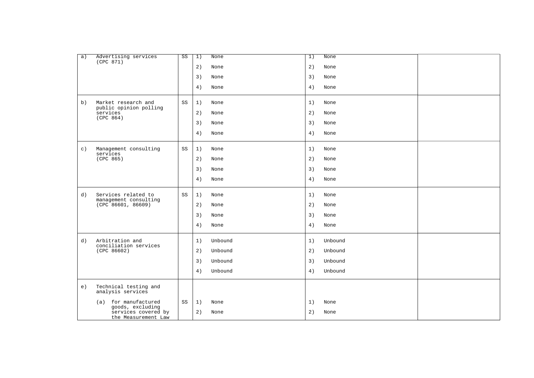| a)        | Advertising services<br>(CPC 871)                              | SS | 1) | None    | 1) | None    |  |
|-----------|----------------------------------------------------------------|----|----|---------|----|---------|--|
|           |                                                                |    | 2) | None    | 2) | None    |  |
|           |                                                                |    | 3) | None    | 3) | None    |  |
|           |                                                                |    | 4) | None    | 4) | None    |  |
| b)        | Market research and<br>public opinion polling                  | SS | 1) | None    | 1) | None    |  |
|           | services<br>(CPC 864)                                          |    | 2) | None    | 2) | None    |  |
|           |                                                                |    | 3) | None    | 3) | None    |  |
|           |                                                                |    | 4) | None    | 4) | None    |  |
| $\circ$ ) | Management consulting<br>services                              | SS | 1) | None    | 1) | None    |  |
|           | (CPC 865)                                                      |    | 2) | None    | 2) | None    |  |
|           |                                                                |    | 3) | None    | 3) | None    |  |
|           |                                                                |    | 4) | None    | 4) | None    |  |
| d)        | Services related to<br>management consulting                   | SS | 1) | None    | 1) | None    |  |
|           | (CPC 86601, 86609)                                             |    | 2) | None    | 2) | None    |  |
|           |                                                                |    | 3) | None    | 3) | None    |  |
|           |                                                                |    | 4) | None    | 4) | None    |  |
| d)        | Arbitration and<br>conciliation services                       |    | 1) | Unbound | 1) | Unbound |  |
|           | (CPC 86602)                                                    |    | 2) | Unbound | 2) | Unbound |  |
|           |                                                                |    | 3) | Unbound | 3) | Unbound |  |
|           |                                                                |    | 4) | Unbound | 4) | Unbound |  |
| e)        | Technical testing and<br>analysis services                     |    |    |         |    |         |  |
|           | for manufactured<br>(a)                                        | SS | 1) | None    | 1) | None    |  |
|           | goods, excluding<br>services covered by<br>the Measurement Law |    | 2) | None    | 2) | None    |  |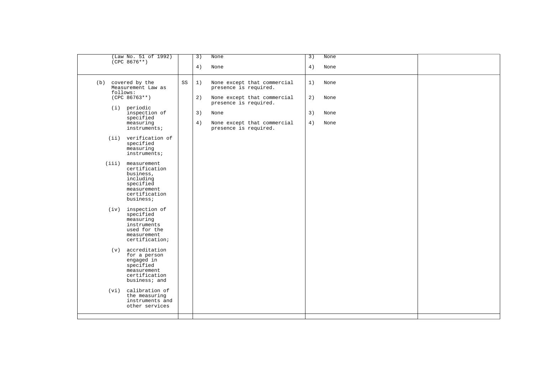| (Law No. 51 of 1992)<br>$(CPC 8676**)$                                                                                    |    | 3) | None                                                 | 3) | None |  |
|---------------------------------------------------------------------------------------------------------------------------|----|----|------------------------------------------------------|----|------|--|
|                                                                                                                           |    | 4) | None                                                 | 4) | None |  |
| (b) covered by the<br>Measurement Law as<br>follows:                                                                      | SS | 1) | None except that commercial<br>presence is required. | 1) | None |  |
| $(CPC 86763**)$<br>(i) periodic                                                                                           |    | 2) | None except that commercial<br>presence is required. | 2) | None |  |
| inspection of<br>specified                                                                                                |    | 3) | None                                                 | 3) | None |  |
| measuring<br>instruments;                                                                                                 |    | 4) | None except that commercial<br>presence is required. | 4) | None |  |
| (ii) verification of<br>specified<br>measuring<br>instruments;                                                            |    |    |                                                      |    |      |  |
| (iii)<br>measurement<br>certification<br>business,<br>including<br>specified<br>measurement<br>certification<br>business; |    |    |                                                      |    |      |  |
| (iv) inspection of<br>specified<br>measuring<br>instruments<br>used for the<br>measurement<br>certification;              |    |    |                                                      |    |      |  |
| $(v)$ accreditation<br>for a person<br>engaged in<br>specified<br>measurement<br>certification<br>business; and           |    |    |                                                      |    |      |  |
| (vi) calibration of<br>the measuring<br>instruments and<br>other services                                                 |    |    |                                                      |    |      |  |
|                                                                                                                           |    |    |                                                      |    |      |  |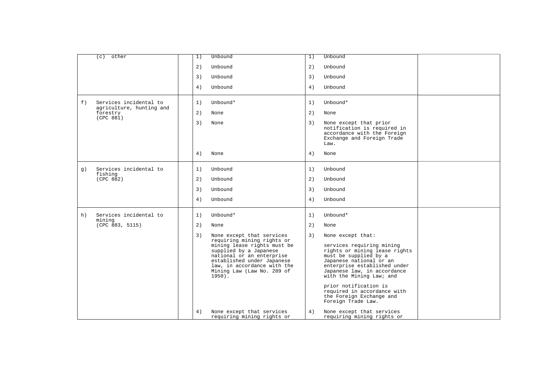|    | other<br>(c)                                       | 1) | Unbound                                                                                                                                                                                                                  | 1) | Unbound                                                                                                                                                                                                                            |  |
|----|----------------------------------------------------|----|--------------------------------------------------------------------------------------------------------------------------------------------------------------------------------------------------------------------------|----|------------------------------------------------------------------------------------------------------------------------------------------------------------------------------------------------------------------------------------|--|
|    |                                                    | 2) | Unbound                                                                                                                                                                                                                  | 2) | Unbound                                                                                                                                                                                                                            |  |
|    |                                                    | 3) | Unbound                                                                                                                                                                                                                  | 3) | Unbound                                                                                                                                                                                                                            |  |
|    |                                                    | 4) | Unbound                                                                                                                                                                                                                  | 4) | Unbound                                                                                                                                                                                                                            |  |
| f) | Services incidental to<br>agriculture, hunting and | 1) | Unbound*                                                                                                                                                                                                                 | 1) | Unbound*                                                                                                                                                                                                                           |  |
|    | forestry<br>(CPC 881)                              | 2) | None                                                                                                                                                                                                                     | 2) | None                                                                                                                                                                                                                               |  |
|    |                                                    | 3) | None                                                                                                                                                                                                                     | 3) | None except that prior<br>notification is required in<br>accordance with the Foreign<br>Exchange and Foreign Trade<br>Law.                                                                                                         |  |
|    |                                                    | 4) | None                                                                                                                                                                                                                     | 4) | None                                                                                                                                                                                                                               |  |
| q) | Services incidental to<br>fishing                  | 1) | Unbound                                                                                                                                                                                                                  | 1) | Unbound                                                                                                                                                                                                                            |  |
|    | (CPC 882)                                          | 2) | Unbound                                                                                                                                                                                                                  | 2) | Unbound                                                                                                                                                                                                                            |  |
|    |                                                    | 3) | Unbound                                                                                                                                                                                                                  | 3) | Unbound                                                                                                                                                                                                                            |  |
|    |                                                    | 4) | Unbound                                                                                                                                                                                                                  | 4) | Unbound                                                                                                                                                                                                                            |  |
| h) | Services incidental to<br>mining                   | 1) | Unbound*                                                                                                                                                                                                                 | 1) | Unbound*                                                                                                                                                                                                                           |  |
|    | (CPC 883, 5115)                                    | 2) | None                                                                                                                                                                                                                     | 2) | None                                                                                                                                                                                                                               |  |
|    |                                                    | 3) | None except that services                                                                                                                                                                                                | 3) | None except that:                                                                                                                                                                                                                  |  |
|    |                                                    |    | requiring mining rights or<br>mining lease rights must be<br>supplied by a Japanese<br>national or an enterprise<br>established under Japanese<br>law, in accordance with the<br>Mining Law (Law No. 289 of<br>$1950$ ). |    | services requiring mining<br>rights or mining lease rights<br>must be supplied by a<br>Japanese national or an<br>enterprise established under<br>Japanese law, in accordance<br>with the Mining Law; and<br>prior notification is |  |
|    |                                                    |    |                                                                                                                                                                                                                          |    | required in accordance with<br>the Foreign Exchange and<br>Foreign Trade Law.                                                                                                                                                      |  |
|    |                                                    | 4) | None except that services<br>requiring mining rights or                                                                                                                                                                  | 4) | None except that services<br>requiring mining rights or                                                                                                                                                                            |  |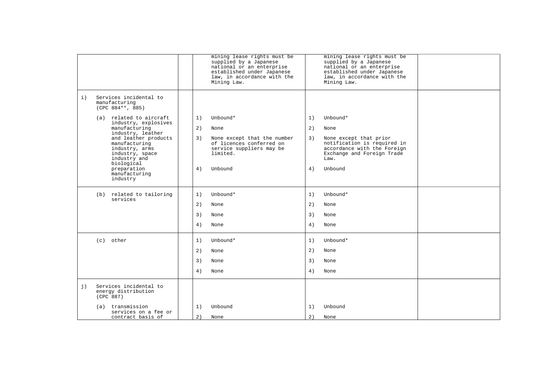|    |                                                                                                          |    | mining lease rights must be<br>supplied by a Japanese<br>national or an enterprise<br>established under Japanese<br>law, in accordance with the<br>Mining Law. |    | mining lease rights must be<br>supplied by a Japanese<br>national or an enterprise<br>established under Japanese<br>law, in accordance with the<br>Mining Law. |  |
|----|----------------------------------------------------------------------------------------------------------|----|----------------------------------------------------------------------------------------------------------------------------------------------------------------|----|----------------------------------------------------------------------------------------------------------------------------------------------------------------|--|
| i) | Services incidental to<br>manufacturing<br>$(CPC 884**, 885)$                                            |    |                                                                                                                                                                |    |                                                                                                                                                                |  |
|    | (a) related to aircraft<br>industry, explosives                                                          | 1) | Unbound*                                                                                                                                                       | 1) | Unbound*                                                                                                                                                       |  |
|    | manufacturing<br>industry, leather                                                                       | 2) | None                                                                                                                                                           | 2) | None                                                                                                                                                           |  |
|    | and leather products<br>manufacturing<br>industry, arms<br>industry, space<br>industry and<br>biological | 3) | None except that the number<br>of licences conferred on<br>service suppliers may be<br>limited.                                                                | 3) | None except that prior<br>notification is required in<br>accordance with the Foreign<br>Exchange and Foreign Trade<br>Law.                                     |  |
|    | preparation<br>manufacturing<br>industry                                                                 | 4) | Unbound                                                                                                                                                        | 4) | Unbound                                                                                                                                                        |  |
|    | (b) related to tailoring<br>services                                                                     | 1) | Unbound*                                                                                                                                                       | 1) | Unbound*                                                                                                                                                       |  |
|    |                                                                                                          | 2) | None                                                                                                                                                           | 2) | None                                                                                                                                                           |  |
|    |                                                                                                          | 3) | None                                                                                                                                                           | 3) | None                                                                                                                                                           |  |
|    |                                                                                                          | 4) | None                                                                                                                                                           | 4) | None                                                                                                                                                           |  |
|    | other<br>(c)                                                                                             | 1) | Unbound*                                                                                                                                                       | 1) | Unbound*                                                                                                                                                       |  |
|    |                                                                                                          | 2) | None                                                                                                                                                           | 2) | None                                                                                                                                                           |  |
|    |                                                                                                          | 3) | None                                                                                                                                                           | 3) | None                                                                                                                                                           |  |
|    |                                                                                                          | 4) | None                                                                                                                                                           | 4) | None                                                                                                                                                           |  |
| j) | Services incidental to<br>energy distribution<br>(CPC 887)                                               |    |                                                                                                                                                                |    |                                                                                                                                                                |  |
|    | transmission<br>(a)<br>services on a fee or                                                              | 1) | Unbound                                                                                                                                                        | 1) | Unbound                                                                                                                                                        |  |
|    | contract basis of                                                                                        | 2) | None                                                                                                                                                           | 2) | None                                                                                                                                                           |  |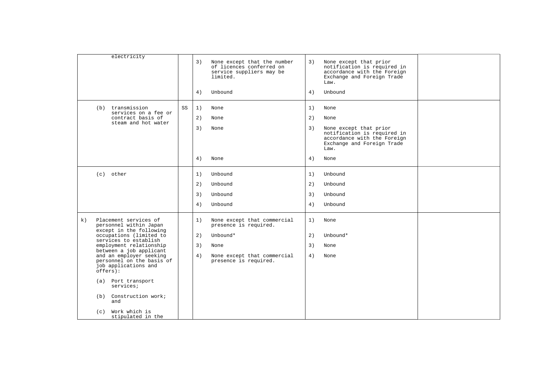| electricity                                                                                                                                                                                                                                                                                                                                                                                                      |    | 3)<br>4)             | None except that the number<br>of licences conferred on<br>service suppliers may be<br>limited.<br>Unbound                       | 3)<br>4)             | None except that prior<br>notification is required in<br>accordance with the Foreign<br>Exchange and Foreign Trade<br>Law.<br>Unbound              |  |
|------------------------------------------------------------------------------------------------------------------------------------------------------------------------------------------------------------------------------------------------------------------------------------------------------------------------------------------------------------------------------------------------------------------|----|----------------------|----------------------------------------------------------------------------------------------------------------------------------|----------------------|----------------------------------------------------------------------------------------------------------------------------------------------------|--|
| transmission<br>(b)<br>services on a fee or<br>contract basis of<br>steam and hot water                                                                                                                                                                                                                                                                                                                          | SS | 1)<br>2)<br>3)<br>4) | None<br>None<br>None<br>None                                                                                                     | 1)<br>2)<br>3)<br>4) | None<br>None<br>None except that prior<br>notification is required in<br>accordance with the Foreign<br>Exchange and Foreign Trade<br>Law.<br>None |  |
| $(c)$ other                                                                                                                                                                                                                                                                                                                                                                                                      |    | 1)<br>2)<br>3)<br>4) | Unbound<br>Unbound<br>Unbound<br>Unbound                                                                                         | 1)<br>2)<br>3)<br>4) | Unbound<br>Unbound<br>Unbound<br>Unbound                                                                                                           |  |
| Placement services of<br>k)<br>personnel within Japan<br>except in the following<br>occupations (limited to<br>services to establish<br>employment relationship<br>between a job applicant<br>and an employer seeking<br>personnel on the basis of<br>job applications and<br>offseters):<br>Port transport<br>(a)<br>services;<br>Construction work;<br>(b)<br>and<br>Work which is<br>(c)<br>stipulated in the |    | 1)<br>2)<br>3)<br>4) | None except that commercial<br>presence is required.<br>Unbound*<br>None<br>None except that commercial<br>presence is required. | 1)<br>2)<br>3)<br>4) | None<br>Unbound*<br>None<br>None                                                                                                                   |  |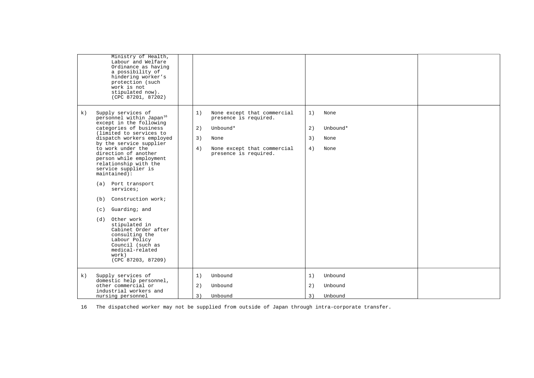|    | Ministry of Health,<br>Labour and Welfare<br>Ordinance as having<br>a possibility of<br>hindering worker's<br>protection (such<br>work is not<br>stipulated now).<br>(CPC 87201, 87202)                                                                                                                                                                                                                                                                                                                                                                                                                    |                      |                                                                                                                                  |                      |                                  |  |
|----|------------------------------------------------------------------------------------------------------------------------------------------------------------------------------------------------------------------------------------------------------------------------------------------------------------------------------------------------------------------------------------------------------------------------------------------------------------------------------------------------------------------------------------------------------------------------------------------------------------|----------------------|----------------------------------------------------------------------------------------------------------------------------------|----------------------|----------------------------------|--|
| k) | Supply services of<br>personnel within Japan <sup>16</sup><br>except in the following<br>categories of business<br>(limited to services to<br>dispatch workers employed<br>by the service supplier<br>to work under the<br>direction of another<br>person while employment<br>relationship with the<br>service supplier is<br>$maintained$ :<br>(a) Port transport<br>services;<br>Construction work;<br>(b)<br>Guarding; and<br>(c)<br>Other work<br>(d)<br>stipulated in<br>Cabinet Order after<br>consulting the<br>Labour Policy<br>Council (such as<br>medical-related<br>work)<br>(CPC 87203, 87209) | 1)<br>2)<br>3)<br>4) | None except that commercial<br>presence is required.<br>Unbound*<br>None<br>None except that commercial<br>presence is required. | 1)<br>2)<br>3)<br>4) | None<br>Unbound*<br>None<br>None |  |
| k) | Supply services of<br>domestic help personnel,<br>other commercial or<br>industrial workers and<br>nursing personnel                                                                                                                                                                                                                                                                                                                                                                                                                                                                                       | 1)<br>2)<br>3)       | Unbound<br>Unbound<br>Unbound                                                                                                    | 1)<br>2)<br>3)       | Unbound<br>Unbound<br>Unbound    |  |

<span id="page-20-0"></span>16 The dispatched worker may not be supplied from outside of Japan through intra-corporate transfer.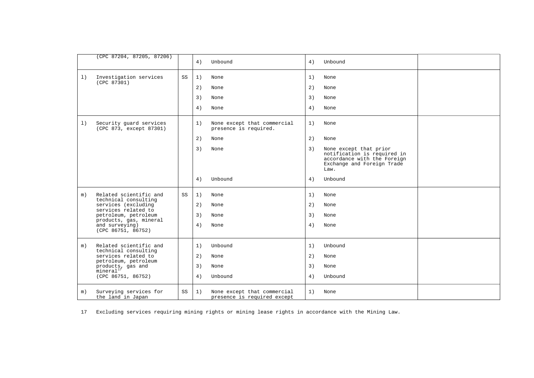|       | (CPC 87204, 87205, 87206)                                      |    | 4) | Unbound                                                    | 4) | Unbound                                                                                                                    |  |
|-------|----------------------------------------------------------------|----|----|------------------------------------------------------------|----|----------------------------------------------------------------------------------------------------------------------------|--|
| 1)    | Investigation services<br>(CPC 87301)                          | SS | 1) | None                                                       | 1) | None                                                                                                                       |  |
|       |                                                                |    | 2) | None                                                       | 2) | None                                                                                                                       |  |
|       |                                                                |    | 3) | None                                                       | 3) | None                                                                                                                       |  |
|       |                                                                |    | 4) | None                                                       | 4) | None                                                                                                                       |  |
| 1)    | Security guard services<br>(CPC 873, except 87301)             |    | 1) | None except that commercial<br>presence is required.       | 1) | None                                                                                                                       |  |
|       |                                                                |    | 2) | None                                                       | 2) | None                                                                                                                       |  |
|       |                                                                |    | 3) | None                                                       | 3) | None except that prior<br>notification is required in<br>accordance with the Foreign<br>Exchange and Foreign Trade<br>Law. |  |
|       |                                                                |    | 4) | Unbound                                                    | 4) | Unbound                                                                                                                    |  |
| m)    | Related scientific and<br>technical consulting                 | SS | 1) | None                                                       | 1) | None                                                                                                                       |  |
|       | services (excluding<br>services related to                     |    | 2) | None                                                       | 2) | None                                                                                                                       |  |
|       | petroleum, petroleum                                           |    | 3) | None                                                       | 3) | None                                                                                                                       |  |
|       | products, gas, mineral<br>and surveying)<br>(CPC 86751, 86752) |    | 4) | None                                                       | 4) | None                                                                                                                       |  |
| $m$ ) | Related scientific and                                         |    | 1) | Unbound                                                    | 1) | Unbound                                                                                                                    |  |
|       | technical consulting<br>services related to                    |    | 2) | None                                                       | 2) | None                                                                                                                       |  |
|       | petroleum, petroleum<br>products, gas and                      |    | 3) | None                                                       | 3) | None                                                                                                                       |  |
|       | mineral <sup>17</sup><br>(CPC 86751, 86752)                    |    | 4) | Unbound                                                    | 4) | Unbound                                                                                                                    |  |
| m)    | Surveying services for<br>the land in Japan                    | SS | 1) | None except that commercial<br>presence is required except | 1) | None                                                                                                                       |  |

<span id="page-21-0"></span>17 Excluding services requiring mining rights or mining lease rights in accordance with the Mining Law.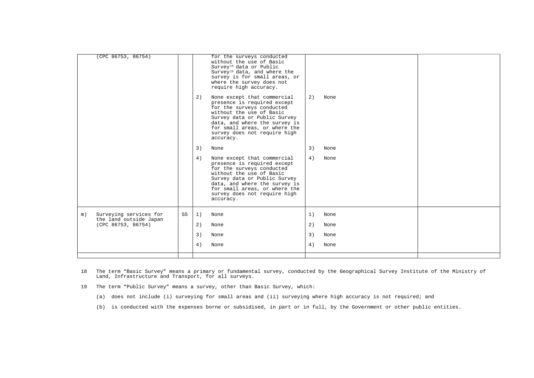|    | (CPC 86753, 86754)                           |    |    | for the surveys conducted<br>without the use of Basic<br>Survey <sup>18</sup> data or Public<br>Survey <sup>19</sup> data, and where the<br>survey is for small areas, or<br>where the survey does not<br>require high accuracy.                                   |    |      |  |
|----|----------------------------------------------|----|----|--------------------------------------------------------------------------------------------------------------------------------------------------------------------------------------------------------------------------------------------------------------------|----|------|--|
|    |                                              |    | 2) | None except that commercial<br>presence is required except<br>for the surveys conducted<br>without the use of Basic<br>Survey data or Public Survey<br>data, and where the survey is<br>for small areas, or where the<br>survey does not require high<br>accuracy. | 2) | None |  |
|    |                                              |    | 3) | None                                                                                                                                                                                                                                                               | 3) | None |  |
|    |                                              |    | 4) | None except that commercial<br>presence is required except<br>for the surveys conducted<br>without the use of Basic<br>Survey data or Public Survey<br>data, and where the survey is<br>for small areas, or where the<br>survey does not require high<br>accuracy. | 4) | None |  |
| m) | Surveying services for                       | SS | 1) | None                                                                                                                                                                                                                                                               | 1) | None |  |
|    | the land outside Japan<br>(CPC 86753, 86754) |    | 2) | None                                                                                                                                                                                                                                                               | 2) | None |  |
|    |                                              |    | 3) | None                                                                                                                                                                                                                                                               | 3) | None |  |
|    |                                              |    | 4) | None                                                                                                                                                                                                                                                               | 4) | None |  |
|    |                                              |    |    |                                                                                                                                                                                                                                                                    |    |      |  |

- <span id="page-22-0"></span>18 The term "Basic Survey" means a primary or fundamental survey, conducted by the Geographical Survey Institute of the Ministry of Land, Infrastructure and Transport, for all surveys.
- <span id="page-22-1"></span>19 The term "Public Survey" means a survey, other than Basic Survey, which:
	- (a) does not include (i) surveying for small areas and (ii) surveying where high accuracy is not required; and
	- (b) is conducted with the expenses borne or subsidised, in part or in full, by the Government or other public entities.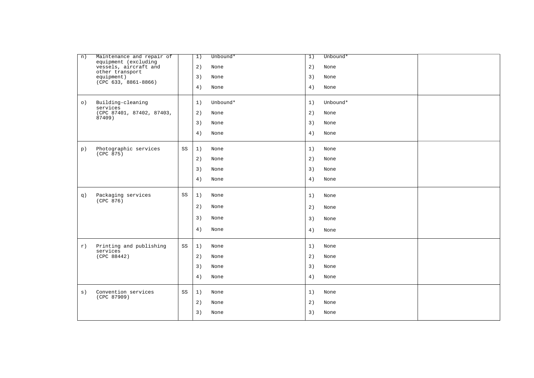| n)        | Maintenance and repair of<br>equipment (excluding |    | 1) | Unbound* | 1) | Unbound* |  |
|-----------|---------------------------------------------------|----|----|----------|----|----------|--|
|           | vessels, aircraft and<br>other transport          |    | 2) | None     | 2) | None     |  |
|           | equipment)<br>$(\overline{CPC}$ 633, 8861-8866)   |    | 3) | None     | 3) | None     |  |
|           |                                                   |    | 4) | None     | 4) | None     |  |
| $\circ$ ) | Building-cleaning<br>services                     |    | 1) | Unbound* | 1) | Unbound* |  |
|           | (CPC 87401, 87402, 87403,<br>87409)               |    | 2) | None     | 2) | None     |  |
|           |                                                   |    | 3) | None     | 3) | None     |  |
|           |                                                   |    | 4) | None     | 4) | None     |  |
| p)        | Photographic services<br>(CPC 875)                | SS | 1) | None     | 1) | None     |  |
|           |                                                   |    | 2) | None     | 2) | None     |  |
|           |                                                   |    | 3) | None     | 3) | None     |  |
|           |                                                   |    | 4) | None     | 4) | None     |  |
| q)        | Packaging services                                | SS | 1) | None     | 1) | None     |  |
|           | (CPC 876)                                         |    | 2) | None     | 2) | None     |  |
|           |                                                   |    | 3) | None     | 3) | None     |  |
|           |                                                   |    | 4) | None     | 4) | None     |  |
| r)        | Printing and publishing                           | SS | 1) | None     | 1) | None     |  |
|           | services<br>(CPC 88442)                           |    | 2) | None     | 2) | None     |  |
|           |                                                   |    | 3) | None     | 3) | None     |  |
|           |                                                   |    | 4) | None     | 4) | None     |  |
| s)        | Convention services<br>(CPC 87909)                | SS | 1) | None     | 1) | None     |  |
|           |                                                   |    | 2) | None     | 2) | None     |  |
|           |                                                   |    | 3) | None     | 3) | None     |  |
|           |                                                   |    |    |          |    |          |  |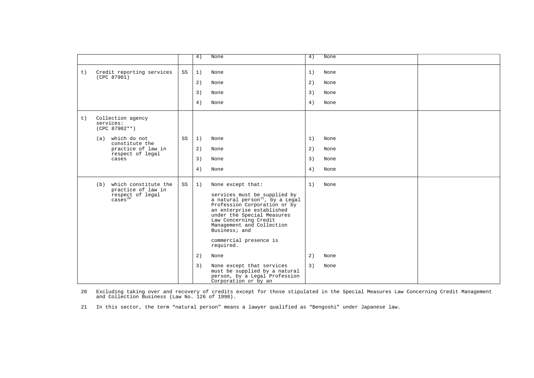|    |                                                                                                                                            |    | 4)                   | None                                                                                                                                                                                                                                                                                                                                                                                                                              | 4)                   | None                         |  |
|----|--------------------------------------------------------------------------------------------------------------------------------------------|----|----------------------|-----------------------------------------------------------------------------------------------------------------------------------------------------------------------------------------------------------------------------------------------------------------------------------------------------------------------------------------------------------------------------------------------------------------------------------|----------------------|------------------------------|--|
| t) | Credit reporting services<br>(CPC 87901)                                                                                                   | SS | 1)<br>2)<br>3)<br>4) | None<br>None<br>None<br>None                                                                                                                                                                                                                                                                                                                                                                                                      | 1)<br>2)<br>3)<br>4) | None<br>None<br>None<br>None |  |
| t) | Collection agency<br>services:<br>$(CPC 87902**)$<br>(a) which do not<br>constitute the<br>practice of law in<br>respect of legal<br>cases | SS | 1)<br>2)<br>3)<br>4) | None<br>None<br>None<br>None                                                                                                                                                                                                                                                                                                                                                                                                      | 1)<br>2)<br>3)<br>4) | None<br>None<br>None<br>None |  |
|    | which constitute the<br>(b)<br>practice of law in<br>respect of legal<br>$\overline{\text{cases}}^{20}$                                    | SS | 1)<br>2)<br>3)       | None except that:<br>services must be supplied by<br>a natural $person^{21}$ , by a Legal<br>Profession Corporation or by<br>an enterprise established<br>under the Special Measures<br>Law Concerning Credit<br>Management and Collection<br>Business; and<br>commercial presence is<br>required.<br>None<br>None except that services<br>must be supplied by a natural<br>person, by a Legal Profession<br>Corporation or by an | 1)<br>2)<br>3)       | None<br>None<br>None         |  |

<span id="page-24-0"></span>20 Excluding taking over and recovery of credits except for those stipulated in the Special Measures Law Concerning Credit Management and Collection Business (Law No. 126 of 1998).

<span id="page-24-1"></span>21 In this sector, the term "natural person" means a lawyer qualified as "Bengoshi" under Japanese law.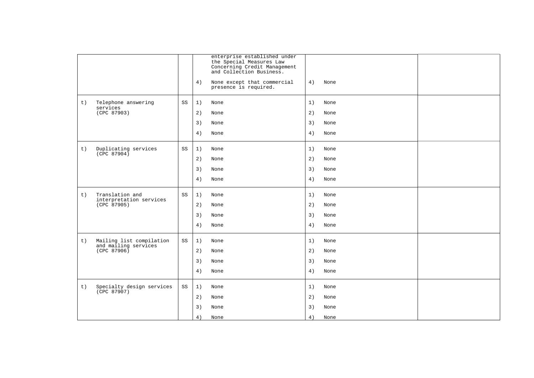|                                                        |    |    | enterprise established under<br>the Special Measures Law<br>Concerning Credit Management<br>and Collection Business. |    |      |  |
|--------------------------------------------------------|----|----|----------------------------------------------------------------------------------------------------------------------|----|------|--|
|                                                        |    | 4) | None except that commercial<br>presence is required.                                                                 | 4) | None |  |
| Telephone answering<br>t)                              | SS | 1) | None                                                                                                                 | 1) | None |  |
| services<br>(CPC 87903)                                |    | 2) | None                                                                                                                 | 2) | None |  |
|                                                        |    | 3) | None                                                                                                                 | 3) | None |  |
|                                                        |    | 4) | None                                                                                                                 | 4) | None |  |
| Duplicating services<br>t)<br>(CPC 87904)              | SS | 1) | None                                                                                                                 | 1) | None |  |
|                                                        |    | 2) | None                                                                                                                 | 2) | None |  |
|                                                        |    | 3) | None                                                                                                                 | 3) | None |  |
|                                                        |    | 4) | None                                                                                                                 | 4) | None |  |
| Translation and<br>t)                                  | SS | 1) | None                                                                                                                 | 1) | None |  |
| interpretation services<br>(CPC 87905)                 |    | 2) | None                                                                                                                 | 2) | None |  |
|                                                        |    | 3) | None                                                                                                                 | 3) | None |  |
|                                                        |    | 4) | None                                                                                                                 | 4) | None |  |
| Mailing list compilation<br>t)<br>and mailing services | SS | 1) | None                                                                                                                 | 1) | None |  |
| (CPC 87906)                                            |    | 2) | None                                                                                                                 | 2) | None |  |
|                                                        |    | 3) | None                                                                                                                 | 3) | None |  |
|                                                        |    | 4) | None                                                                                                                 | 4) | None |  |
| Specialty design services<br>t)<br>(CPC 87907)         | SS | 1) | None                                                                                                                 | 1) | None |  |
|                                                        |    | 2) | None                                                                                                                 | 2) | None |  |
|                                                        |    | 3) | None                                                                                                                 | 3) | None |  |
|                                                        |    | 4) | None                                                                                                                 | 4) | None |  |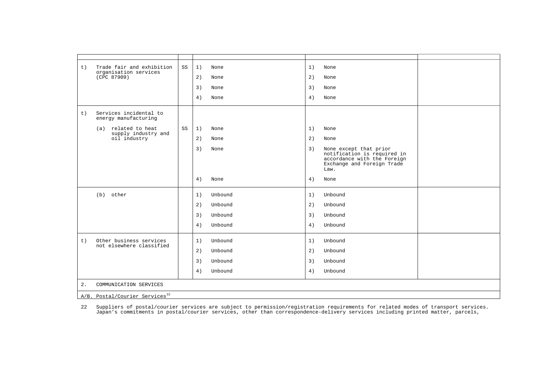| t) | Trade fair and exhibition<br>organisation services | SS | 1)<br>None    |         | 1) | None                                                                                                                       |  |  |  |  |
|----|----------------------------------------------------|----|---------------|---------|----|----------------------------------------------------------------------------------------------------------------------------|--|--|--|--|
|    | (CPC 87909)                                        |    | 2)<br>None    |         | 2) | None                                                                                                                       |  |  |  |  |
|    |                                                    |    | 3)<br>None    |         | 3) | None                                                                                                                       |  |  |  |  |
|    |                                                    |    | 4)<br>None    |         | 4) | None                                                                                                                       |  |  |  |  |
| t) | Services incidental to<br>energy manufacturing     |    |               |         |    |                                                                                                                            |  |  |  |  |
|    | (a) related to heat<br>supply industry and         | SS | 1)<br>None    |         | 1) | None                                                                                                                       |  |  |  |  |
|    | oil industry                                       |    | 2)<br>None    |         | 2) | None                                                                                                                       |  |  |  |  |
|    |                                                    |    | 3)<br>None    |         | 3) | None except that prior<br>notification is required in<br>accordance with the Foreign<br>Exchange and Foreign Trade<br>Law. |  |  |  |  |
|    |                                                    |    | 4)<br>None    |         | 4) | None                                                                                                                       |  |  |  |  |
|    | (b) other                                          |    | 1)            | Unbound | 1) | Unbound                                                                                                                    |  |  |  |  |
|    |                                                    |    | 2)<br>Unbound |         | 2) | Unbound                                                                                                                    |  |  |  |  |
|    |                                                    |    | 3)            | Unbound | 3) | Unbound                                                                                                                    |  |  |  |  |
|    |                                                    |    | 4)            | Unbound | 4) | Unbound                                                                                                                    |  |  |  |  |
| t) | Other business services                            |    | 1)            | Unbound | 1) | Unbound                                                                                                                    |  |  |  |  |
|    | not elsewhere classified                           |    | 2)            | Unbound | 2) | Unbound                                                                                                                    |  |  |  |  |
|    |                                                    |    | 3)<br>Unbound |         | 3) | Unbound                                                                                                                    |  |  |  |  |
|    |                                                    |    | 4)            | Unbound | 4) | Unbound                                                                                                                    |  |  |  |  |
| 2. | COMMUNICATION SERVICES                             |    |               |         |    |                                                                                                                            |  |  |  |  |
|    | A/B. Postal/Courier Services <sup>22</sup>         |    |               |         |    |                                                                                                                            |  |  |  |  |

22 Suppliers of postal/courier services are subject to permission/registration requirements for related modes of transport services.<br>Japan's commitments in postal/courier services, other than correspondence-delivery servic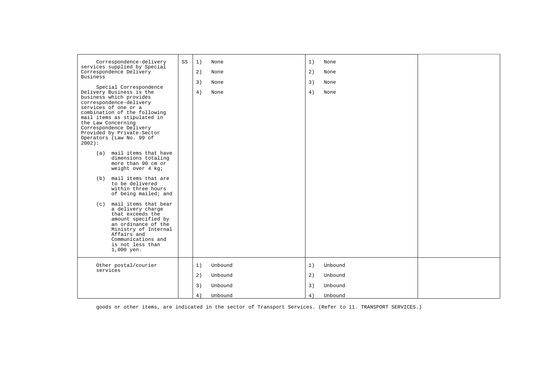| Correspondence-delivery<br>services supplied by Special                                                                                                                                                                                                                                                                                                                                                                                                                                                                                                                                                                                                                                                                       | SS | 1) | None    | 1) | None    |  |
|-------------------------------------------------------------------------------------------------------------------------------------------------------------------------------------------------------------------------------------------------------------------------------------------------------------------------------------------------------------------------------------------------------------------------------------------------------------------------------------------------------------------------------------------------------------------------------------------------------------------------------------------------------------------------------------------------------------------------------|----|----|---------|----|---------|--|
| Correspondence Delivery<br><b>Business</b>                                                                                                                                                                                                                                                                                                                                                                                                                                                                                                                                                                                                                                                                                    |    | 2) | None    | 2) | None    |  |
|                                                                                                                                                                                                                                                                                                                                                                                                                                                                                                                                                                                                                                                                                                                               |    | 3) | None    | 3) | None    |  |
| Special Correspondence<br>Delivery Business is the<br>business which provides<br>correspondence-delivery<br>services of one or a<br>combination of the following<br>mail items as stipulated in<br>the Law Concerning<br>Correspondence Delivery<br>Provided by Private-Sector<br>Operators (Law No. 99 of<br>$2002$ :<br>mail items that have<br>(a)<br>dimensions totaling<br>more than 90 cm or<br>weight over 4 kg;<br>mail items that are<br>(b)<br>to be delivered<br>within three hours<br>of being mailed; and<br>mail items that bear<br>(c)<br>a delivery charge<br>that exceeds the<br>amount specified by<br>an ordinance of the<br>Ministry of Internal<br>Affairs and<br>Communications and<br>is not less than |    | 4) | None    | 4) | None    |  |
| 1,000 yen.                                                                                                                                                                                                                                                                                                                                                                                                                                                                                                                                                                                                                                                                                                                    |    |    |         |    |         |  |
| Other postal/courier<br>services                                                                                                                                                                                                                                                                                                                                                                                                                                                                                                                                                                                                                                                                                              |    | 1) | Unbound | 1) | Unbound |  |
|                                                                                                                                                                                                                                                                                                                                                                                                                                                                                                                                                                                                                                                                                                                               |    | 2) | Unbound | 2) | Unbound |  |
|                                                                                                                                                                                                                                                                                                                                                                                                                                                                                                                                                                                                                                                                                                                               |    | 3) | Unbound | 3) | Unbound |  |
|                                                                                                                                                                                                                                                                                                                                                                                                                                                                                                                                                                                                                                                                                                                               |    | 4) | Unbound | 4) | Unbound |  |

<span id="page-27-0"></span>goods or other items, are indicated in the sector of Transport Services. (Refer to 11. TRANSPORT SERVICES.)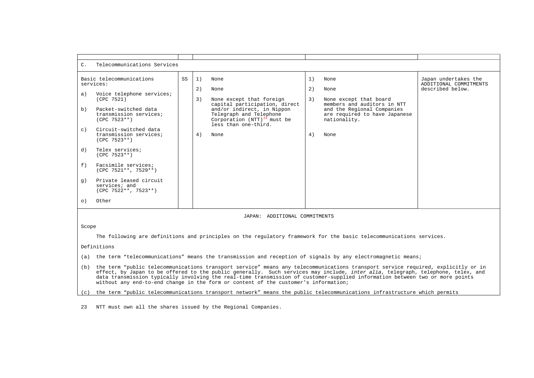| $C_{\bullet}$ | Telecommunications Services                                                                                                                          |    |                |                                                                                                                                                                                                |                |                                                                                                                                                      |                                                                    |  |  |
|---------------|------------------------------------------------------------------------------------------------------------------------------------------------------|----|----------------|------------------------------------------------------------------------------------------------------------------------------------------------------------------------------------------------|----------------|------------------------------------------------------------------------------------------------------------------------------------------------------|--------------------------------------------------------------------|--|--|
| a)<br>b)      | Basic telecommunications<br>services:<br>Voice telephone services;<br>(CPC 7521)<br>Packet-switched data<br>transmission services;<br>$(CPC 7523**)$ | SS | 1)<br>2)<br>3) | None<br>None<br>None except that foreign<br>capital participation, direct<br>and/or indirect, in Nippon<br>Telegraph and Telephone<br>Corporation $(NTT)^{23}$ must be<br>less than one-third. | 1)<br>2)<br>3) | None<br>None<br>None except that board<br>members and auditors in NTT<br>and the Regional Companies<br>are required to have Japanese<br>nationality. | Japan undertakes the<br>ADDITIONAL COMMITMENTS<br>described below. |  |  |
| $\circ$ )     | Circuit-switched data<br>transmission services;<br>$(CPC 7523**)$                                                                                    |    | 4)             | None                                                                                                                                                                                           | 4)             | None                                                                                                                                                 |                                                                    |  |  |
| d)            | Telex services;<br>$(CPC 7523**)$                                                                                                                    |    |                |                                                                                                                                                                                                |                |                                                                                                                                                      |                                                                    |  |  |
| f)            | Facsimile services;<br>$(CPC 7521**, 7529**)$                                                                                                        |    |                |                                                                                                                                                                                                |                |                                                                                                                                                      |                                                                    |  |  |
| q)            | Private leased circuit<br>services; and<br>$(CPC 7522**, 7523**)$                                                                                    |    |                |                                                                                                                                                                                                |                |                                                                                                                                                      |                                                                    |  |  |
| $\circ$ )     | Other                                                                                                                                                |    |                |                                                                                                                                                                                                |                |                                                                                                                                                      |                                                                    |  |  |

#### JAPAN: ADDITIONAL COMMITMENTS

Scope

The following are definitions and principles on the regulatory framework for the basic telecommunications services.

Definitions

- (a) the term "telecommunications" means the transmission and reception of signals by any electromagnetic means;
- (b) the term "public telecommunications transport service" means any telecommunications transport service required, explicitly or in effect, by Japan to be offered to the public generally. Such services may include, *inter alia*, telegraph, telephone, telex, and data transmission typically involving the real-time transmission of customer-supplied information between two or more points without any end-to-end change in the form or content of the customer's information;

(c) the term "public telecommunications transport network" means the public telecommunications infrastructure which permits

<span id="page-28-0"></span>23 NTT must own all the shares issued by the Regional Companies.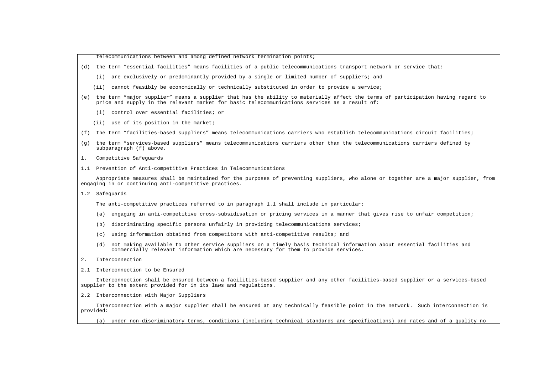telecommunications between and among defined network termination points;

- (d) the term "essential facilities" means facilities of a public telecommunications transport network or service that:
	- (i) are exclusively or predominantly provided by a single or limited number of suppliers; and
	- (ii) cannot feasibly be economically or technically substituted in order to provide a service;
- (e) the term "major supplier" means a supplier that has the ability to materially affect the terms of participation having regard to price and supply in the relevant market for basic telecommunications services as a result of:
	- (i) control over essential facilities; or
	- (ii) use of its position in the market;
- (f) the term "facilities-based suppliers" means telecommunications carriers who establish telecommunications circuit facilities;
- (g) the term "services-based suppliers" means telecommunications carriers other than the telecommunications carriers defined by subparagraph (f) above.
- 1. Competitive Safeguards
- 1.1 Prevention of Anti-competitive Practices in Telecommunications

 Appropriate measures shall be maintained for the purposes of preventing suppliers, who alone or together are a major supplier, from engaging in or continuing anti-competitive practices.

1.2 Safeguards

The anti-competitive practices referred to in paragraph 1.1 shall include in particular:

- (a) engaging in anti-competitive cross-subsidisation or pricing services in a manner that gives rise to unfair competition;
- (b) discriminating specific persons unfairly in providing telecommunications services;
- (c) using information obtained from competitors with anti-competitive results; and
- (d) not making available to other service suppliers on a timely basis technical information about essential facilities and commercially relevant information which are necessary for them to provide services.
- 2. Interconnection
- 2.1 Interconnection to be Ensured

 Interconnection shall be ensured between a facilities-based supplier and any other facilities-based supplier or a services-based supplier to the extent provided for in its laws and regulations.

2.2 Interconnection with Major Suppliers

 Interconnection with a major supplier shall be ensured at any technically feasible point in the network. Such interconnection is provided:

(a) under non-discriminatory terms, conditions (including technical standards and specifications) and rates and of a quality no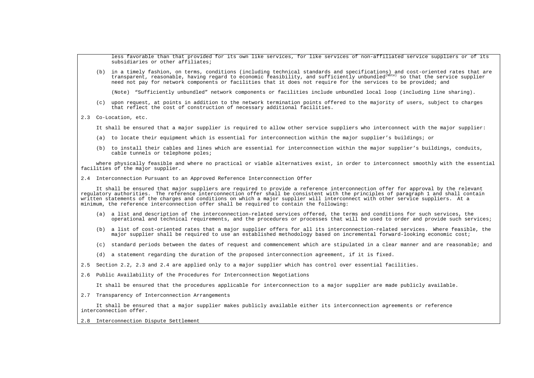less favorable than that provided for its own like services, for like services of non-affiliated service suppliers or of its subsidiaries or other affiliates:

 (b) in a timely fashion, on terms, conditions (including technical standards and specifications) and cost-oriented rates that are  $transparent$ , reasonable, having regard to economic feasibility, and sufficiently unbundled<sup>(Note)</sup> so that the service supplier need not pay for network components or facilities that it does not require for the services to be provided; and

(Note) "Sufficiently unbundled" network components or facilities include unbundled local loop (including line sharing).

 (c) upon request, at points in addition to the network termination points offered to the majority of users, subject to charges that reflect the cost of construction of necessary additional facilities.

#### 2.3 Co-Location, etc.

It shall be ensured that a major supplier is required to allow other service suppliers who interconnect with the major supplier:

- (a) to locate their equipment which is essential for interconnection within the major supplier's buildings; or
- (b) to install their cables and lines which are essential for interconnection within the major supplier's buildings, conduits, cable tunnels or telephone poles;

 where physically feasible and where no practical or viable alternatives exist, in order to interconnect smoothly with the essential facilities of the major supplier.

2.4 Interconnection Pursuant to an Approved Reference Interconnection Offer

 It shall be ensured that major suppliers are required to provide a reference interconnection offer for approval by the relevant regulatory authorities. The reference interconnection offer shall be consistent with the principles of paragraph 1 and shall contain written statements of the charges and conditions on which a major supplier will interconnect with other service suppliers. At a minimum, the reference interconnection offer shall be required to contain the following:

- (a) a list and description of the interconnection-related services offered, the terms and conditions for such services, the operational and technical requirements, and the procedures or processes that will be used to order and provide such services;
- (b) a list of cost-oriented rates that a major supplier offers for all its interconnection-related services. Where feasible, the major supplier shall be required to use an established methodology based on incremental forward-looking economic cost;
- (c) standard periods between the dates of request and commencement which are stipulated in a clear manner and are reasonable; and
- (d) a statement regarding the duration of the proposed interconnection agreement, if it is fixed.
- 2.5 Section 2.2, 2.3 and 2.4 are applied only to a major supplier which has control over essential facilities.
- 2.6 Public Availability of the Procedures for Interconnection Negotiations

It shall be ensured that the procedures applicable for interconnection to a major supplier are made publicly available.

2.7 Transparency of Interconnection Arrangements

 It shall be ensured that a major supplier makes publicly available either its interconnection agreements or reference interconnection offer.

2.8 Interconnection Dispute Settlement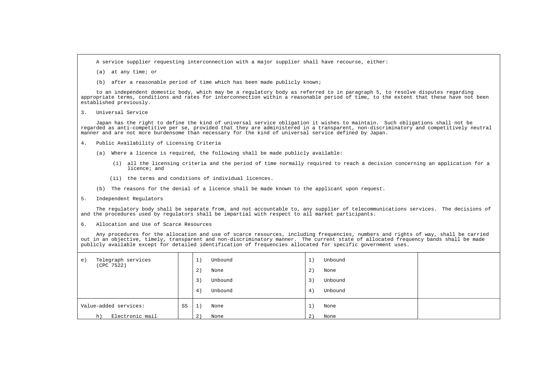A service supplier requesting interconnection with a major supplier shall have recourse, either:

- (a) at any time; or
- (b) after a reasonable period of time which has been made publicly known;

 to an independent domestic body, which may be a regulatory body as referred to in paragraph 5, to resolve disputes regarding appropriate terms, conditions and rates for interconnection within a reasonable period of time, to the extent that these have not been established previously.

3. Universal Service

 Japan has the right to define the kind of universal service obligation it wishes to maintain. Such obligations shall not be regarded as anti-competitive per se, provided that they are administered in a transparent, non-discriminatory and competitively neutral manner and are not more burdensome than necessary for the kind of universal service defined by Japan.

- 4. Public Availability of Licensing Criteria
	- (a) Where a licence is required, the following shall be made publicly available:
		- (i) all the licensing criteria and the period of time normally required to reach a decision concerning an application for a licence; and
		- (ii) the terms and conditions of individual licences.
	- (b) The reasons for the denial of a licence shall be made known to the applicant upon request.
- 5. Independent Regulators

 The regulatory body shall be separate from, and not accountable to, any supplier of telecommunications services. The decisions of and the procedures used by regulators shall be impartial with respect to all market participants.

6. Allocation and Use of Scarce Resources

 Any procedures for the allocation and use of scarce resources, including frequencies, numbers and rights of way, shall be carried out in an objective, timely, transparent and non-discriminatory manner. The current state of allocated frequency bands shall be made publicly available except for detailed identification of frequencies allocated for specific government uses.

|                                                      | 3)<br>4) | Unbound<br>Unbound | 3)<br>4)                  | Unbound<br>Unbound |  |
|------------------------------------------------------|----------|--------------------|---------------------------|--------------------|--|
| Value-added services:<br>SS<br>Electronic mail<br>h) | 1)<br>2) | None<br>None       | $\mathbf{a}$<br>÷щ.<br>2) | None<br>None       |  |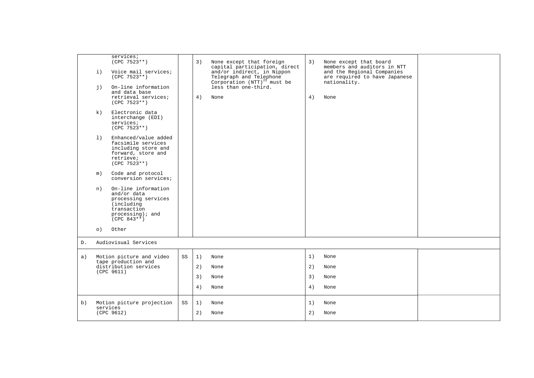|    | $\pm$ )<br>i) | services;<br>$(CPC 7523**)$<br>Voice mail services;<br>$(CPC 7523**)$<br>On-line information                                   |    | 3) | None except that foreign<br>capital participation, direct<br>and/or indirect, in Nippon<br>Telegraph and Telephone<br>Corporation $(NTT)^{25}$ must be<br>less than one-third. | 3) | None except that board<br>members and auditors in NTT<br>and the Regional Companies<br>are required to have Japanese<br>nationality. |  |
|----|---------------|--------------------------------------------------------------------------------------------------------------------------------|----|----|--------------------------------------------------------------------------------------------------------------------------------------------------------------------------------|----|--------------------------------------------------------------------------------------------------------------------------------------|--|
|    |               | and data base<br>retrieval services;<br>$(CPC 7523**)$                                                                         |    | 4) | None                                                                                                                                                                           | 4) | None                                                                                                                                 |  |
|    | k)            | Electronic data<br>interchange (EDI)<br>services;<br>$(CPC 7523**)$                                                            |    |    |                                                                                                                                                                                |    |                                                                                                                                      |  |
|    | 1)            | Enhanced/value added<br>facsimile services<br>including store and<br>forward, store and<br>retrieve;<br>$(CPC 7523**)$         |    |    |                                                                                                                                                                                |    |                                                                                                                                      |  |
|    | m)            | Code and protocol<br>conversion services;                                                                                      |    |    |                                                                                                                                                                                |    |                                                                                                                                      |  |
|    | n)            | On-line information<br>and/or data<br>processing services<br>(including<br>transaction<br>$processing)$ ; and<br>$(CPC 843**)$ |    |    |                                                                                                                                                                                |    |                                                                                                                                      |  |
|    | $\circ$ )     | Other                                                                                                                          |    |    |                                                                                                                                                                                |    |                                                                                                                                      |  |
| D. |               | Audiovisual Services                                                                                                           |    |    |                                                                                                                                                                                |    |                                                                                                                                      |  |
| a) |               | Motion picture and video<br>tape production and                                                                                | SS | 1) | None                                                                                                                                                                           | 1) | None                                                                                                                                 |  |
|    |               | distribution services<br>(CPC 9611)                                                                                            |    | 2) | None                                                                                                                                                                           | 2) | None                                                                                                                                 |  |
|    |               |                                                                                                                                |    | 3) | None                                                                                                                                                                           | 3) | None                                                                                                                                 |  |
|    |               |                                                                                                                                |    | 4) | None                                                                                                                                                                           | 4) | None                                                                                                                                 |  |
| b) |               | Motion picture projection<br>services                                                                                          | SS | 1) | None                                                                                                                                                                           | 1) | None                                                                                                                                 |  |
|    |               | (CPC 9612)                                                                                                                     |    | 2) | None                                                                                                                                                                           | 2) | None                                                                                                                                 |  |
|    |               |                                                                                                                                |    |    |                                                                                                                                                                                |    |                                                                                                                                      |  |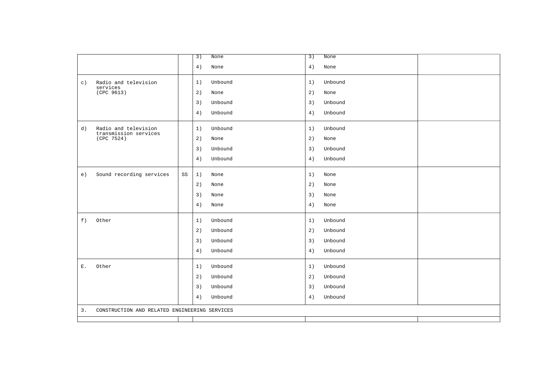|                                                     |    | 3)<br>None    | $\overline{3}$ )<br>None |  |
|-----------------------------------------------------|----|---------------|--------------------------|--|
|                                                     |    | 4)<br>None    | 4)<br>None               |  |
| Radio and television<br>$\circ$ )                   |    | Unbound<br>1) | Unbound<br>1)            |  |
| services<br>(CPC 9613)                              |    | 2)<br>None    | 2)<br>None               |  |
|                                                     |    | 3)<br>Unbound | Unbound<br>3)            |  |
|                                                     |    | 4)<br>Unbound | 4)<br>Unbound            |  |
| Radio and television<br>d)                          |    | 1)<br>Unbound | Unbound<br>1)            |  |
| transmission services<br>(CPC 7524)                 |    | 2)<br>None    | 2)<br>None               |  |
|                                                     |    | 3)<br>Unbound | 3)<br>Unbound            |  |
|                                                     |    | 4)<br>Unbound | 4)<br>Unbound            |  |
| Sound recording services<br>e)                      | SS | 1)<br>None    | 1)<br>None               |  |
|                                                     |    | 2)<br>None    | 2)<br>None               |  |
|                                                     |    | 3)<br>None    | 3)<br>None               |  |
|                                                     |    | 4)<br>None    | 4)<br>None               |  |
| f)<br>Other                                         |    | 1)<br>Unbound | 1)<br>Unbound            |  |
|                                                     |    | 2)<br>Unbound | 2)<br>Unbound            |  |
|                                                     |    | 3)<br>Unbound | Unbound<br>3)            |  |
|                                                     |    | 4)<br>Unbound | 4)<br>Unbound            |  |
| Ε.<br>Other                                         |    | 1)<br>Unbound | 1)<br>Unbound            |  |
|                                                     |    | 2)<br>Unbound | 2)<br>Unbound            |  |
|                                                     |    | 3)<br>Unbound | 3)<br>Unbound            |  |
|                                                     |    | 4)<br>Unbound | Unbound<br>4)            |  |
| 3.<br>CONSTRUCTION AND RELATED ENGINEERING SERVICES |    |               |                          |  |
|                                                     |    |               |                          |  |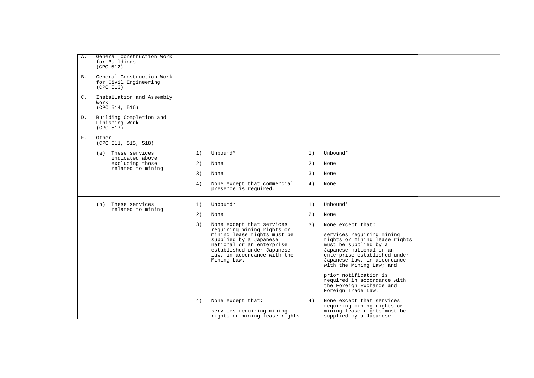| Α.             | General Construction Work<br>for Buildings<br>(CPC 512)         |    |                                                                                                                                                                |    |                                                                                                                                                                                                           |  |
|----------------|-----------------------------------------------------------------|----|----------------------------------------------------------------------------------------------------------------------------------------------------------------|----|-----------------------------------------------------------------------------------------------------------------------------------------------------------------------------------------------------------|--|
| <b>B</b> .     | General Construction Work<br>for Civil Engineering<br>(CPC 513) |    |                                                                                                                                                                |    |                                                                                                                                                                                                           |  |
| $\mathsf{C}$ . | Installation and Assembly<br>Work<br>(CPC 514, 516)             |    |                                                                                                                                                                |    |                                                                                                                                                                                                           |  |
| D.             | Building Completion and<br>Finishing Work<br>(CPC 517)          |    |                                                                                                                                                                |    |                                                                                                                                                                                                           |  |
| Ε.             | Other<br>(CPC 511, 515, 518)                                    |    |                                                                                                                                                                |    |                                                                                                                                                                                                           |  |
|                | These services<br>(a)<br>indicated above                        | 1) | Unbound*                                                                                                                                                       | 1) | Unbound*                                                                                                                                                                                                  |  |
|                | excluding those<br>related to mining                            | 2) | None                                                                                                                                                           | 2) | None                                                                                                                                                                                                      |  |
|                |                                                                 | 3) | None                                                                                                                                                           | 3) | None                                                                                                                                                                                                      |  |
|                |                                                                 | 4) | None except that commercial<br>presence is required.                                                                                                           | 4) | None                                                                                                                                                                                                      |  |
|                | These services<br>(b)<br>related to mining                      | 1) | Unbound*                                                                                                                                                       | 1) | Unbound*                                                                                                                                                                                                  |  |
|                |                                                                 | 2) | None                                                                                                                                                           | 2) | None                                                                                                                                                                                                      |  |
|                |                                                                 | 3) | None except that services<br>requiring mining rights or                                                                                                        | 3) | None except that:                                                                                                                                                                                         |  |
|                |                                                                 |    | mining lease rights must be<br>supplied by a Japanese<br>national or an enterprise<br>established under Japanese<br>law, in accordance with the<br>Mining Law. |    | services requiring mining<br>rights or mining lease rights<br>must be supplied by a<br>Japanese national or an<br>enterprise established under<br>Japanese law, in accordance<br>with the Mining Law; and |  |
|                |                                                                 |    |                                                                                                                                                                |    | prior notification is<br>required in accordance with<br>the Foreign Exchange and<br>Foreign Trade Law.                                                                                                    |  |
|                |                                                                 | 4) | None except that:<br>services requiring mining<br>rights or mining lease rights                                                                                | 4) | None except that services<br>requiring mining rights or<br>mining lease rights must be<br>supplied by a Japanese                                                                                          |  |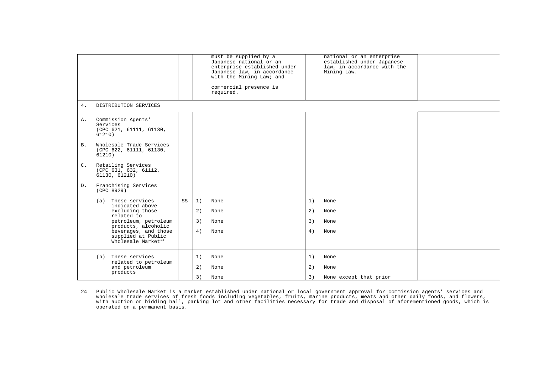|                |                                                                              |    | required.  | must be supplied by a<br>Japanese national or an<br>enterprise established under<br>Japanese law, in accordance<br>with the Mining Law; and<br>commercial presence is |    | national or an enterprise<br>established under Japanese<br>law, in accordance with the<br>Mining Law. |  |
|----------------|------------------------------------------------------------------------------|----|------------|-----------------------------------------------------------------------------------------------------------------------------------------------------------------------|----|-------------------------------------------------------------------------------------------------------|--|
| 4.             | DISTRIBUTION SERVICES                                                        |    |            |                                                                                                                                                                       |    |                                                                                                       |  |
| Α.             | Commission Agents'<br>Services<br>(CPC 621, 61111, 61130,<br>61210)          |    |            |                                                                                                                                                                       |    |                                                                                                       |  |
| B.             | Wholesale Trade Services<br>(CPC 622, 61111, 61130,<br>61210)                |    |            |                                                                                                                                                                       |    |                                                                                                       |  |
| $\mathsf{C}$ . | Retailing Services<br>(CPC 631, 632, 61112,<br>61130, 61210)                 |    |            |                                                                                                                                                                       |    |                                                                                                       |  |
| D.             | Franchising Services<br>(CPC 8929)                                           |    |            |                                                                                                                                                                       |    |                                                                                                       |  |
|                | These services<br>(a)<br>indicated above                                     | SS | 1)<br>None |                                                                                                                                                                       | 1) | None                                                                                                  |  |
|                | excluding those<br>related to                                                |    | 2)<br>None |                                                                                                                                                                       | 2) | None                                                                                                  |  |
|                | petroleum, petroleum<br>products, alcoholic                                  |    | 3)<br>None |                                                                                                                                                                       | 3) | None                                                                                                  |  |
|                | beverages, and those<br>supplied at Public<br>Wholesale Market <sup>24</sup> |    | 4)<br>None |                                                                                                                                                                       | 4) | None                                                                                                  |  |
|                | These services<br>(b)                                                        |    | 1)<br>None |                                                                                                                                                                       | 1) | None                                                                                                  |  |
|                | related to petroleum<br>and petroleum<br>products                            |    | 2)<br>None |                                                                                                                                                                       | 2) | None                                                                                                  |  |
|                |                                                                              |    | 3)<br>None |                                                                                                                                                                       | 3) | None except that prior                                                                                |  |

<span id="page-35-0"></span>24 Public Wholesale Market is a market established under national or local government approval for commission agents' services and<br>wholesale trade services of fresh foods including vegetables, fruits, marine products, me with auction or bidding hall, parking lot and other facilities necessary for trade and disposal of aforementioned goods, which is operated on a permanent basis.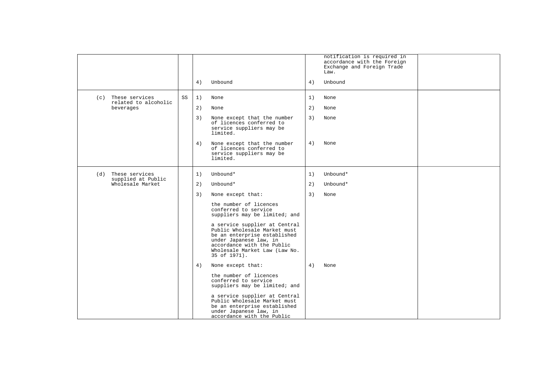|                                               |    |    |                                                                                                                                                                                                        |    | notification is required in<br>accordance with the Foreign<br>Exchange and Foreign Trade<br>Law. |  |
|-----------------------------------------------|----|----|--------------------------------------------------------------------------------------------------------------------------------------------------------------------------------------------------------|----|--------------------------------------------------------------------------------------------------|--|
|                                               |    | 4) | Unbound                                                                                                                                                                                                | 4) | Unbound                                                                                          |  |
| These services<br>(c)<br>related to alcoholic | SS | 1) | None                                                                                                                                                                                                   | 1) | None                                                                                             |  |
| beverages                                     |    | 2) | None                                                                                                                                                                                                   | 2) | None                                                                                             |  |
|                                               |    | 3) | None except that the number<br>of licences conferred to<br>service suppliers may be<br>limited.                                                                                                        | 3) | None                                                                                             |  |
|                                               |    | 4) | None except that the number<br>of licences conferred to<br>service suppliers may be<br>limited.                                                                                                        | 4) | None                                                                                             |  |
| These services<br>(d)                         |    | 1) | Unbound*                                                                                                                                                                                               | 1) | Unbound*                                                                                         |  |
| supplied at Public<br>Wholesale Market        |    | 2) | Unbound*                                                                                                                                                                                               | 2) | Unbound*                                                                                         |  |
|                                               |    | 3) | None except that:                                                                                                                                                                                      | 3) | None                                                                                             |  |
|                                               |    |    | the number of licences<br>conferred to service<br>suppliers may be limited; and                                                                                                                        |    |                                                                                                  |  |
|                                               |    |    | a service supplier at Central<br>Public Wholesale Market must<br>be an enterprise established<br>under Japanese law, in<br>accordance with the Public<br>Wholesale Market Law (Law No.<br>35 of 1971). |    |                                                                                                  |  |
|                                               |    | 4) | None except that:                                                                                                                                                                                      | 4) | None                                                                                             |  |
|                                               |    |    | the number of licences<br>conferred to service<br>suppliers may be limited; and                                                                                                                        |    |                                                                                                  |  |
|                                               |    |    | a service supplier at Central<br>Public Wholesale Market must<br>be an enterprise established<br>under Japanese law, in<br>accordance with the Public                                                  |    |                                                                                                  |  |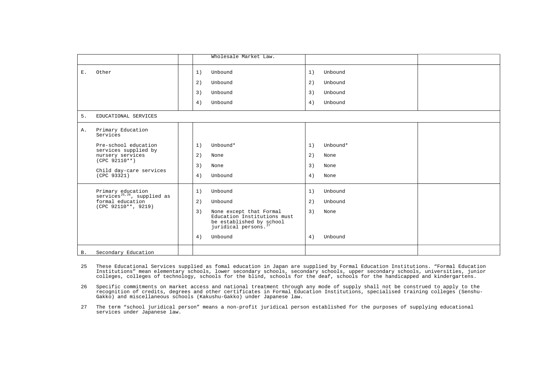|           |                                                              | Wholesale Market Law.                                                                                                        |                |
|-----------|--------------------------------------------------------------|------------------------------------------------------------------------------------------------------------------------------|----------------|
| Ε.        | Other                                                        | Unbound<br>1)                                                                                                                | Unbound<br>1)  |
|           |                                                              | 2)<br>Unbound                                                                                                                | 2)<br>Unbound  |
|           |                                                              | 3)<br>Unbound                                                                                                                | Unbound<br>3)  |
|           |                                                              | 4)<br>Unbound                                                                                                                | 4)<br>Unbound  |
| 5.        | EDUCATIONAL SERVICES                                         |                                                                                                                              |                |
| Α.        | Primary Education<br>Services                                |                                                                                                                              |                |
|           | Pre-school education                                         | Unbound*<br>1)                                                                                                               | Unbound*<br>1) |
|           | services supplied by<br>nursery services                     | 2)<br>None                                                                                                                   | 2)<br>None     |
|           | $(CPC 92110**)$                                              | 3)<br>None                                                                                                                   | 3)<br>None     |
|           | Child day-care services<br>(CPC 93321)                       | Unbound<br>4)                                                                                                                | 4)<br>None     |
|           | Primary education<br>services <sup>25,26</sup> , supplied as | Unbound<br>1)                                                                                                                | Unbound<br>1)  |
|           | formal education<br>(CPC 92110**, 9219)                      | 2)<br>Unbound                                                                                                                | 2)<br>Unbound  |
|           |                                                              | 3)<br>None except that Formal<br>Education Institutions must<br>be established by school<br>juridical persons. <sup>27</sup> | 3)<br>None     |
|           |                                                              | Unbound<br>4)                                                                                                                | Unbound<br>4)  |
| <b>B.</b> | Secondary Education                                          |                                                                                                                              |                |

- <span id="page-37-0"></span>25 These Educational Services supplied as fomal education in Japan are supplied by Formal Education Institutions. "Formal Education Institutions" mean elementary schools, lower secondary schools, secondary schools, upper secondary schools, universities, junior colleges, colleges of technology, schools for the blind, schools for the deaf, schools for the handicapped and kindergartens.
- <span id="page-37-1"></span>26 Specific commitments on market access and national treatment through any mode of supply shall not be construed to apply to the recognition of credits, degrees and other certificates in Formal Education Institutions, specialised training colleges (Senshu-Gakko) and miscellaneous schools (Kakushu-Gakko) under Japanese law.
- <span id="page-37-2"></span>27 The term "school juridical person" means a non-profit juridical person established for the purposes of supplying educational services under Japanese law.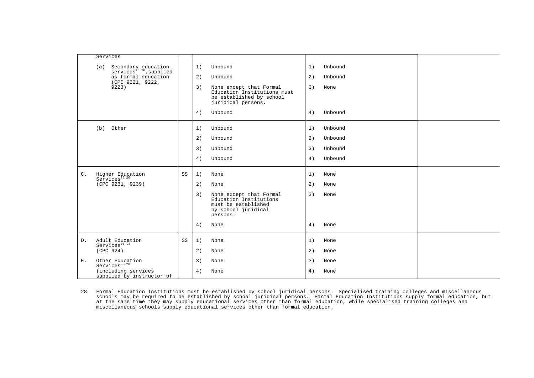|                | Services                                                           |    |    |                                                                                                             |    |         |  |
|----------------|--------------------------------------------------------------------|----|----|-------------------------------------------------------------------------------------------------------------|----|---------|--|
|                | Secondary education<br>services <sup>25,26</sup> , supplied<br>(a) |    | 1) | Unbound                                                                                                     | 1) | Unbound |  |
|                | as formal education<br>(CPC 9221, 9222,                            |    | 2) | Unbound                                                                                                     | 2) | Unbound |  |
|                | 9223)                                                              |    | 3) | None except that Formal<br>Education Institutions must<br>be established by school<br>juridical persons.    | 3) | None    |  |
|                |                                                                    |    | 4) | Unbound                                                                                                     | 4) | Unbound |  |
|                | (b) Other                                                          |    | 1) | Unbound                                                                                                     | 1) | Unbound |  |
|                |                                                                    |    | 2) | Unbound                                                                                                     | 2) | Unbound |  |
|                |                                                                    |    | 3) | Unbound                                                                                                     | 3) | Unbound |  |
|                |                                                                    |    | 4) | Unbound                                                                                                     | 4) | Unbound |  |
| $\mathsf{C}$ . | Higher Education<br>Services <sup>25,26</sup>                      | SS | 1) | None                                                                                                        | 1) | None    |  |
|                | (CPC 9231, 9239)                                                   |    | 2) | None                                                                                                        | 2) | None    |  |
|                |                                                                    |    | 3) | None except that Formal<br>Education Institutions<br>must be established<br>by school juridical<br>persons. | 3) | None    |  |
|                |                                                                    |    | 4) | None                                                                                                        | 4) | None    |  |
| D.             | Adult Education<br>Services <sup>26,28</sup>                       | SS | 1) | None                                                                                                        | 1) | None    |  |
|                | (CPC 924)                                                          |    | 2) | None                                                                                                        | 2) | None    |  |
| Ε.             | Other Education<br>Services <sup>26,28</sup>                       |    | 3) | None                                                                                                        | 3) | None    |  |
|                | (including services<br>supplied by instructor of                   |    | 4) | None                                                                                                        | 4) | None    |  |

<span id="page-38-0"></span>28 Formal Education Institutions must be established by school juridical persons. Specialised training colleges and miscellaneous<br>schools may be required to be established by school juridical persons. Formal Education Inst at the same time they may supply educational services other than formal education, while specialised training colleges and miscellaneous schools supply educational services other than formal education.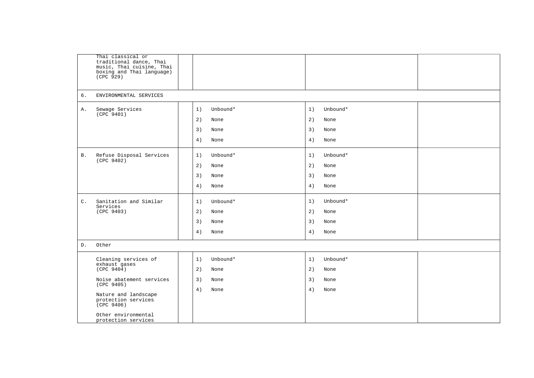|                | Thai classical or<br>traditional dance, Thai<br>music, Thai cuisine, Thai<br>boxing and Thai language)<br>(CPC 929) |                |                |  |
|----------------|---------------------------------------------------------------------------------------------------------------------|----------------|----------------|--|
| 6.             | ENVIRONMENTAL SERVICES                                                                                              |                |                |  |
| Α.             | Sewage Services<br>(CPC 9401)                                                                                       | Unbound*<br>1) | 1)<br>Unbound* |  |
|                |                                                                                                                     | 2)<br>None     | 2)<br>None     |  |
|                |                                                                                                                     | 3)<br>None     | 3)<br>None     |  |
|                |                                                                                                                     | 4)<br>None     | 4)<br>None     |  |
| Β.             | Refuse Disposal Services                                                                                            | 1)<br>Unbound* | 1)<br>Unbound* |  |
|                | (CPC 9402)                                                                                                          | 2)<br>None     | 2)<br>None     |  |
|                |                                                                                                                     | 3)<br>None     | 3)<br>None     |  |
|                |                                                                                                                     | 4)<br>None     | 4)<br>None     |  |
| $\mathsf{C}$ . | Sanitation and Similar<br>Services                                                                                  | Unbound*<br>1) | Unbound*<br>1) |  |
|                | (CPC 9403)                                                                                                          | 2)<br>None     | 2)<br>None     |  |
|                |                                                                                                                     | 3)<br>None     | 3)<br>None     |  |
|                |                                                                                                                     | 4)<br>None     | 4)<br>None     |  |
| D.             | Other                                                                                                               |                |                |  |
|                | Cleaning services of<br>exhaust gases                                                                               | Unbound*<br>1) | 1)<br>Unbound* |  |
|                | (CPC 9404)                                                                                                          | 2)<br>None     | 2)<br>None     |  |
|                | Noise abatement services<br>(CPC 9405)                                                                              | 3)<br>None     | 3)<br>None     |  |
|                | Nature and landscape<br>protection services<br>(CPC 9406)                                                           | 4)<br>None     | 4)<br>None     |  |
|                | Other environmental<br>protection services                                                                          |                |                |  |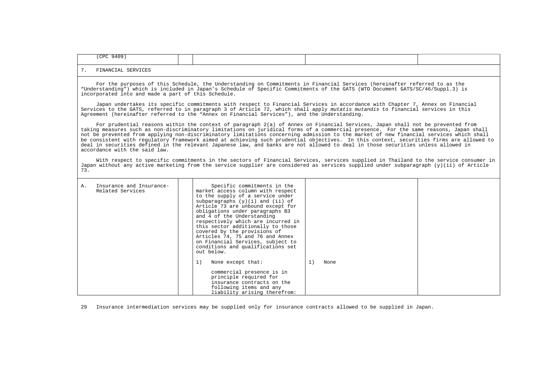| $0A \cap Q$<br>CDC |  |  |
|--------------------|--|--|
|                    |  |  |

 For the purposes of this Schedule, the Understanding on Commitments in Financial Services (hereinafter referred to as the "Understanding") which is included in Japan's Schedule of Specific Commitments of the GATS (WTO Document GATS/SC/46/Suppl.3) is incorporated into and made a part of this Schedule.

 Japan undertakes its specific commitments with respect to Financial Services in accordance with Chapter 7, Annex on Financial Services to the GATS, referred to in paragraph 3 of Article 72, which shall apply *mutatis mutandis* to financial services in this Agreement (hereinafter referred to the "Annex on Financial Services"), and the Understanding.

 For prudential reasons within the context of paragraph 2(a) of Annex on Financial Services, Japan shall not be prevented from taking measures such as non-discriminatory limitations on juridical forms of a commercial presence. For the same reasons, Japan shall not be prevented from applying non-discriminatory limitations concerning admission to the market of new financial services which shall be consistent with regulatory framework aimed at achieving such prudential objectives. In this context, securities firms are allowed to deal in securities defined in the relevant Japanese law, and banks are not allowed to deal in those securities unless allowed in accordance with the said law.

 With respect to specific commitments in the sectors of Financial Services, services supplied in Thailand to the service consumer in Japan without any active marketing from the service supplier are considered as services supplied under subparagraph (y)(ii) of Article 73.

| Insurance and Insurance-<br>Α.<br>Related Services | Specific commitments in the<br>market access column with respect<br>to the supply of a service under<br>subparagraphs $(y)(i)$ and $(ii)$ of<br>Article 73 are unbound except for<br>obligations under paragraphs B3<br>and 4 of the Understanding<br>respectively which are incurred in<br>this sector additionally to those<br>covered by the provisions of<br>Articles 74, 75 and 76 and Annex<br>on Financial Services, subject to<br>conditions and qualifications set<br>out below. |      |
|----------------------------------------------------|-------------------------------------------------------------------------------------------------------------------------------------------------------------------------------------------------------------------------------------------------------------------------------------------------------------------------------------------------------------------------------------------------------------------------------------------------------------------------------------------|------|
|                                                    | 1)<br>1)<br>None except that:                                                                                                                                                                                                                                                                                                                                                                                                                                                             | None |
|                                                    | commercial presence is in<br>principle required for<br>insurance contracts on the<br>following items and any<br>liability arising therefrom:                                                                                                                                                                                                                                                                                                                                              |      |

29 Insurance intermediation services may be supplied only for insurance contracts allowed to be supplied in Japan.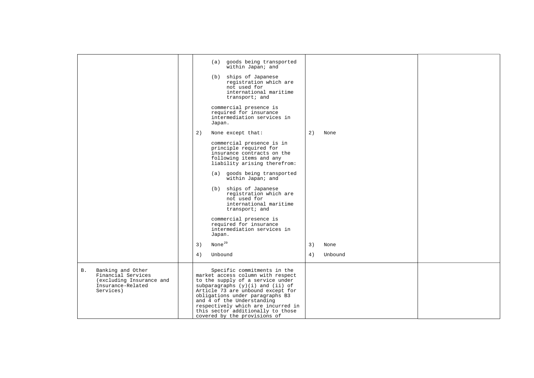<span id="page-41-0"></span>

|                                                                                                                    | (a) goods being transported<br>within Japan; and<br>(b) ships of Japanese<br>registration which are<br>not used for<br>international maritime<br>transport; and<br>commercial presence is<br>required for insurance<br>intermediation services in<br>Japan.                                                                                                                                       |               |  |
|--------------------------------------------------------------------------------------------------------------------|---------------------------------------------------------------------------------------------------------------------------------------------------------------------------------------------------------------------------------------------------------------------------------------------------------------------------------------------------------------------------------------------------|---------------|--|
|                                                                                                                    | 2)<br>None except that:                                                                                                                                                                                                                                                                                                                                                                           | 2)<br>None    |  |
|                                                                                                                    | commercial presence is in<br>principle required for<br>insurance contracts on the<br>following items and any<br>liability arising therefrom:<br>(a) goods being transported<br>within Japan; and<br>(b) ships of Japanese<br>registration which are<br>not used for<br>international maritime<br>transport; and<br>commercial presence is<br>required for insurance<br>intermediation services in |               |  |
|                                                                                                                    | Japan.                                                                                                                                                                                                                                                                                                                                                                                            |               |  |
|                                                                                                                    | None $^{29}$<br>3)                                                                                                                                                                                                                                                                                                                                                                                | 3)<br>None    |  |
|                                                                                                                    | Unbound<br>4)                                                                                                                                                                                                                                                                                                                                                                                     | Unbound<br>4) |  |
| Banking and Other<br><b>B.</b><br>Financial Services<br>(excluding Insurance and<br>Insurance-Related<br>Services) | Specific commitments in the<br>market access column with respect<br>to the supply of a service under<br>subparagraphs $(y)(i)$ and $(ii)$ of<br>Article 73 are unbound except for<br>obligations under paragraphs B3<br>and 4 of the Understanding<br>respectively which are incurred in<br>this sector additionally to those<br>covered by the provisions of                                     |               |  |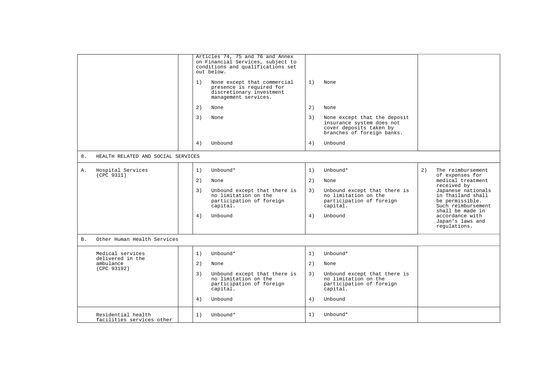|            |                                                 |    | Articles 74, 75 and 76 and Annex<br>on Financial Services, subject to<br>conditions and qualifications set<br>out below. |    |                                                                                                                    |    |                                                                                                      |
|------------|-------------------------------------------------|----|--------------------------------------------------------------------------------------------------------------------------|----|--------------------------------------------------------------------------------------------------------------------|----|------------------------------------------------------------------------------------------------------|
|            |                                                 | 1) | None except that commercial<br>presence is required for<br>discretionary investment<br>management services.              | 1) | None                                                                                                               |    |                                                                                                      |
|            |                                                 | 2) | None                                                                                                                     | 2) | None                                                                                                               |    |                                                                                                      |
|            |                                                 | 3) | None                                                                                                                     | 3) | None except that the deposit<br>insurance system does not<br>cover deposits taken by<br>branches of foreign banks. |    |                                                                                                      |
|            |                                                 | 4) | Unbound                                                                                                                  | 4) | Unbound                                                                                                            |    |                                                                                                      |
| 8.         | HEALTH RELATED AND SOCIAL SERVICES              |    |                                                                                                                          |    |                                                                                                                    |    |                                                                                                      |
| Α.         | Hospital Services<br>(CPC 9311)                 | 1) | Unbound*                                                                                                                 | 1) | Unbound*                                                                                                           | 2) | The reimbursement                                                                                    |
|            |                                                 | 2) | None                                                                                                                     | 2) | None                                                                                                               |    | of expenses for<br>medical treatment<br>received by                                                  |
|            |                                                 | 3) | Unbound except that there is<br>no limitation on the<br>participation of foreign<br>capital.                             | 3) | Unbound except that there is<br>no limitation on the<br>participation of foreign<br>capital.                       |    | Japanese nationals<br>in Thailand shall<br>be permissible.<br>Such reimbursement<br>shall be made in |
|            |                                                 | 4) | Unbound                                                                                                                  | 4) | Unbound                                                                                                            |    | accordance with<br>Japan's laws and<br>regulations.                                                  |
| <b>B</b> . | Other Human Health Services                     |    |                                                                                                                          |    |                                                                                                                    |    |                                                                                                      |
|            | Medical services                                | 1) | Unbound*                                                                                                                 | 1) | Unbound*                                                                                                           |    |                                                                                                      |
|            | delivered in the<br>ambulance                   | 2) | None                                                                                                                     | 2) | None                                                                                                               |    |                                                                                                      |
|            | (CPC 93192)                                     | 3) | Unbound except that there is<br>no limitation on the<br>participation of foreign<br>capital.                             | 3) | Unbound except that there is<br>no limitation on the<br>participation of foreign<br>capital.                       |    |                                                                                                      |
|            |                                                 | 4) | Unbound                                                                                                                  | 4) | Unbound                                                                                                            |    |                                                                                                      |
|            | Residential health<br>facilities services other | 1) | Unbound*                                                                                                                 | 1) | Unbound*                                                                                                           |    |                                                                                                      |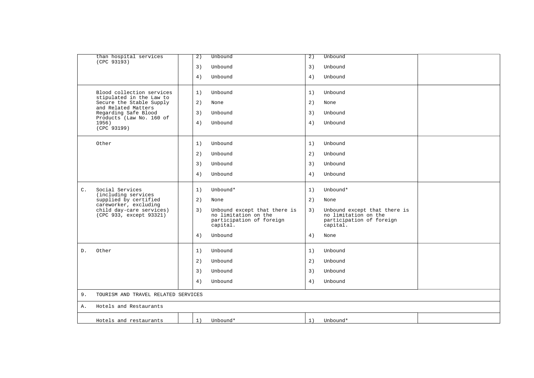| than hospital services<br>(CPC 93193)                    | $\overline{2}$ ) | Unbound                                                                                      | 2) | Unbound                                                                                      |  |
|----------------------------------------------------------|------------------|----------------------------------------------------------------------------------------------|----|----------------------------------------------------------------------------------------------|--|
|                                                          | 3)               | Unbound                                                                                      | 3) | Unbound                                                                                      |  |
|                                                          | 4)               | Unbound                                                                                      | 4) | Unbound                                                                                      |  |
| Blood collection services<br>stipulated in the Law to    | 1)               | Unbound                                                                                      | 1) | Unbound                                                                                      |  |
| Secure the Stable Supply<br>and Related Matters          | 2)               | None                                                                                         | 2) | None                                                                                         |  |
| Regarding Safe Blood<br>Products (Law No. 160 of         | 3)               | Unbound                                                                                      | 3) | Unbound                                                                                      |  |
| 1956)<br>(CPC 93199)                                     | 4)               | Unbound                                                                                      | 4) | Unbound                                                                                      |  |
| Other                                                    | 1)               | Unbound                                                                                      | 1) | Unbound                                                                                      |  |
|                                                          | 2)               | Unbound                                                                                      | 2) | Unbound                                                                                      |  |
|                                                          | 3)               | Unbound                                                                                      | 3) | Unbound                                                                                      |  |
|                                                          | 4)               | Unbound                                                                                      | 4) | Unbound                                                                                      |  |
| Social Services<br>$\mathsf{C}$ .<br>(including services | 1)               | Unbound*                                                                                     | 1) | Unbound*                                                                                     |  |
| supplied by certified<br>careworker, excluding           | 2)               | None                                                                                         | 2) | None                                                                                         |  |
| child day-care services)<br>(CPC 933, except 93321)      | 3)               | Unbound except that there is<br>no limitation on the<br>participation of foreign<br>capital. | 3) | Unbound except that there is<br>no limitation on the<br>participation of foreign<br>capital. |  |
|                                                          | 4)               | Unbound                                                                                      | 4) | None                                                                                         |  |
| D.<br>Other                                              | 1)               | Unbound                                                                                      | 1) | Unbound                                                                                      |  |
|                                                          | 2)               | Unbound                                                                                      | 2) | Unbound                                                                                      |  |
|                                                          | 3)               | Unbound                                                                                      | 3) | Unbound                                                                                      |  |
|                                                          | 4)               | Unbound                                                                                      | 4) | Unbound                                                                                      |  |
| 9.<br>TOURISM AND TRAVEL RELATED SERVICES                |                  |                                                                                              |    |                                                                                              |  |
| Hotels and Restaurants<br>Α.                             |                  |                                                                                              |    |                                                                                              |  |
| Hotels and restaurants                                   | 1)               | Unbound*                                                                                     | 1) | Unbound*                                                                                     |  |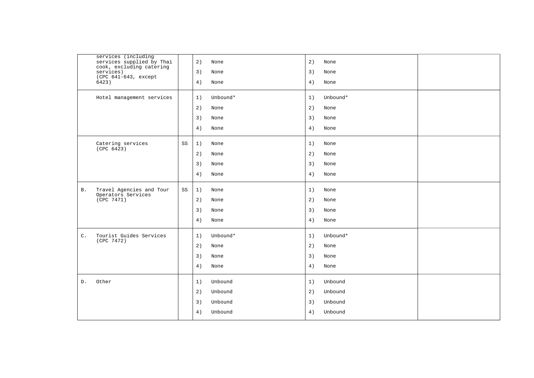|                | services (including<br>services supplied by Thai |             | 2) | None     | 2) | None     |  |
|----------------|--------------------------------------------------|-------------|----|----------|----|----------|--|
|                | cook, excluding catering<br>services)            |             | 3) | None     | 3) | None     |  |
|                | (CPC 641-643, except<br>6423)                    |             | 4) | None     | 4) | None     |  |
|                | Hotel management services                        |             | 1) | Unbound* | 1) | Unbound* |  |
|                |                                                  |             | 2) | None     | 2) | None     |  |
|                |                                                  |             | 3) | None     | 3) | None     |  |
|                |                                                  |             | 4) | None     | 4) | None     |  |
|                | Catering services<br>(CPC 6423)                  | SS          | 1) | None     | 1) | None     |  |
|                |                                                  |             | 2) | None     | 2) | None     |  |
|                |                                                  |             | 3) | None     | 3) | None     |  |
|                |                                                  |             | 4) | None     | 4) | None     |  |
| <b>B</b> .     | Travel Agencies and Tour<br>Operators Services   | $_{\rm SS}$ | 1) | None     | 1) | None     |  |
|                | (CPC 7471)                                       |             | 2) | None     | 2) | None     |  |
|                |                                                  |             | 3) | None     | 3) | None     |  |
|                |                                                  |             | 4) | None     | 4) | None     |  |
| $\mathsf{C}$ . | Tourist Guides Services<br>(CPC 7472)            |             | 1) | Unbound* | 1) | Unbound* |  |
|                |                                                  |             | 2) | None     | 2) | None     |  |
|                |                                                  |             | 3) | None     | 3) | None     |  |
|                |                                                  |             | 4) | None     | 4) | None     |  |
| D.             | Other                                            |             | 1) | Unbound  | 1) | Unbound  |  |
|                |                                                  |             | 2) | Unbound  | 2) | Unbound  |  |
|                |                                                  |             | 3) | Unbound  | 3) | Unbound  |  |
|                |                                                  |             | 4) | Unbound  | 4) | Unbound  |  |
|                |                                                  |             |    |          |    |          |  |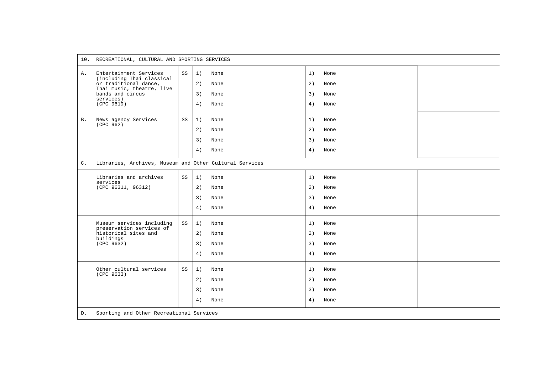|                | 10. RECREATIONAL, CULTURAL AND SPORTING SERVICES                                                                                                         |    |                                                      |                      |                              |  |  |
|----------------|----------------------------------------------------------------------------------------------------------------------------------------------------------|----|------------------------------------------------------|----------------------|------------------------------|--|--|
| Α.             | Entertainment Services<br>(including Thai classical<br>or traditional dance,<br>Thai music, theatre, live<br>bands and circus<br>services)<br>(CPC 9619) | SS | 1)<br>None<br>2)<br>None<br>3)<br>None<br>4)<br>None | 1)<br>2)<br>3)<br>4) | None<br>None<br>None<br>None |  |  |
| <b>B.</b>      | News agency Services<br>(CPC 962)                                                                                                                        | SS | 1)<br>None<br>2)<br>None<br>3)<br>None<br>4)<br>None | 1)<br>2)<br>3)<br>4) | None<br>None<br>None<br>None |  |  |
| $\mathsf{C}$ . | Libraries, Archives, Museum and Other Cultural Services                                                                                                  |    |                                                      |                      |                              |  |  |
|                | Libraries and archives<br>services<br>(CPC 96311, 96312)                                                                                                 | SS | 1)<br>None<br>2)<br>None<br>3)<br>None<br>4)<br>None | 1)<br>2)<br>3)<br>4) | None<br>None<br>None<br>None |  |  |
|                | Museum services including<br>preservation services of<br>historical sites and<br>buildings<br>(CPC 9632)                                                 | SS | 1)<br>None<br>2)<br>None<br>3)<br>None<br>4)<br>None | 1)<br>2)<br>3)<br>4) | None<br>None<br>None<br>None |  |  |
| D.             | Other cultural services<br>(CPC 9633)                                                                                                                    | SS | None<br>1)<br>2)<br>None<br>3)<br>None<br>4)<br>None | 1)<br>2)<br>3)<br>4) | None<br>None<br>None<br>None |  |  |
|                | Sporting and Other Recreational Services                                                                                                                 |    |                                                      |                      |                              |  |  |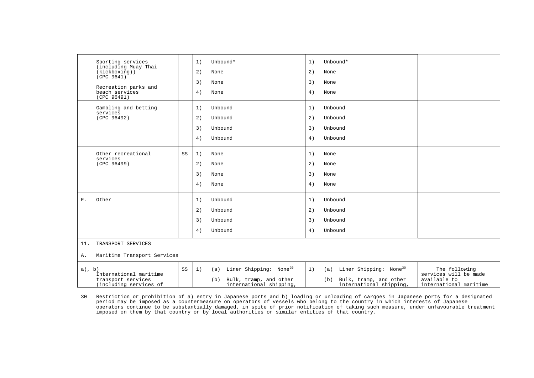|                | Sporting services<br>(including Muay Thai<br>(kickboxing))             |    | 1)<br>2)             | Unbound*<br>None                                                                                      | 1)<br>2)             | Unbound*<br>None                                                                                     |                                                                                  |
|----------------|------------------------------------------------------------------------|----|----------------------|-------------------------------------------------------------------------------------------------------|----------------------|------------------------------------------------------------------------------------------------------|----------------------------------------------------------------------------------|
|                | (CPC 9641)<br>Recreation parks and<br>beach services<br>(CPC 96491)    |    | 3)<br>4)             | None<br>None                                                                                          | 3)<br>4)             | None<br>None                                                                                         |                                                                                  |
|                | Gambling and betting<br>services<br>(CPC 96492)                        |    | 1)<br>2)<br>3)<br>4) | Unbound<br>Unbound<br>Unbound<br>Unbound                                                              | 1)<br>2)<br>3)<br>4) | Unbound<br>Unbound<br>Unbound<br>Unbound                                                             |                                                                                  |
|                | Other recreational<br>services<br>(CPC 96499)                          | SS | 1)<br>2)<br>3)<br>4) | None<br>None<br>None<br>None                                                                          | 1)<br>2)<br>3)<br>4) | None<br>None<br>None<br>None                                                                         |                                                                                  |
| $\mathbf{E}$ . | Other                                                                  |    | 1)<br>2)<br>3)<br>4) | Unbound<br>Unbound<br>Unbound<br>Unbound                                                              | 1)<br>2)<br>3)<br>4) | Unbound<br>Unbound<br>Unbound<br>Unbound                                                             |                                                                                  |
| 11.            | TRANSPORT SERVICES                                                     |    |                      |                                                                                                       |                      |                                                                                                      |                                                                                  |
| Α.             | Maritime Transport Services                                            |    |                      |                                                                                                       |                      |                                                                                                      |                                                                                  |
| $a)$ , $b)$    | International maritime<br>transport services<br>(including services of | SS | 1)                   | Liner Shipping: None <sup>30</sup><br>(a)<br>Bulk, tramp, and other<br>(b)<br>international shipping, | 1)                   | Liner Shipping: None <sup>30</sup><br>(a)<br>Bulk, tramp, and other<br>(b)<br>international shipping | The following<br>services will be made<br>available to<br>international maritime |

<span id="page-46-0"></span>30 Restriction or prohibition of a) entry in Japanese ports and b) loading or unloading of cargoes in Japanese ports for a designated period may be imposed as a countermeasure on operators of vessels who belong to the country in which interests of Japanese<br>operators continue to be substantially damaged, in spite of prior notification of taking such measu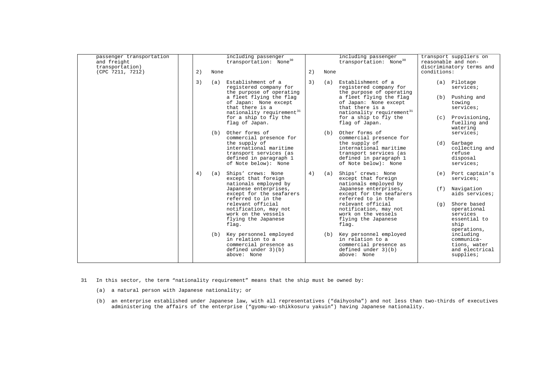| passenger transportation<br>and freight<br>transportation)<br>(CPC 7211, 7212) | 2) | None | including passenger<br>transportation: None <sup>30</sup>                                                  | 2) | None | including passenger<br>transportation: None <sup>30</sup>                                                  | transport suppliers on<br>reasonable and non-<br>discriminatory terms and<br>conditions: |                                                                                       |
|--------------------------------------------------------------------------------|----|------|------------------------------------------------------------------------------------------------------------|----|------|------------------------------------------------------------------------------------------------------------|------------------------------------------------------------------------------------------|---------------------------------------------------------------------------------------|
|                                                                                | 3) | (a)  | Establishment of a<br>registered company for                                                               | 3) | (a)  | Establishment of a<br>registered company for                                                               | (a) Pilotage                                                                             | services;                                                                             |
|                                                                                |    |      | the purpose of operating<br>a fleet flying the flag<br>of Japan: None except<br>that there is a            |    |      | the purpose of operating<br>a fleet flying the flag<br>of Japan: None except<br>that there is a            | (b)<br>towing                                                                            | Pushing and<br>services;                                                              |
|                                                                                |    |      | nationality requirement <sup>31</sup><br>for a ship to fly the<br>flag of Japan.                           |    |      | nationality requirement <sup>31</sup><br>for a ship to fly the<br>flag of Japan.                           | (c)<br>watering                                                                          | Provisioning,<br>fuelling and                                                         |
|                                                                                |    | (b)  | Other forms of<br>commercial presence for<br>the supply of<br>international maritime                       |    | (b)  | Other forms of<br>commercial presence for<br>the supply of<br>international maritime                       | (d)<br>Garbage                                                                           | services;<br>collecting and                                                           |
|                                                                                |    |      | transport services (as<br>defined in paragraph 1<br>of Note below): None                                   |    |      | transport services (as<br>defined in paragraph 1<br>of Note below): None                                   | refuse<br>disposal                                                                       | services;                                                                             |
|                                                                                | 4) | (a)  | Ships' crews: None<br>except that foreign<br>nationals employed by                                         | 4) | (a)  | Ships' crews: None<br>except that foreign<br>nationals employed by                                         | (e)                                                                                      | Port captain's<br>services;                                                           |
|                                                                                |    |      | Japanese enterprises,<br>except for the seafarers<br>referred to in the                                    |    |      | Japanese enterprises,<br>except for the seafarers<br>referred to in the                                    | (f)                                                                                      | Navigation<br>aids services;                                                          |
|                                                                                |    |      | relevant official<br>notification, may not<br>work on the vessels<br>flying the Japanese<br>flag.          |    |      | relevant official<br>notification, may not<br>work on the vessels<br>flying the Japanese<br>flag.          | (q)<br>ship                                                                              | Shore based<br>operational<br>services<br>essential to                                |
|                                                                                |    | (b)  | Key personnel employed<br>in relation to a<br>commercial presence as<br>defined under 3)(b)<br>above: None |    | (b)  | Key personnel employed<br>in relation to a<br>commercial presence as<br>defined under 3)(b)<br>above: None |                                                                                          | operations,<br>including<br>communica-<br>tions, water<br>and electrical<br>supplies: |

- <span id="page-47-0"></span>31 In this sector, the term "nationality requirement" means that the ship must be owned by:
	- (a) a natural person with Japanese nationality; or
	- (b) an enterprise established under Japanese law, with all representatives ("daihyosha") and not less than two-thirds of executives administering the affairs of the enterprise ("gyomu-wo-shikkosuru yakuin") having Japanese nationality.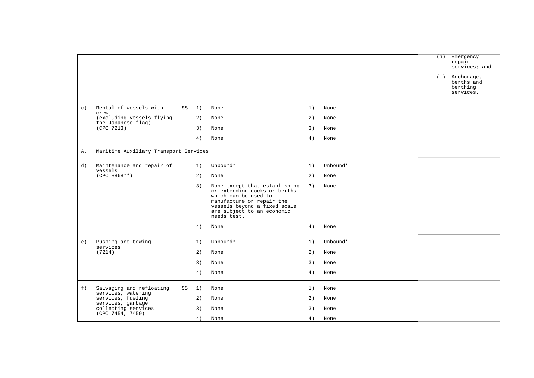|         |                                                 |    |                                                                                                                                                                      |                                     |          | (h)<br>Emergency<br>repair<br>services; and<br>$(i)$ Anchorage,<br>berths and<br>berthing<br>services. |
|---------|-------------------------------------------------|----|----------------------------------------------------------------------------------------------------------------------------------------------------------------------|-------------------------------------|----------|--------------------------------------------------------------------------------------------------------|
| $\in$ ) | Rental of vessels with<br>crew                  | SS | 1)<br>None                                                                                                                                                           | 1)                                  | None     |                                                                                                        |
|         | (excluding vessels flying<br>the Japanese flag) |    | 2)<br>None                                                                                                                                                           | 2)                                  | None     |                                                                                                        |
|         | (CPC 7213)                                      |    | 3)<br>None                                                                                                                                                           | 3)                                  | None     |                                                                                                        |
|         |                                                 |    | 4)<br>None                                                                                                                                                           | 4)                                  | None     |                                                                                                        |
| Α.      | Maritime Auxiliary Transport Services           |    |                                                                                                                                                                      |                                     |          |                                                                                                        |
| d)      | Maintenance and repair of                       |    | Unbound*<br>1)                                                                                                                                                       | 1)                                  | Unbound* |                                                                                                        |
|         | vessels<br>$(CPC 8868**)$                       |    | 2)<br>None                                                                                                                                                           | 2)                                  | None     |                                                                                                        |
|         |                                                 |    | 3)<br>or extending docks or berths<br>which can be used to<br>manufacture or repair the<br>vessels beyond a fixed scale<br>are subject to an economic<br>needs test. | None except that establishing<br>3) | None     |                                                                                                        |
|         |                                                 |    | 4)<br>None                                                                                                                                                           | 4)                                  | None     |                                                                                                        |
| e)      | Pushing and towing<br>services                  |    | 1)<br>Unbound*                                                                                                                                                       | 1)                                  | Unbound* |                                                                                                        |
|         | (7214)                                          |    | 2)<br>None                                                                                                                                                           | 2)                                  | None     |                                                                                                        |
|         |                                                 |    | 3)<br>None                                                                                                                                                           | 3)                                  | None     |                                                                                                        |
|         |                                                 |    | 4)<br>None                                                                                                                                                           | 4)                                  | None     |                                                                                                        |
| f)      | Salvaging and refloating<br>services, watering  | SS | 1)<br>None                                                                                                                                                           | 1)                                  | None     |                                                                                                        |
|         | services, fueling<br>services, garbage          |    | 2)<br>None                                                                                                                                                           | 2)                                  | None     |                                                                                                        |
|         | collecting services<br>(CPC 7454, 7459)         |    | 3)<br>None                                                                                                                                                           | 3)                                  | None     |                                                                                                        |
|         |                                                 |    | 4)<br>None                                                                                                                                                           | 4)                                  | None     |                                                                                                        |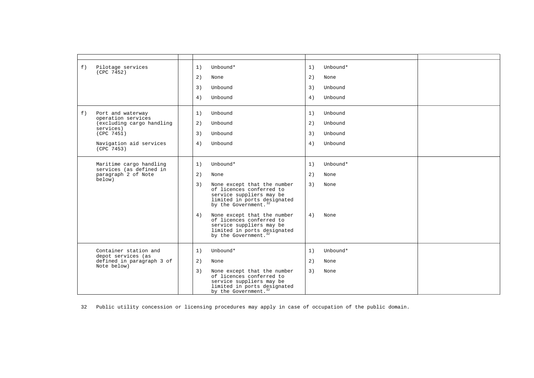| f) | Pilotage services<br>(CPC 7452)                 | 1) | Unbound*                                                                                                                                               | 1) | Unbound* |  |
|----|-------------------------------------------------|----|--------------------------------------------------------------------------------------------------------------------------------------------------------|----|----------|--|
|    |                                                 | 2) | None                                                                                                                                                   | 2) | None     |  |
|    |                                                 | 3) | Unbound                                                                                                                                                | 3) | Unbound  |  |
|    |                                                 | 4) | Unbound                                                                                                                                                | 4) | Unbound  |  |
| f) | Port and waterway<br>operation services         | 1) | Unbound                                                                                                                                                | 1) | Unbound  |  |
|    | (excluding cargo handling                       | 2) | Unbound                                                                                                                                                | 2) | Unbound  |  |
|    | services)<br>(CPC 7451)                         | 3) | Unbound                                                                                                                                                | 3) | Unbound  |  |
|    | Navigation aid services<br>(CPC 7453)           | 4) | Unbound                                                                                                                                                | 4) | Unbound  |  |
|    | Maritime cargo handling                         | 1) | Unbound*                                                                                                                                               | 1) | Unbound* |  |
|    | services (as defined in<br>paragraph 2 of Note  | 2) | None                                                                                                                                                   | 2) | None     |  |
|    | below)                                          | 3) | None except that the number<br>of licences conferred to<br>service suppliers may be<br>limited in ports designated<br>by the Government. <sup>32</sup> | 3) | None     |  |
|    |                                                 | 4) | None except that the number<br>of licences conferred to<br>service suppliers may be<br>limited in ports designated<br>by the Government. <sup>32</sup> | 4) | None     |  |
|    | Container station and                           | 1) | Unbound*                                                                                                                                               | 1) | Unbound* |  |
|    | depot services (as<br>defined in paragraph 3 of | 2) | None                                                                                                                                                   | 2) | None     |  |
|    | Note below)                                     | 3) | None except that the number<br>of licences conferred to<br>service suppliers may be<br>limited in ports designated<br>by the Government. <sup>32</sup> | 3) | None     |  |

<span id="page-49-0"></span>32 Public utility concession or licensing procedures may apply in case of occupation of the public domain.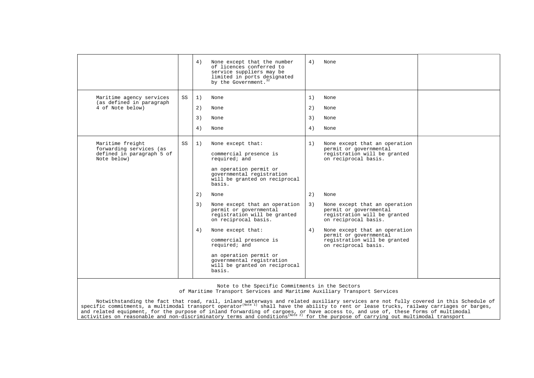|                                                                                         |    | 4)                   | None except that the number<br>of licences conferred to<br>service suppliers may be<br>limited in ports designated<br>by the Government. <sup>32</sup>                                                                                                                                    | 4)                   | None                                                                                                                                                                                                                                       |  |
|-----------------------------------------------------------------------------------------|----|----------------------|-------------------------------------------------------------------------------------------------------------------------------------------------------------------------------------------------------------------------------------------------------------------------------------------|----------------------|--------------------------------------------------------------------------------------------------------------------------------------------------------------------------------------------------------------------------------------------|--|
| Maritime agency services<br>(as defined in paragraph<br>4 of Note below)                | SS | 1)<br>2)<br>3)<br>4) | None<br>None<br>None<br>None                                                                                                                                                                                                                                                              | 1)<br>2)<br>3)<br>4) | None<br>None<br>None<br>None                                                                                                                                                                                                               |  |
| Maritime freight<br>forwarding services (as<br>defined in paragraph 5 of<br>Note below) | SS | 1)                   | None except that:<br>commercial presence is<br>required; and<br>an operation permit or<br>governmental registration<br>will be granted on reciprocal<br>basis.                                                                                                                            | 1)                   | None except that an operation<br>permit or governmental<br>registration will be granted<br>on reciprocal basis.                                                                                                                            |  |
|                                                                                         |    | 2)<br>3)<br>4)       | None<br>None except that an operation<br>permit or governmental<br>registration will be granted<br>on reciprocal basis.<br>None except that:<br>commercial presence is<br>required; and<br>an operation permit or<br>governmental registration<br>will be granted on reciprocal<br>basis. | 2)<br>3)<br>4)       | None<br>None except that an operation<br>permit or governmental<br>registration will be granted<br>on reciprocal basis.<br>None except that an operation<br>permit or governmental<br>registration will be granted<br>on reciprocal basis. |  |

Note to the Specific Commitments in the Sectors

of Maritime Transport Services and Maritime Auxiliary Transport Services

Notwithstanding the fact that road, rail, inland waterways and related auxiliary services are not fully covered in this Schedule of<br>specific commitments, a multimodal transport operator<sup>(Note 1)</sup> shall have the ability to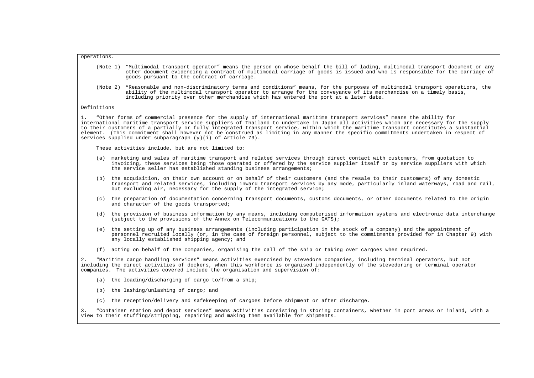## operations.

- (Note 1) "Multimodal transport operator" means the person on whose behalf the bill of lading, multimodal transport document or any other document evidencing a contract of multimodal carriage of goods is issued and who is responsible for the carriage of goods pursuant to the contract of carriage.
- (Note 2) "Reasonable and non-discriminatory terms and conditions" means, for the purposes of multimodal transport operations, the ability of the multimodal transport operator to arrange for the conveyance of its merchandise on a timely basis, including priority over other merchandise which has entered the port at a later date.

## Definitions

1. "Other forms of commercial presence for the supply of international maritime transport services" means the ability for international maritime transport service suppliers of Thailand to undertake in Japan all activities which are necessary for the supply to their customers of a partially or fully integrated transport service, within which the maritime transport constitutes a substantial element. (This commitment shall however not be construed as limiting in any manner the specific commitments undertaken in respect of services supplied under subparagraph  $(y)(i)$  of Article 73).

These activities include, but are not limited to:

- (a) marketing and sales of maritime transport and related services through direct contact with customers, from quotation to invoicing, these services being those operated or offered by the service supplier itself or by service suppliers with which the service seller has established standing business arrangements;
- (b) the acquisition, on their own account or on behalf of their customers (and the resale to their customers) of any domestic transport and related services, including inward transport services by any mode, particularly inland waterways, road and rail, but excluding air, necessary for the supply of the integrated service;
- (c) the preparation of documentation concerning transport documents, customs documents, or other documents related to the origin and character of the goods transported;
- (d) the provision of business information by any means, including computerised information systems and electronic data interchange (subject to the provisions of the Annex on Telecommunications to the GATS);
- (e) the setting up of any business arrangements (including participation in the stock of a company) and the appointment of personnel recruited locally (or, in the case of foreign personnel, subject to the commitments provided for in Chapter 9) with any locally established shipping agency; and
- (f) acting on behalf of the companies, organising the call of the ship or taking over cargoes when required.

2. "Maritime cargo handling services" means activities exercised by stevedore companies, including terminal operators, but not including the direct activities of dockers, when this workforce is organised independently of the stevedoring or terminal operator companies. The activities covered include the organisation and supervision of:

- (a) the loading/discharging of cargo to/from a ship;
- (b) the lashing/unlashing of cargo; and
- (c) the reception/delivery and safekeeping of cargoes before shipment or after discharge.

3. "Container station and depot services" means activities consisting in storing containers, whether in port areas or inland, with a view to their stuffing/stripping, repairing and making them available for shipments.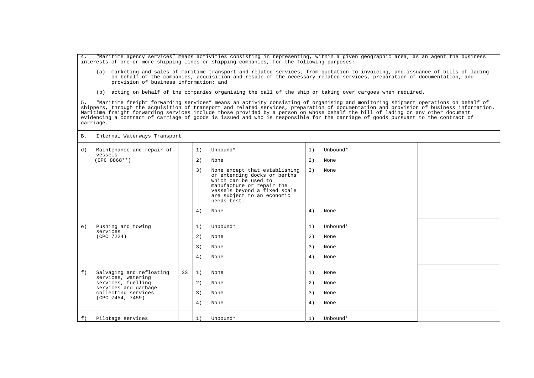4. "Maritime agency services" means activities consisting in representing, within a given geographic area, as an agent the business interests of one or more shipping lines or shipping companies, for the following purposes:

- (a) marketing and sales of maritime transport and related services, from quotation to invoicing, and issuance of bills of lading on behalf of the companies, acquisition and resale of the necessary related services, preparation of documentation, and provision of business information; and
- (b) acting on behalf of the companies organising the call of the ship or taking over cargoes when required.

5. "Maritime freight forwarding services" means an activity consisting of organising and monitoring shipment operations on behalf of shippers, through the acquisition of transport and related services, preparation of documentation and provision of business information. Maritime freight forwarding services include those provided by a person on whose behalf the bill of lading or any other document evidencing a contract of carriage of goods is issued and who is responsible for the carriage of goods pursuant to the contract of carriage.

B. Internal Waterways Transport

| d) | Maintenance and repair of<br>vessels<br>$(CPC 8868**)$                                                                                  |    | 1)<br>2)<br>3)       | Unbound*<br>None<br>None except that establishing<br>or extending docks or berths<br>which can be used to<br>manufacture or repair the<br>vessels beyond a fixed scale<br>are subject to an economic<br>needs test. | 1)<br>2)<br>3)       | Unbound*<br>None<br>None         |  |
|----|-----------------------------------------------------------------------------------------------------------------------------------------|----|----------------------|---------------------------------------------------------------------------------------------------------------------------------------------------------------------------------------------------------------------|----------------------|----------------------------------|--|
|    |                                                                                                                                         |    | 4)                   | None                                                                                                                                                                                                                | 4)                   | None                             |  |
| e) | Pushing and towing<br>services<br>(CPC 7224)                                                                                            |    | 1)<br>2)<br>3)<br>4) | Unbound*<br>None<br>None<br>None                                                                                                                                                                                    | 1)<br>2)<br>3)<br>4) | Unbound*<br>None<br>None<br>None |  |
| f) | Salvaging and refloating<br>services, watering<br>services, fuelling<br>services and garbage<br>collecting services<br>(CPC 7454, 7459) | SS | 1)<br>2)<br>3)<br>4) | None<br>None<br>None<br>None                                                                                                                                                                                        | 1)<br>2)<br>3)<br>4) | None<br>None<br>None<br>None     |  |
| f) | Pilotage services                                                                                                                       |    | 1)                   | Unbound*                                                                                                                                                                                                            | 1)                   | Unbound*                         |  |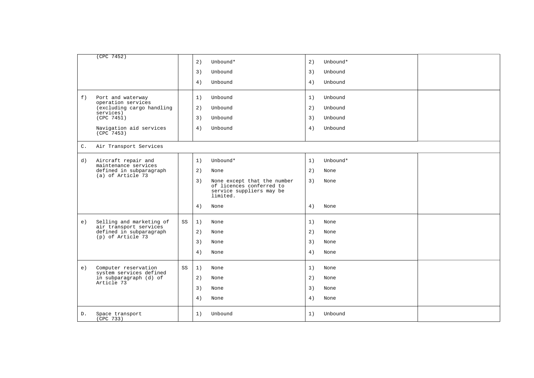|                | (CPC 7452)                                         |    | 2) | Unbound*                                                | 2) | Unbound* |  |
|----------------|----------------------------------------------------|----|----|---------------------------------------------------------|----|----------|--|
|                |                                                    |    | 3) | Unbound                                                 | 3) | Unbound  |  |
|                |                                                    |    | 4) | Unbound                                                 | 4) | Unbound  |  |
| f)             | Port and waterway                                  |    | 1) | Unbound                                                 | 1) | Unbound  |  |
|                | operation services<br>(excluding cargo handling    |    | 2) | Unbound                                                 | 2) | Unbound  |  |
|                | services)<br>(CPC 7451)                            |    | 3) | Unbound                                                 | 3) | Unbound  |  |
|                | Navigation aid services<br>(CPC 7453)              |    | 4) | Unbound                                                 | 4) | Unbound  |  |
| $\mathsf{C}$ . | Air Transport Services                             |    |    |                                                         |    |          |  |
| d)             | Aircraft repair and<br>maintenance services        |    | 1) | Unbound*                                                | 1) | Unbound* |  |
|                | defined in subparagraph<br>(a) of Article 73       |    | 2) | None                                                    | 2) | None     |  |
|                |                                                    |    | 3) | None except that the number<br>of licences conferred to | 3) | None     |  |
|                |                                                    |    |    | service suppliers may be<br>limited.                    |    |          |  |
|                |                                                    |    | 4) | None                                                    | 4) | None     |  |
| e)             | Selling and marketing of<br>air transport services | SS | 1) | None                                                    | 1) | None     |  |
|                | defined in subparagraph<br>$(p)$ of Article $73$   |    | 2) | None                                                    | 2) | None     |  |
|                |                                                    |    | 3) | None                                                    | 3) | None     |  |
|                |                                                    |    | 4) | None                                                    | 4) | None     |  |
| e)             | Computer reservation<br>system services defined    | SS | 1) | None                                                    | 1) | None     |  |
|                | in subparagraph (d) of<br>Article 73               |    | 2) | None                                                    | 2) | None     |  |
|                |                                                    |    | 3) | None                                                    | 3) | None     |  |
|                |                                                    |    | 4) | None                                                    | 4) | None     |  |
| D.             | Space transport<br>(CPC 733)                       |    | 1) | Unbound                                                 | 1) | Unbound  |  |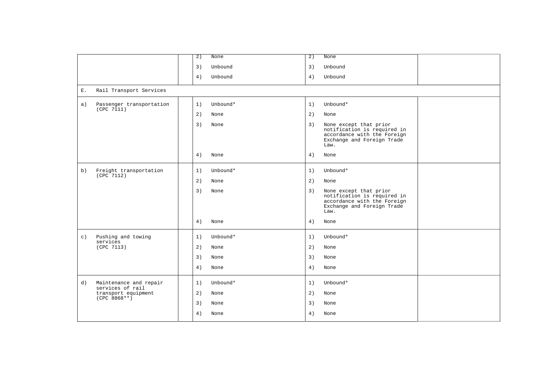|           |                                            | $\overline{2}$ )<br>None |          | $\overline{2}$ ) | None                                                                                                                       |  |
|-----------|--------------------------------------------|--------------------------|----------|------------------|----------------------------------------------------------------------------------------------------------------------------|--|
|           |                                            | 3)                       | Unbound  | 3)               | Unbound                                                                                                                    |  |
|           |                                            | 4)                       | Unbound  | 4)               | Unbound                                                                                                                    |  |
| Ε.        | Rail Transport Services                    |                          |          |                  |                                                                                                                            |  |
| a)        | Passenger transportation<br>(CPC 7111)     | 1)                       | Unbound* | 1)               | Unbound*                                                                                                                   |  |
|           |                                            | 2)<br>None               |          | 2)               | None                                                                                                                       |  |
|           |                                            | 3)<br>None               |          | 3)               | None except that prior<br>notification is required in<br>accordance with the Foreign<br>Exchange and Foreign Trade<br>Law. |  |
|           |                                            | 4)<br>None               |          | 4)               | None                                                                                                                       |  |
| b)        | Freight transportation                     | 1)                       | Unbound* | 1)               | Unbound*                                                                                                                   |  |
|           | (CPC 7112)                                 | 2)<br>None               |          | 2)               | None                                                                                                                       |  |
|           |                                            | 3)<br>None               |          | 3)               | None except that prior<br>notification is required in<br>accordance with the Foreign<br>Exchange and Foreign Trade<br>Law. |  |
|           |                                            | 4)<br>None               |          | 4)               | None                                                                                                                       |  |
| $\circ$ ) | Pushing and towing<br>services             | 1)                       | Unbound* | 1)               | Unbound*                                                                                                                   |  |
|           | (CPC 7113)                                 | 2)<br>None               |          | 2)               | None                                                                                                                       |  |
|           |                                            | 3)<br>None               |          | 3)               | None                                                                                                                       |  |
|           |                                            | 4)<br>None               |          | 4)               | None                                                                                                                       |  |
| d)        | Maintenance and repair<br>services of rail | 1)                       | Unbound* | 1)               | Unbound*                                                                                                                   |  |
|           | transport equipment<br>$(CPC 8868**)$      | 2)<br>None               |          | 2)               | None                                                                                                                       |  |
|           |                                            | 3)<br>None               |          | 3)               | None                                                                                                                       |  |
|           |                                            | 4)<br>None               |          | 4)               | None                                                                                                                       |  |
|           |                                            |                          |          |                  |                                                                                                                            |  |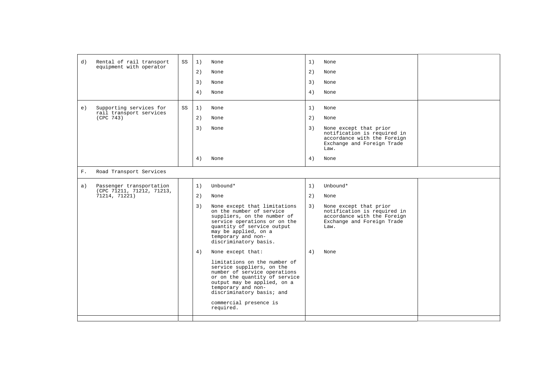| d)    | Rental of rail transport                              | SS | 1) | None                                                                                                                                                                                                                                                | 1) | None                                                                                                                       |  |
|-------|-------------------------------------------------------|----|----|-----------------------------------------------------------------------------------------------------------------------------------------------------------------------------------------------------------------------------------------------------|----|----------------------------------------------------------------------------------------------------------------------------|--|
|       | equipment with operator                               |    | 2) | None                                                                                                                                                                                                                                                | 2) | None                                                                                                                       |  |
|       |                                                       |    | 3) | None                                                                                                                                                                                                                                                | 3) | None                                                                                                                       |  |
|       |                                                       |    | 4) | None                                                                                                                                                                                                                                                | 4) | None                                                                                                                       |  |
| e)    | Supporting services for<br>rail transport services    | SS | 1) | None                                                                                                                                                                                                                                                | 1) | None                                                                                                                       |  |
|       | (CPC 743)                                             |    | 2) | None                                                                                                                                                                                                                                                | 2) | None                                                                                                                       |  |
|       |                                                       |    | 3) | None                                                                                                                                                                                                                                                | 3) | None except that prior<br>notification is required in<br>accordance with the Foreign<br>Exchange and Foreign Trade<br>Law. |  |
|       |                                                       |    | 4) | None                                                                                                                                                                                                                                                | 4) | None                                                                                                                       |  |
| $F$ . | Road Transport Services                               |    |    |                                                                                                                                                                                                                                                     |    |                                                                                                                            |  |
| a)    | Passenger transportation<br>(CPC 71211, 71212, 71213, |    | 1) | Unbound*                                                                                                                                                                                                                                            | 1) | Unbound*                                                                                                                   |  |
|       | 71214, 71221)                                         |    | 2) | None                                                                                                                                                                                                                                                | 2) | None                                                                                                                       |  |
|       |                                                       |    | 3) | None except that limitations<br>on the number of service<br>suppliers, on the number of<br>service operations or on the<br>quantity of service output<br>may be applied, on a<br>temporary and non-<br>discriminatory basis.                        | 3) | None except that prior<br>notification is required in<br>accordance with the Foreign<br>Exchange and Foreign Trade<br>Law. |  |
|       |                                                       |    | 4) | None except that:                                                                                                                                                                                                                                   | 4) | None                                                                                                                       |  |
|       |                                                       |    |    | limitations on the number of<br>service suppliers, on the<br>number of service operations<br>or on the quantity of service<br>output may be applied, on a<br>temporary and non-<br>discriminatory basis; and<br>commercial presence is<br>required. |    |                                                                                                                            |  |
|       |                                                       |    |    |                                                                                                                                                                                                                                                     |    |                                                                                                                            |  |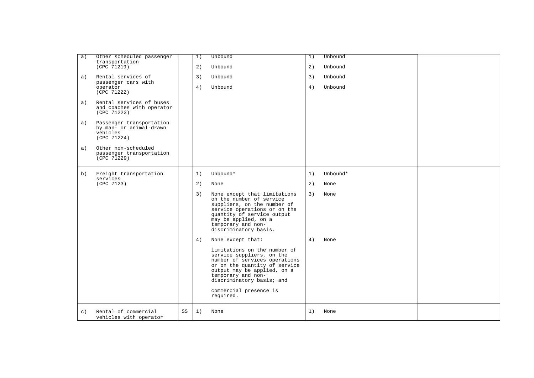| Other scheduled passenger<br>a)<br>transportation           |    | 1) | Unbound                                                        | 1) | Unbound  |  |
|-------------------------------------------------------------|----|----|----------------------------------------------------------------|----|----------|--|
| (CPC 71219)                                                 |    | 2) | Unbound                                                        | 2) | Unbound  |  |
| Rental services of<br>a)<br>passenger cars with             |    | 3) | Unbound                                                        | 3) | Unbound  |  |
| operator                                                    |    | 4) | Unbound                                                        | 4) | Unbound  |  |
| (CPC 71222)                                                 |    |    |                                                                |    |          |  |
| Rental services of buses<br>a)<br>and coaches with operator |    |    |                                                                |    |          |  |
| (CPC 71223)                                                 |    |    |                                                                |    |          |  |
| Passenger transportation<br>a)<br>by man- or animal-drawn   |    |    |                                                                |    |          |  |
| vehicles<br>(CPC 71224)                                     |    |    |                                                                |    |          |  |
| Other non-scheduled<br>a)                                   |    |    |                                                                |    |          |  |
| passenger transportation<br>(CPC 71229)                     |    |    |                                                                |    |          |  |
|                                                             |    |    |                                                                |    |          |  |
| Freight transportation<br>b)                                |    | 1) | Unbound*                                                       | 1) | Unbound* |  |
| services<br>(CPC 7123)                                      |    | 2) | None                                                           | 2) | None     |  |
|                                                             |    | 3) | None except that limitations<br>on the number of service       | 3) | None     |  |
|                                                             |    |    | suppliers, on the number of                                    |    |          |  |
|                                                             |    |    | service operations or on the<br>quantity of service output     |    |          |  |
|                                                             |    |    | may be applied, on a<br>temporary and non-                     |    |          |  |
|                                                             |    |    | discriminatory basis.                                          |    |          |  |
|                                                             |    | 4) | None except that:                                              | 4) | None     |  |
|                                                             |    |    | limitations on the number of<br>service suppliers, on the      |    |          |  |
|                                                             |    |    | number of services operations<br>or on the quantity of service |    |          |  |
|                                                             |    |    | output may be applied, on a<br>temporary and non-              |    |          |  |
|                                                             |    |    | discriminatory basis; and                                      |    |          |  |
|                                                             |    |    | commercial presence is                                         |    |          |  |
|                                                             |    |    | required.                                                      |    |          |  |
| Rental of commercial<br>$\circ$ )                           | SS | 1) | None                                                           | 1) | None     |  |
| vehicles with operator                                      |    |    |                                                                |    |          |  |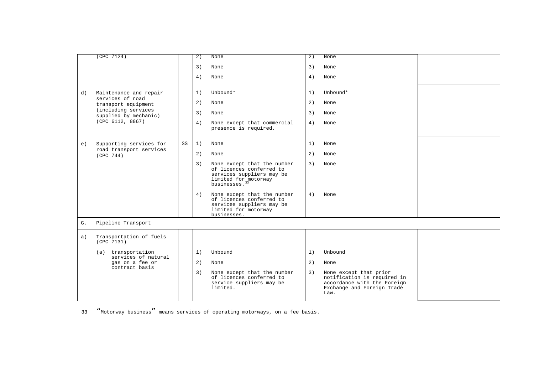|    | (CPC 7124)                                   |    | 2) | None                                                                                                                                      | 2) | None                                                                                                                       |  |
|----|----------------------------------------------|----|----|-------------------------------------------------------------------------------------------------------------------------------------------|----|----------------------------------------------------------------------------------------------------------------------------|--|
|    |                                              |    | 3) | None                                                                                                                                      | 3) | None                                                                                                                       |  |
|    |                                              |    | 4) | None                                                                                                                                      | 4) | None                                                                                                                       |  |
| d) | Maintenance and repair                       |    | 1) | Unbound*                                                                                                                                  | 1) | Unbound*                                                                                                                   |  |
|    | services of road<br>transport equipment      |    | 2) | None                                                                                                                                      | 2) | None                                                                                                                       |  |
|    | (including services<br>supplied by mechanic) |    | 3) | None                                                                                                                                      | 3) | None                                                                                                                       |  |
|    | (CPC 6112, 8867)                             |    | 4) | None except that commercial<br>presence is required.                                                                                      | 4) | None                                                                                                                       |  |
| e) | Supporting services for                      | SS | 1) | None                                                                                                                                      | 1) | None                                                                                                                       |  |
|    | road transport services<br>(CPC 744)         |    | 2) | None                                                                                                                                      | 2) | None                                                                                                                       |  |
|    |                                              |    | 3) | None except that the number<br>of licences conferred to<br>services suppliers may be<br>limited for motorway<br>businesses. <sup>33</sup> | 3) | None                                                                                                                       |  |
|    |                                              |    | 4) | None except that the number<br>of licences conferred to<br>services suppliers may be<br>limited for motorway<br>businesses.               | 4) | None                                                                                                                       |  |
| G. | Pipeline Transport                           |    |    |                                                                                                                                           |    |                                                                                                                            |  |
| a) | Transportation of fuels<br>(CPC 7131)        |    |    |                                                                                                                                           |    |                                                                                                                            |  |
|    | (a) transportation<br>services of natural    |    | 1) | Unbound                                                                                                                                   | 1) | Unbound                                                                                                                    |  |
|    | gas on a fee or<br>contract basis            |    | 2) | None                                                                                                                                      | 2) | None                                                                                                                       |  |
|    |                                              |    | 3) | None except that the number<br>of licences conferred to<br>service suppliers may be<br>limited.                                           | 3) | None except that prior<br>notification is required in<br>accordance with the Foreign<br>Exchange and Foreign Trade<br>Law. |  |

<span id="page-57-0"></span>33 "Motorway business" means services of operating motorways, on a fee basis.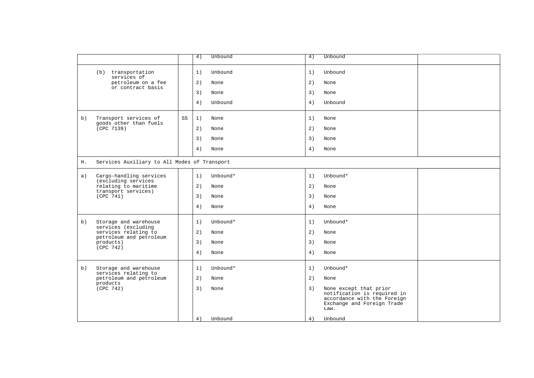|    |                                                 |    | 4)<br>Unbound  | 4) | Unbound                                                                                                                    |  |
|----|-------------------------------------------------|----|----------------|----|----------------------------------------------------------------------------------------------------------------------------|--|
|    | (b) transportation<br>services of               |    | 1)<br>Unbound  | 1) | Unbound                                                                                                                    |  |
|    | petroleum on a fee<br>or contract basis         |    | 2)<br>None     | 2) | None                                                                                                                       |  |
|    |                                                 |    | 3)<br>None     | 3) | None                                                                                                                       |  |
|    |                                                 |    | 4)<br>Unbound  | 4) | Unbound                                                                                                                    |  |
| b) | Transport services of<br>goods other than fuels | SS | 1)<br>None     | 1) | None                                                                                                                       |  |
|    | (CPC 7139)                                      |    | 2)<br>None     | 2) | None                                                                                                                       |  |
|    |                                                 |    | 3)<br>None     | 3) | None                                                                                                                       |  |
|    |                                                 |    | 4)<br>None     | 4) | None                                                                                                                       |  |
| Η. | Services Auxiliary to All Modes of Transport    |    |                |    |                                                                                                                            |  |
| a) | Cargo-handling services<br>(excluding services  |    | 1)<br>Unbound* | 1) | Unbound*                                                                                                                   |  |
|    | relating to maritime                            |    | 2)<br>None     | 2) | None                                                                                                                       |  |
|    | transport services)<br>(CPC 741)                |    | 3)<br>None     | 3) | None                                                                                                                       |  |
|    |                                                 |    | 4)<br>None     | 4) | None                                                                                                                       |  |
| b) | Storage and warehouse                           |    | 1)<br>Unbound* | 1) | Unbound*                                                                                                                   |  |
|    | services (excluding<br>services relating to     |    | 2)<br>None     | 2) | None                                                                                                                       |  |
|    | petroleum and petroleum<br>products)            |    | 3)<br>None     | 3) | None                                                                                                                       |  |
|    | (CPC 742)                                       |    | 4)<br>None     | 4) | None                                                                                                                       |  |
| b) | Storage and warehouse                           |    | 1)<br>Unbound* | 1) | Unbound*                                                                                                                   |  |
|    | services relating to<br>petroleum and petroleum |    | 2)<br>None     | 2) | None                                                                                                                       |  |
|    | products<br>(CPC 742)                           |    | 3)<br>None     | 3) | None except that prior<br>notification is required in<br>accordance with the Foreign<br>Exchange and Foreign Trade<br>Law. |  |
|    |                                                 |    | Unbound<br>4)  | 4) | Unbound                                                                                                                    |  |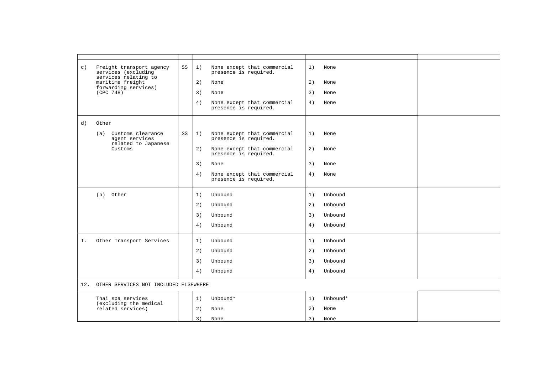| $\circ$ ) | Freight transport agency<br>services (excluding | SS | 1) | None except that commercial<br>presence is required. | 1) | None     |  |
|-----------|-------------------------------------------------|----|----|------------------------------------------------------|----|----------|--|
|           | services relating to<br>maritime freight        |    | 2) | None                                                 | 2) | None     |  |
|           | forwarding services)<br>(CPC 748)               |    | 3) | None                                                 | 3) | None     |  |
|           |                                                 |    | 4) | None except that commercial<br>presence is required. | 4) | None     |  |
| d)        | Other                                           |    |    |                                                      |    |          |  |
|           | Customs clearance<br>(a)<br>agent services      | SS | 1) | None except that commercial<br>presence is required. | 1) | None     |  |
|           | related to Japanese<br>Customs                  |    | 2) | None except that commercial<br>presence is required. | 2) | None     |  |
|           |                                                 |    | 3) | None                                                 | 3) | None     |  |
|           |                                                 |    | 4) | None except that commercial<br>presence is required. | 4) | None     |  |
|           | (b) Other                                       |    | 1) | Unbound                                              | 1) | Unbound  |  |
|           |                                                 |    | 2) | Unbound                                              | 2) | Unbound  |  |
|           |                                                 |    | 3) | Unbound                                              | 3) | Unbound  |  |
|           |                                                 |    | 4) | Unbound                                              | 4) | Unbound  |  |
| Ι.        | Other Transport Services                        |    | 1) | Unbound                                              | 1) | Unbound  |  |
|           |                                                 |    | 2) | Unbound                                              | 2) | Unbound  |  |
|           |                                                 |    | 3) | Unbound                                              | 3) | Unbound  |  |
|           |                                                 |    | 4) | Unbound                                              | 4) | Unbound  |  |
| 12.       | OTHER SERVICES NOT INCLUDED ELSEWHERE           |    |    |                                                      |    |          |  |
|           | Thai spa services                               |    | 1) | Unbound*                                             | 1) | Unbound* |  |
|           | (excluding the medical<br>related services)     |    | 2) | None                                                 | 2) | None     |  |
|           |                                                 |    | 3) | None                                                 | 3) | None     |  |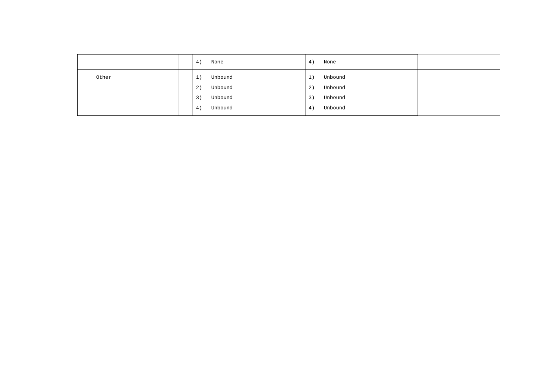|       | 4)<br>None    | 4) | None    |  |
|-------|---------------|----|---------|--|
| Other | Unbound<br>1) | 1) | Unbound |  |
|       | Unbound<br>2) | 2) | Unbound |  |
|       | Unbound<br>3) | 3) | Unbound |  |
|       | Unbound<br>4) | 4) | Unbound |  |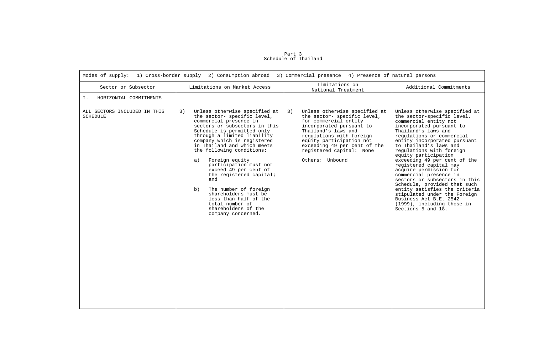| Modes of supply: 1) Cross-border supply 2) Consumption abroad 3) Commercial presence 4) Presence of natural persons |                                                                                                                                                                                                                                                                                                                                                                                                                                                                                                                                                    |                                                                                                                                                                                                                                                                                       |                                                                                                                                                                                                                                                                                                                                                                                                                                                                                                                                                                                                                  |  |  |  |  |
|---------------------------------------------------------------------------------------------------------------------|----------------------------------------------------------------------------------------------------------------------------------------------------------------------------------------------------------------------------------------------------------------------------------------------------------------------------------------------------------------------------------------------------------------------------------------------------------------------------------------------------------------------------------------------------|---------------------------------------------------------------------------------------------------------------------------------------------------------------------------------------------------------------------------------------------------------------------------------------|------------------------------------------------------------------------------------------------------------------------------------------------------------------------------------------------------------------------------------------------------------------------------------------------------------------------------------------------------------------------------------------------------------------------------------------------------------------------------------------------------------------------------------------------------------------------------------------------------------------|--|--|--|--|
| Sector or Subsector                                                                                                 | Limitations on Market Access                                                                                                                                                                                                                                                                                                                                                                                                                                                                                                                       | Limitations on<br>National Treatment                                                                                                                                                                                                                                                  | Additional Commitments                                                                                                                                                                                                                                                                                                                                                                                                                                                                                                                                                                                           |  |  |  |  |
| Ι.<br>HORIZONTAL COMMITMENTS                                                                                        |                                                                                                                                                                                                                                                                                                                                                                                                                                                                                                                                                    |                                                                                                                                                                                                                                                                                       |                                                                                                                                                                                                                                                                                                                                                                                                                                                                                                                                                                                                                  |  |  |  |  |
| ALL SECTORS INCLUDED IN THIS<br><b>SCHEDULE</b>                                                                     | 3)<br>Unless otherwise specified at<br>the sector- specific level,<br>commercial presence in<br>sectors or subsectors in this<br>Schedule is permitted only<br>through a limited liability<br>company which is registered<br>in Thailand and which meets<br>the following conditions:<br>Foreign equity<br>a)<br>participation must not<br>exceed 49 per cent of<br>the registered capital;<br>and<br>The number of foreign<br>b)<br>shareholders must be<br>less than half of the<br>total number of<br>shareholders of the<br>company concerned. | 3)<br>Unless otherwise specified at<br>the sector- specific level,<br>for commercial entity<br>incorporated pursuant to<br>Thailand's laws and<br>regulations with foreign<br>equity participation not<br>exceeding 49 per cent of the<br>registered capital: None<br>Others: Unbound | Unless otherwise specified at<br>the sector-specific level,<br>commercial entity not<br>incorporated pursuant to<br>Thailand's laws and<br>regulations or commercial<br>entity incorporated pursuant<br>to Thailand's laws and<br>regulations with foreign<br>equity participation<br>exceeding 49 per cent of the<br>registered capital may<br>acquire permission for<br>commercial presence in<br>sectors or subsectors in this<br>Schedule, provided that such<br>entity satisfies the criteria<br>stipulated under the Foreign<br>Business Act B.E. 2542<br>(1999), including those in<br>Sections 5 and 18. |  |  |  |  |

Part 3 Schedule of Thailand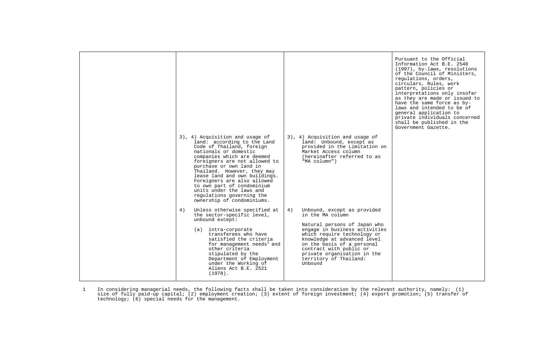| 3), 4) Acquisition and usage of<br>land: according to the Land<br>Code of Thailand, foreign<br>nationals or domestic<br>companies which are deemed<br>foreigners are not allowed to<br>purchase or own land in<br>Thailand. However, they may<br>lease land and own buildings.<br>Foreigners are also allowed<br>to own part of condominium<br>units under the laws and<br>regulations governing the<br>ownership of condominiums. | 3), 4) Acquisition and usage of<br>land: Unbound, except as<br>provided in the Limitation on<br>Market Access column<br>(hereinafter referred to as<br>"MA column")                                                                                      | Pursuant to the Official<br>Information Act B.E. 2540<br>(1997), by-laws, resolutions<br>of the Council of Ministers,<br>requlations, orders,<br>circulars, Rules, work<br>pattern, policies or<br>interpretations only insofar<br>as they are made or issued to<br>have the same force as by-<br>laws and intended to be of<br>general application to<br>private individuals concerned<br>shall be published in the<br>Government Gazette. |
|------------------------------------------------------------------------------------------------------------------------------------------------------------------------------------------------------------------------------------------------------------------------------------------------------------------------------------------------------------------------------------------------------------------------------------|----------------------------------------------------------------------------------------------------------------------------------------------------------------------------------------------------------------------------------------------------------|---------------------------------------------------------------------------------------------------------------------------------------------------------------------------------------------------------------------------------------------------------------------------------------------------------------------------------------------------------------------------------------------------------------------------------------------|
| 4)<br>Unless otherwise specified at<br>the sector-specific level,<br>unbound except:                                                                                                                                                                                                                                                                                                                                               | Unbound, except as provided<br>4)<br>in the MA column                                                                                                                                                                                                    |                                                                                                                                                                                                                                                                                                                                                                                                                                             |
| (a) intra-corporate<br>transferees who have<br>satisfied the criteria<br>for management needs <sup>1</sup> and<br>other criteria<br>stipulated by the<br>Department of Employment<br>under the Working of<br>Aliens Act B.E. 2521<br>$(1978)$ .                                                                                                                                                                                    | Natural persons of Japan who<br>engage in business activities<br>which require technology or<br>knowledge at advanced level<br>on the basis of a personal<br>contract with public or<br>private organisation in the<br>territory of Thailand:<br>Unbound |                                                                                                                                                                                                                                                                                                                                                                                                                                             |

<span id="page-62-0"></span>In considering managerial needs, the following facts shall be taken into consideration by the relevant authority, namely: (1)<br>size of fully paid-up capital; (2) employment creation; (3) extent of foreign investment; (4) ex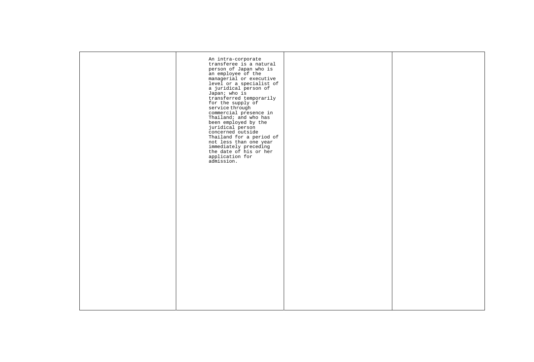|  | An intra-corporate<br>transferee is a natural<br>person of Japan who is<br>an employee of the<br>managerial or executive<br>level or a specialist of<br>a juridical person of<br>Japan; who is<br>transferred temporarily<br>for the supply of<br>service through<br>commercial presence in<br>Thailand; and who has<br>been employed by the<br>juridical person<br>concerned outside<br>Thailand for a period of<br>not less than one year<br>immediately preceding<br>the date of his or her<br>application for<br>admission. |  |
|--|---------------------------------------------------------------------------------------------------------------------------------------------------------------------------------------------------------------------------------------------------------------------------------------------------------------------------------------------------------------------------------------------------------------------------------------------------------------------------------------------------------------------------------|--|
|  |                                                                                                                                                                                                                                                                                                                                                                                                                                                                                                                                 |  |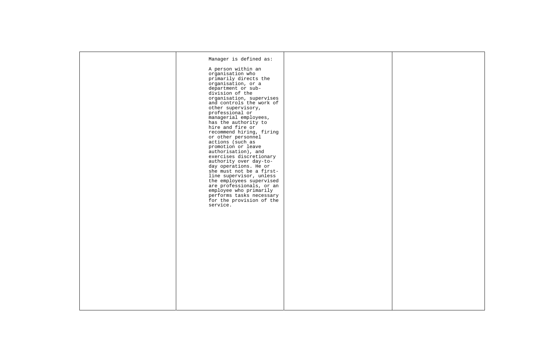| Manager is defined as:<br>A person within an<br>organisation who<br>primarily directs the<br>organisation, or a<br>department or sub-<br>division of the<br>organisation, supervises<br>and controls the work of<br>other supervisory,<br>professional or<br>managerial employees,<br>has the authority to<br>hire and fire or<br>recommend hiring, firing<br>or other personnel<br>actions (such as<br>promotion or leave<br>authorisation), and<br>exercises discretionary<br>authority over day-to-<br>day operations. He or<br>she must not be a first-<br>line supervisor, unless<br>the employees supervised<br>are professionals, or an<br>employee who primarily<br>performs tasks necessary<br>for the provision of the<br>service. |  |
|----------------------------------------------------------------------------------------------------------------------------------------------------------------------------------------------------------------------------------------------------------------------------------------------------------------------------------------------------------------------------------------------------------------------------------------------------------------------------------------------------------------------------------------------------------------------------------------------------------------------------------------------------------------------------------------------------------------------------------------------|--|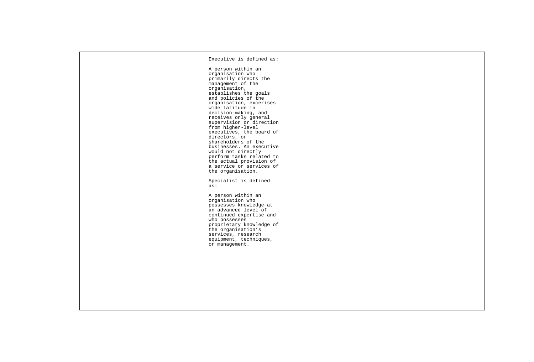|  | Executive is defined as:<br>A person within an<br>organisation who<br>primarily directs the                                                                                                                                                              |  |
|--|----------------------------------------------------------------------------------------------------------------------------------------------------------------------------------------------------------------------------------------------------------|--|
|  | management of the<br>organisation,<br>establishes the goals<br>and policies of the<br>organisation, excerises<br>wide latitude in<br>decision-making, and<br>receives only general<br>supervision or direction                                           |  |
|  | from higher-level<br>executives, the board of<br>directors, or<br>shareholders of the<br>businesses. An executive<br>would not directly<br>perform tasks related to<br>the actual provision of<br>a service or services of<br>the organisation.          |  |
|  | Specialist is defined<br>as:                                                                                                                                                                                                                             |  |
|  | A person within an<br>organisation who<br>possesses knowledge at<br>an advanced level of<br>continued expertise and<br>who possesses<br>proprietary knowledge of<br>the organisation's<br>services, research<br>equipment, techniques,<br>or management. |  |
|  |                                                                                                                                                                                                                                                          |  |
|  |                                                                                                                                                                                                                                                          |  |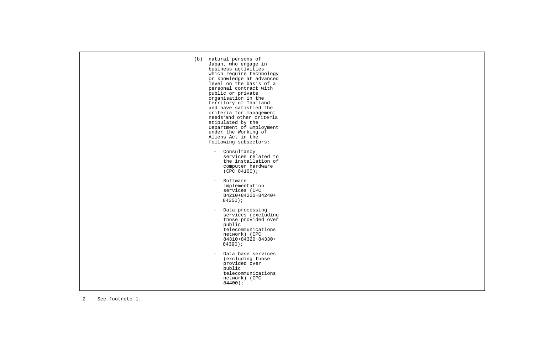|  | (b) natural persons of<br>Japan, who engage in<br>business activities<br>which require technology<br>or knowledge at advanced<br>level on the basis of a<br>personal contract with<br>public or private<br>organisation in the<br>territory of Thailand<br>and have satisfied the<br>criteria for management<br>needs <sup>2</sup> and other criteria<br>stipulated by the<br>Department of Employment<br>under the Working of<br>Aliens Act in the<br>following subsectors: |  |
|--|------------------------------------------------------------------------------------------------------------------------------------------------------------------------------------------------------------------------------------------------------------------------------------------------------------------------------------------------------------------------------------------------------------------------------------------------------------------------------|--|
|  | Consultancy<br>$\sim$ $-$<br>services related to<br>the installation of<br>computer hardware<br>(CPC 84100);<br>Software<br>$\sim$ .<br>implementation                                                                                                                                                                                                                                                                                                                       |  |
|  | services (CPC<br>84210+84220+84240+<br>$84250$ );<br>Data processing<br>$\sim$                                                                                                                                                                                                                                                                                                                                                                                               |  |
|  | services (excluding<br>those provided over<br>public<br>telecommunications<br>network) (CPC<br>84310+84320+84330+<br>$84390$ ;                                                                                                                                                                                                                                                                                                                                               |  |
|  | Data base services<br>$\equiv$<br>(excluding those<br>provided over<br>public<br>telecommunications<br>network) (CPC<br>84400;                                                                                                                                                                                                                                                                                                                                               |  |

<span id="page-66-0"></span>2 See footnote 1.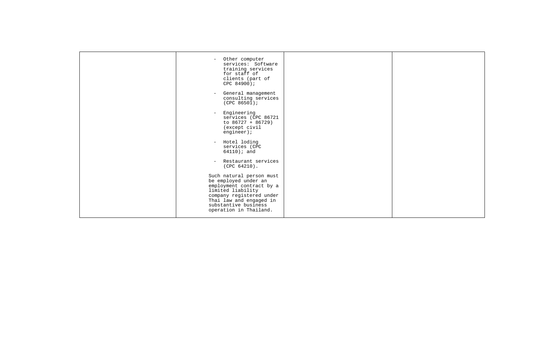| Other computer<br>services: Software<br>training services<br>for staff of<br>clients (part of<br>CPC 84900);                                                                                               |  |
|------------------------------------------------------------------------------------------------------------------------------------------------------------------------------------------------------------|--|
| General management<br>consulting services<br>(CPC 86501);                                                                                                                                                  |  |
| Engineering<br>services (CPC 86721<br>to $86727 + 86729$ )<br>(except civil<br>engineer);                                                                                                                  |  |
| Hotel loding<br>$\overline{\phantom{a}}$<br>services (CPC<br>$64110$ ; and                                                                                                                                 |  |
| Restaurant services<br>$(CPC 64210)$ .                                                                                                                                                                     |  |
| Such natural person must<br>be employed under an<br>employment contract by a<br>limited liability<br>company registered under<br>Thai law and engaged in<br>substantive business<br>operation in Thailand. |  |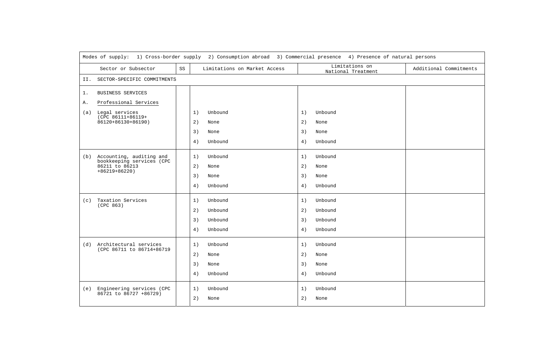|       | Modes of supply: 1) Cross-border supply 2) Consumption abroad 3) Commercial presence 4) Presence of natural persons |    |                              |    |                                      |                        |
|-------|---------------------------------------------------------------------------------------------------------------------|----|------------------------------|----|--------------------------------------|------------------------|
|       | Sector or Subsector                                                                                                 | SS | Limitations on Market Access |    | Limitations on<br>National Treatment | Additional Commitments |
| II.   | SECTOR-SPECIFIC COMMITMENTS                                                                                         |    |                              |    |                                      |                        |
| $1$ . | <b>BUSINESS SERVICES</b>                                                                                            |    |                              |    |                                      |                        |
| Α.    | Professional Services                                                                                               |    |                              |    |                                      |                        |
| (a)   | Legal services<br>(CPC 86111+86119+                                                                                 |    | Unbound<br>1)                | 1) | Unbound                              |                        |
|       | 86120+86130+86190)                                                                                                  |    | 2)<br>None                   | 2) | None                                 |                        |
|       |                                                                                                                     |    | 3)<br>None                   | 3) | None                                 |                        |
|       |                                                                                                                     |    | 4)<br>Unbound                | 4) | Unbound                              |                        |
|       | (b) Accounting, auditing and                                                                                        |    | 1)<br>Unbound                | 1) | Unbound                              |                        |
|       | bookkeeping services (CPC<br>86211 to 86213                                                                         |    | 2)<br>None                   | 2) | None                                 |                        |
|       | $+86219+86220$                                                                                                      |    | 3)<br>None                   | 3) | None                                 |                        |
|       |                                                                                                                     |    | 4)<br>Unbound                | 4) | Unbound                              |                        |
| (c)   | Taxation Services<br>(CPC 863)                                                                                      |    | Unbound<br>1)                | 1) | Unbound                              |                        |
|       |                                                                                                                     |    | 2)<br>Unbound                | 2) | Unbound                              |                        |
|       |                                                                                                                     |    | 3)<br>Unbound                | 3) | Unbound                              |                        |
|       |                                                                                                                     |    | 4)<br>Unbound                | 4) | Unbound                              |                        |
| (d)   | Architectural services<br>(CPC 86711 to 86714+86719                                                                 |    | Unbound<br>1)                | 1) | Unbound                              |                        |
|       |                                                                                                                     |    | 2)<br>None                   | 2) | None                                 |                        |
|       |                                                                                                                     |    | 3)<br>None                   | 3) | None                                 |                        |
|       |                                                                                                                     |    | 4)<br>Unbound                | 4) | Unbound                              |                        |
|       | (e) Engineering services (CPC<br>86721 to 86727 +86729)                                                             |    | 1)<br>Unbound                | 1) | Unbound                              |                        |
|       |                                                                                                                     |    | 2)<br>None                   | 2) | None                                 |                        |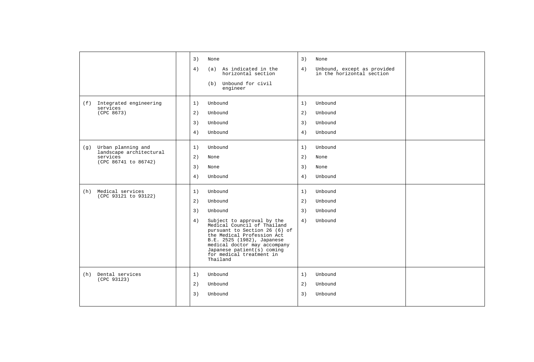|                                                                                          | 3)<br>3)<br>None<br>None<br>4)<br>4)<br>(a) As indicated in the<br>Unbound, except as provided<br>in the horizontal section<br>horizontal section<br>(b) Unbound for civil<br>engineer                                                                                                                                                                                                    |
|------------------------------------------------------------------------------------------|-------------------------------------------------------------------------------------------------------------------------------------------------------------------------------------------------------------------------------------------------------------------------------------------------------------------------------------------------------------------------------------------|
| (f) Integrated engineering<br>services<br>(CPC 8673)                                     | 1)<br>1)<br>Unbound<br>Unbound<br>2)<br>2)<br>Unbound<br>Unbound<br>3)<br>3)<br>Unbound<br>Unbound<br>4)<br>Unbound<br>4)<br>Unbound                                                                                                                                                                                                                                                      |
| Urban planning and<br>(g)<br>landscape architectural<br>services<br>(CPC 86741 to 86742) | Unbound<br>1)<br>Unbound<br>1)<br>2)<br>2)<br>None<br>None<br>3)<br>3)<br>None<br>None<br>4)<br>4)<br>Unbound<br>Unbound                                                                                                                                                                                                                                                                  |
| Medical services<br>(h)<br>(CPC 93121 to 93122)                                          | 1)<br>Unbound<br>1)<br>Unbound<br>2)<br>Unbound<br>2)<br>Unbound<br>3)<br>3)<br>Unbound<br>Unbound<br>4)<br>4)<br>Subject to approval by the<br>Unbound<br>Medical Council of Thailand<br>pursuant to Section 26 (6) of<br>the Medical Profession Act<br>B.E. 2525 (1982), Japanese<br>medical doctor may accompany<br>Japanese patient(s) coming<br>for medical treatment in<br>Thailand |
| Dental services<br>(h)<br>(CPC 93123)                                                    | Unbound<br>Unbound<br>1)<br>1)<br>2)<br>Unbound<br>2)<br>Unbound<br>3)<br>3)<br>Unbound<br>Unbound                                                                                                                                                                                                                                                                                        |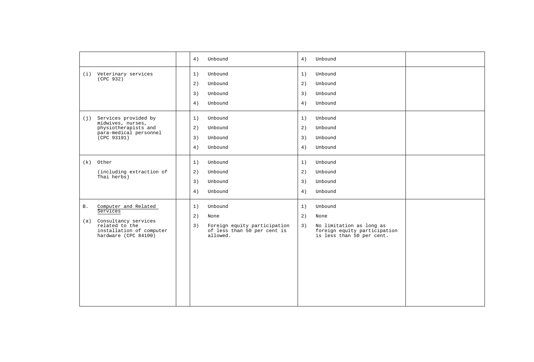|                                                                                                                                                  | 4)<br>Unbound<br>4)<br>Unbound                                                                                                                                                                                                             |
|--------------------------------------------------------------------------------------------------------------------------------------------------|--------------------------------------------------------------------------------------------------------------------------------------------------------------------------------------------------------------------------------------------|
| (i) Veterinary services<br>(CPC 932)                                                                                                             | Unbound<br>1)<br>Unbound<br>1)<br>2)<br>Unbound<br>2)<br>Unbound<br>3)<br>Unbound<br>3)<br>Unbound<br>Unbound<br>4)<br>Unbound<br>4)                                                                                                       |
| (j) Services provided by<br>midwives, nurses,<br>physiotherapists and<br>para-medical personnel<br>(CPC 93191)                                   | Unbound<br>1)<br>Unbound<br>1)<br>2)<br>Unbound<br>2)<br>Unbound<br>Unbound<br>3)<br>Unbound<br>3)<br>4)<br>4)<br>Unbound<br>Unbound                                                                                                       |
| (k) Other<br>(including extraction of<br>Thai herbs)                                                                                             | Unbound<br>1)<br>Unbound<br>1)<br>2)<br>Unbound<br>2)<br>Unbound<br>3)<br>Unbound<br>3)<br>Unbound<br>4)<br>4)<br>Unbound<br>Unbound                                                                                                       |
| Computer and Related<br><b>B</b> .<br>Services<br>(a) Consultancy services<br>related to the<br>installation of computer<br>hardware (CPC 84100) | Unbound<br>Unbound<br>1)<br>1)<br>2)<br>2)<br>None<br>None<br>Foreign equity participation<br>No limitation as long as<br>3)<br>3)<br>of less than 50 per cent is<br>foreign equity participation<br>allowed.<br>is less than 50 per cent. |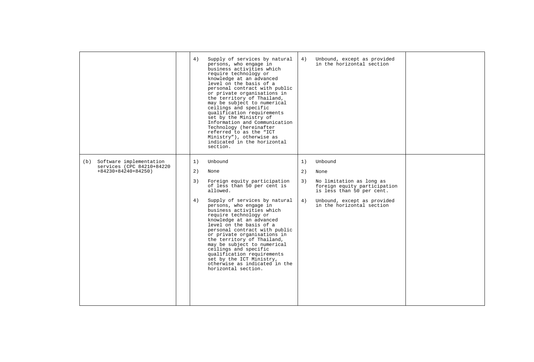|                                                                                  | 4)                   | Supply of services by natural<br>persons, who engage in<br>business activities which<br>require technology or<br>knowledge at an advanced<br>level on the basis of a<br>personal contract with public<br>or private organisations in<br>the territory of Thailand,<br>may be subject to numerical<br>ceilings and specific<br>qualification requirements<br>set by the Ministry of<br>Information and Communication<br>Technology (hereinafter<br>referred to as the "ICT<br>Ministry"), otherwise as<br>indicated in the horizontal<br>section. | 4)                   | Unbound, except as provided<br>in the horizontal section                                                                                                             |  |
|----------------------------------------------------------------------------------|----------------------|--------------------------------------------------------------------------------------------------------------------------------------------------------------------------------------------------------------------------------------------------------------------------------------------------------------------------------------------------------------------------------------------------------------------------------------------------------------------------------------------------------------------------------------------------|----------------------|----------------------------------------------------------------------------------------------------------------------------------------------------------------------|--|
| (b) Software implementation<br>services (CPC 84210+84220<br>$+84230+84240+84250$ | 1)<br>2)<br>3)<br>4) | Unbound<br>None<br>Foreign equity participation<br>of less than 50 per cent is<br>allowed.<br>Supply of services by natural<br>persons, who engage in<br>business activities which<br>require technology or<br>knowledge at an advanced<br>level on the basis of a<br>personal contract with public<br>or private organisations in<br>the territory of Thailand,<br>may be subject to numerical<br>ceilings and specific<br>qualification requirements<br>set by the ICT Ministry,<br>otherwise as indicated in the<br>horizontal section.       | 1)<br>2)<br>3)<br>4) | Unbound<br>None<br>No limitation as long as<br>foreign equity participation<br>is less than 50 per cent.<br>Unbound, except as provided<br>in the horizontal section |  |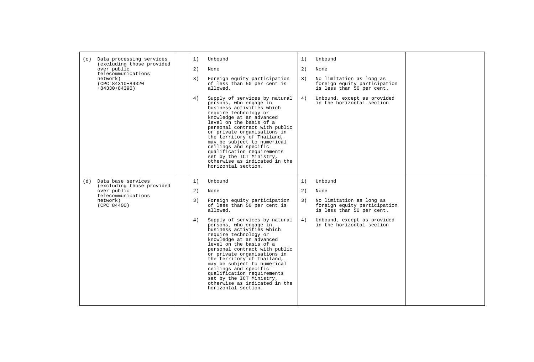| Data processing services<br>(c)<br>(excluding those provided<br>over public<br>telecommunications<br>network)<br>(CPC 84310+84320<br>$+84330+84390$ | 1)<br>Unbound<br>1)<br>Unbound<br>2)<br>2)<br>None<br>None<br>3)<br>Foreign equity participation<br>3)<br>of less than 50 per cent is<br>allowed.<br>4)<br>Supply of services by natural<br>4)<br>persons, who engage in<br>business activities which<br>require technology or<br>knowledge at an advanced<br>level on the basis of a<br>personal contract with public<br>or private organisations in<br>the territory of Thailand,<br>may be subject to numerical<br>ceilings and specific<br>qualification requirements<br>set by the ICT Ministry,<br>otherwise as indicated in the<br>horizontal section. | No limitation as long as<br>foreign equity participation<br>is less than 50 per cent.<br>Unbound, except as provided<br>in the horizontal section |
|-----------------------------------------------------------------------------------------------------------------------------------------------------|---------------------------------------------------------------------------------------------------------------------------------------------------------------------------------------------------------------------------------------------------------------------------------------------------------------------------------------------------------------------------------------------------------------------------------------------------------------------------------------------------------------------------------------------------------------------------------------------------------------|---------------------------------------------------------------------------------------------------------------------------------------------------|
| (d)<br>Data base services<br>(excluding those provided<br>over public<br>telecommunications<br>network)<br>(CPC 84400)                              | 1)<br>Unbound<br>1)<br>Unbound<br>2)<br>2)<br>None<br>None<br>3)<br>Foreign equity participation<br>3)<br>of less than 50 per cent is<br>allowed.<br>4)<br>Supply of services by natural<br>4)<br>persons, who engage in<br>business activities which<br>require technology or<br>knowledge at an advanced<br>level on the basis of a<br>personal contract with public<br>or private organisations in<br>the territory of Thailand,<br>may be subject to numerical<br>ceilings and specific<br>qualification requirements<br>set by the ICT Ministry,<br>otherwise as indicated in the<br>horizontal section. | No limitation as long as<br>foreign equity participation<br>is less than 50 per cent.<br>Unbound, except as provided<br>in the horizontal section |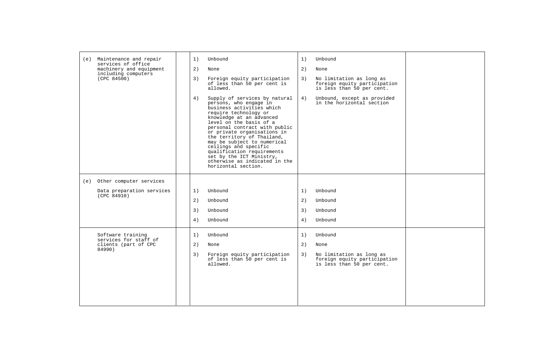| (e) Maintenance and repair<br>Unbound<br>1)<br>1)<br>Unbound<br>services of office<br>machinery and equipment<br>2)<br>2)<br>None<br>None<br>including computers<br>(CPC 84500)<br>Foreign equity participation<br>No limitation as long as<br>3)<br>3)<br>of less than 50 per cent is<br>foreign equity participation<br>allowed.<br>is less than 50 per cent.<br>Supply of services by natural<br>Unbound, except as provided<br>4)<br>4)<br>persons, who engage in<br>in the horizontal section<br>business activities which<br>require technology or<br>knowledge at an advanced<br>level on the basis of a<br>personal contract with public<br>or private organisations in<br>the territory of Thailand,<br>may be subject to numerical<br>ceilings and specific<br>qualification requirements<br>set by the ICT Ministry,<br>otherwise as indicated in the<br>horizontal section.<br>(e) Other computer services<br>Data preparation services<br>Unbound<br>1)<br>1)<br>Unbound<br>(CPC 84910)<br>2)<br>Unbound<br>2)<br>Unbound<br>Unbound<br>3)<br>3)<br>Unbound<br>4)<br>4)<br>Unbound<br>Unbound<br>Software training<br>Unbound<br>1)<br>1)<br>Unbound<br>services for staff of<br>clients (part of CPC<br>2)<br>2)<br>None<br>None<br>84990)<br>Foreign equity participation<br>No limitation as long as<br>3)<br>3)<br>of less than 50 per cent is<br>foreign equity participation<br>allowed.<br>is less than 50 per cent. |  |  |  |
|------------------------------------------------------------------------------------------------------------------------------------------------------------------------------------------------------------------------------------------------------------------------------------------------------------------------------------------------------------------------------------------------------------------------------------------------------------------------------------------------------------------------------------------------------------------------------------------------------------------------------------------------------------------------------------------------------------------------------------------------------------------------------------------------------------------------------------------------------------------------------------------------------------------------------------------------------------------------------------------------------------------------------------------------------------------------------------------------------------------------------------------------------------------------------------------------------------------------------------------------------------------------------------------------------------------------------------------------------------------------------------------------------------------------------------------|--|--|--|
|                                                                                                                                                                                                                                                                                                                                                                                                                                                                                                                                                                                                                                                                                                                                                                                                                                                                                                                                                                                                                                                                                                                                                                                                                                                                                                                                                                                                                                          |  |  |  |
|                                                                                                                                                                                                                                                                                                                                                                                                                                                                                                                                                                                                                                                                                                                                                                                                                                                                                                                                                                                                                                                                                                                                                                                                                                                                                                                                                                                                                                          |  |  |  |
|                                                                                                                                                                                                                                                                                                                                                                                                                                                                                                                                                                                                                                                                                                                                                                                                                                                                                                                                                                                                                                                                                                                                                                                                                                                                                                                                                                                                                                          |  |  |  |
|                                                                                                                                                                                                                                                                                                                                                                                                                                                                                                                                                                                                                                                                                                                                                                                                                                                                                                                                                                                                                                                                                                                                                                                                                                                                                                                                                                                                                                          |  |  |  |
|                                                                                                                                                                                                                                                                                                                                                                                                                                                                                                                                                                                                                                                                                                                                                                                                                                                                                                                                                                                                                                                                                                                                                                                                                                                                                                                                                                                                                                          |  |  |  |
|                                                                                                                                                                                                                                                                                                                                                                                                                                                                                                                                                                                                                                                                                                                                                                                                                                                                                                                                                                                                                                                                                                                                                                                                                                                                                                                                                                                                                                          |  |  |  |
|                                                                                                                                                                                                                                                                                                                                                                                                                                                                                                                                                                                                                                                                                                                                                                                                                                                                                                                                                                                                                                                                                                                                                                                                                                                                                                                                                                                                                                          |  |  |  |
|                                                                                                                                                                                                                                                                                                                                                                                                                                                                                                                                                                                                                                                                                                                                                                                                                                                                                                                                                                                                                                                                                                                                                                                                                                                                                                                                                                                                                                          |  |  |  |
|                                                                                                                                                                                                                                                                                                                                                                                                                                                                                                                                                                                                                                                                                                                                                                                                                                                                                                                                                                                                                                                                                                                                                                                                                                                                                                                                                                                                                                          |  |  |  |
|                                                                                                                                                                                                                                                                                                                                                                                                                                                                                                                                                                                                                                                                                                                                                                                                                                                                                                                                                                                                                                                                                                                                                                                                                                                                                                                                                                                                                                          |  |  |  |
|                                                                                                                                                                                                                                                                                                                                                                                                                                                                                                                                                                                                                                                                                                                                                                                                                                                                                                                                                                                                                                                                                                                                                                                                                                                                                                                                                                                                                                          |  |  |  |
|                                                                                                                                                                                                                                                                                                                                                                                                                                                                                                                                                                                                                                                                                                                                                                                                                                                                                                                                                                                                                                                                                                                                                                                                                                                                                                                                                                                                                                          |  |  |  |
|                                                                                                                                                                                                                                                                                                                                                                                                                                                                                                                                                                                                                                                                                                                                                                                                                                                                                                                                                                                                                                                                                                                                                                                                                                                                                                                                                                                                                                          |  |  |  |
|                                                                                                                                                                                                                                                                                                                                                                                                                                                                                                                                                                                                                                                                                                                                                                                                                                                                                                                                                                                                                                                                                                                                                                                                                                                                                                                                                                                                                                          |  |  |  |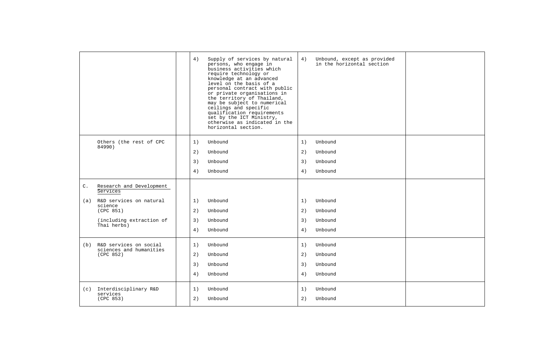|                |                                         | 4) | Supply of services by natural<br>persons, who engage in<br>business activities which<br>require technology or<br>knowledge at an advanced<br>level on the basis of a<br>personal contract with public<br>or private organisations in<br>the territory of Thailand,<br>may be subject to numerical<br>ceilings and specific<br>qualification requirements<br>set by the ICT Ministry,<br>otherwise as indicated in the<br>horizontal section. | 4) | Unbound, except as provided<br>in the horizontal section |  |
|----------------|-----------------------------------------|----|----------------------------------------------------------------------------------------------------------------------------------------------------------------------------------------------------------------------------------------------------------------------------------------------------------------------------------------------------------------------------------------------------------------------------------------------|----|----------------------------------------------------------|--|
|                | Others (the rest of CPC                 | 1) | Unbound                                                                                                                                                                                                                                                                                                                                                                                                                                      | 1) | Unbound                                                  |  |
|                | 84990)                                  | 2) | Unbound                                                                                                                                                                                                                                                                                                                                                                                                                                      | 2) | Unbound                                                  |  |
|                |                                         | 3) | Unbound                                                                                                                                                                                                                                                                                                                                                                                                                                      | 3) | Unbound                                                  |  |
|                |                                         | 4) | Unbound                                                                                                                                                                                                                                                                                                                                                                                                                                      | 4) | Unbound                                                  |  |
| $\mathsf{C}$ . | Research and Development<br>Services    |    |                                                                                                                                                                                                                                                                                                                                                                                                                                              |    |                                                          |  |
| (a)            | R&D services on natural<br>science      | 1) | Unbound                                                                                                                                                                                                                                                                                                                                                                                                                                      | 1) | Unbound                                                  |  |
|                | (CPC 851)                               | 2) | Unbound                                                                                                                                                                                                                                                                                                                                                                                                                                      | 2) | Unbound                                                  |  |
|                | (including extraction of<br>Thai herbs) | 3) | Unbound                                                                                                                                                                                                                                                                                                                                                                                                                                      | 3) | Unbound                                                  |  |
|                |                                         | 4) | Unbound                                                                                                                                                                                                                                                                                                                                                                                                                                      | 4) | Unbound                                                  |  |
| (b)            | R&D services on social                  | 1) | Unbound                                                                                                                                                                                                                                                                                                                                                                                                                                      | 1) | Unbound                                                  |  |
|                | sciences and humanities<br>(CPC 852)    | 2) | Unbound                                                                                                                                                                                                                                                                                                                                                                                                                                      | 2) | Unbound                                                  |  |
|                |                                         | 3) | Unbound                                                                                                                                                                                                                                                                                                                                                                                                                                      | 3) | Unbound                                                  |  |
|                |                                         | 4) | Unbound                                                                                                                                                                                                                                                                                                                                                                                                                                      | 4) | Unbound                                                  |  |
|                | (c) Interdisciplinary R&D               | 1) | Unbound                                                                                                                                                                                                                                                                                                                                                                                                                                      | 1) | Unbound                                                  |  |
|                | services<br>(CPC 853)                   | 2) | Unbound                                                                                                                                                                                                                                                                                                                                                                                                                                      | 2) | Unbound                                                  |  |
|                |                                         |    |                                                                                                                                                                                                                                                                                                                                                                                                                                              |    |                                                          |  |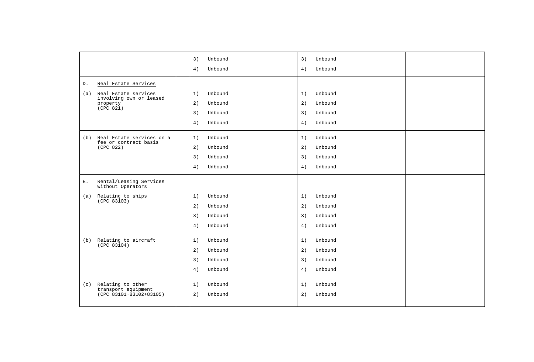|                |                                                  | 3)<br>Unbound | 3) | Unbound |  |
|----------------|--------------------------------------------------|---------------|----|---------|--|
|                |                                                  | 4)<br>Unbound | 4) | Unbound |  |
| D.             | Real Estate Services                             |               |    |         |  |
| (a)            | Real Estate services                             | Unbound<br>1) | 1) | Unbound |  |
|                | involving own or leased<br>property<br>(CPC 821) | 2)<br>Unbound | 2) | Unbound |  |
|                |                                                  | 3)<br>Unbound | 3) | Unbound |  |
|                |                                                  | Unbound<br>4) | 4) | Unbound |  |
|                | (b) Real Estate services on a                    | 1)<br>Unbound | 1) | Unbound |  |
|                | fee or contract basis<br>(CPC 822)               | 2)<br>Unbound | 2) | Unbound |  |
|                |                                                  | 3)<br>Unbound | 3) | Unbound |  |
|                |                                                  | Unbound<br>4) | 4) | Unbound |  |
| $\mathbf{E}$ . | Rental/Leasing Services<br>without Operators     |               |    |         |  |
| (a)            | Relating to ships                                | 1)<br>Unbound | 1) | Unbound |  |
|                | (CPC 83103)                                      | 2)<br>Unbound | 2) | Unbound |  |
|                |                                                  | 3)<br>Unbound | 3) | Unbound |  |
|                |                                                  | 4)<br>Unbound | 4) | Unbound |  |
| (b)            | Relating to aircraft                             | 1)<br>Unbound | 1) | Unbound |  |
|                | (CPC 83104)                                      | 2)<br>Unbound | 2) | Unbound |  |
|                |                                                  | 3)<br>Unbound | 3) | Unbound |  |
|                |                                                  | 4)<br>Unbound | 4) | Unbound |  |
| (c)            | Relating to other                                | 1)<br>Unbound | 1) | Unbound |  |
|                | transport equipment<br>(CPC 83101+83102+83105)   | 2)<br>Unbound | 2) | Unbound |  |
|                |                                                  |               |    |         |  |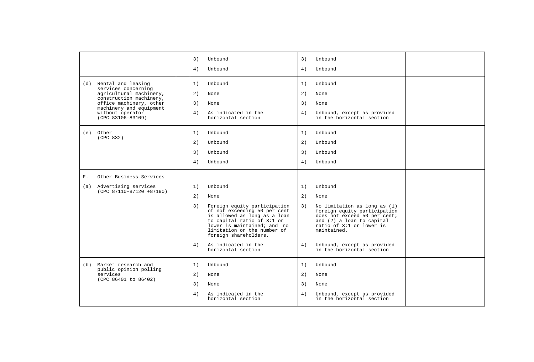|                |                                                                           | 3) | Unbound                                                                                                                                                                                                           | 3) | Unbound                                                                                                                                                              |  |
|----------------|---------------------------------------------------------------------------|----|-------------------------------------------------------------------------------------------------------------------------------------------------------------------------------------------------------------------|----|----------------------------------------------------------------------------------------------------------------------------------------------------------------------|--|
|                |                                                                           | 4) | Unbound                                                                                                                                                                                                           | 4) | Unbound                                                                                                                                                              |  |
|                | (d) Rental and leasing                                                    | 1) | Unbound                                                                                                                                                                                                           | 1) | Unbound                                                                                                                                                              |  |
|                | services concerning<br>agricultural machinery,<br>construction machinery, | 2) | None                                                                                                                                                                                                              | 2) | None                                                                                                                                                                 |  |
|                | office machinery, other<br>machinery and equipment                        | 3) | None                                                                                                                                                                                                              | 3) | None                                                                                                                                                                 |  |
|                | without operator<br>$(CPC 83106 - 83109)$                                 | 4) | As indicated in the<br>horizontal section                                                                                                                                                                         | 4) | Unbound, except as provided<br>in the horizontal section                                                                                                             |  |
|                | (e) Other<br>(CPC 832)                                                    | 1) | Unbound                                                                                                                                                                                                           | 1) | Unbound                                                                                                                                                              |  |
|                |                                                                           | 2) | Unbound                                                                                                                                                                                                           | 2) | Unbound                                                                                                                                                              |  |
|                |                                                                           | 3) | Unbound                                                                                                                                                                                                           | 3) | Unbound                                                                                                                                                              |  |
|                |                                                                           | 4) | Unbound                                                                                                                                                                                                           | 4) | Unbound                                                                                                                                                              |  |
| $\mathbf{F}$ . | Other Business Services                                                   |    |                                                                                                                                                                                                                   |    |                                                                                                                                                                      |  |
| (a)            | Advertising services                                                      | 1) | Unbound                                                                                                                                                                                                           | 1) | Unbound                                                                                                                                                              |  |
|                | $(CPC 87110+87120 +87190)$                                                | 2) | None                                                                                                                                                                                                              | 2) | None                                                                                                                                                                 |  |
|                |                                                                           | 3) | Foreign equity participation<br>of not exceeding 50 per cent<br>is allowed as long as a loan<br>to capital ratio of 3:1 or<br>lower is maintained; and no<br>limitation on the number of<br>foreign shareholders. | 3) | No limitation as long as (1)<br>foreign equity participation<br>does not exceed 50 per cent;<br>and (2) a loan to capital<br>ratio of 3:1 or lower is<br>maintained. |  |
|                |                                                                           | 4) | As indicated in the<br>horizontal section                                                                                                                                                                         | 4) | Unbound, except as provided<br>in the horizontal section                                                                                                             |  |
| (b)            | Market research and                                                       | 1) | Unbound                                                                                                                                                                                                           | 1) | Unbound                                                                                                                                                              |  |
|                | public opinion polling<br>services<br>(CPC 86401 to 86402)                | 2) | None                                                                                                                                                                                                              | 2) | None                                                                                                                                                                 |  |
|                |                                                                           | 3) | None                                                                                                                                                                                                              | 3) | None                                                                                                                                                                 |  |
|                |                                                                           | 4) | As indicated in the<br>horizontal section                                                                                                                                                                         | 4) | Unbound, except as provided<br>in the horizontal section                                                                                                             |  |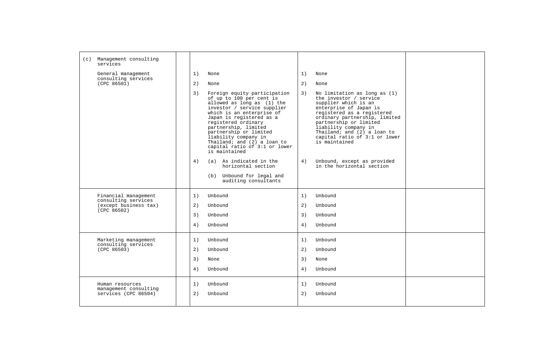| (c) Management consulting<br>services                            |                                                                                                                                                                                                                                                                                                                                                                                                                                                            |                      |                                                                                                                                                                                                                                                                                                                                                                        |  |
|------------------------------------------------------------------|------------------------------------------------------------------------------------------------------------------------------------------------------------------------------------------------------------------------------------------------------------------------------------------------------------------------------------------------------------------------------------------------------------------------------------------------------------|----------------------|------------------------------------------------------------------------------------------------------------------------------------------------------------------------------------------------------------------------------------------------------------------------------------------------------------------------------------------------------------------------|--|
| General management                                               | 1)<br>None                                                                                                                                                                                                                                                                                                                                                                                                                                                 | 1)                   | None                                                                                                                                                                                                                                                                                                                                                                   |  |
| consulting services<br>(CPC 86501)                               | 2)<br>None                                                                                                                                                                                                                                                                                                                                                                                                                                                 | 2)                   | None                                                                                                                                                                                                                                                                                                                                                                   |  |
|                                                                  | 3)<br>Foreign equity participation<br>of up to 100 per cent is<br>allowed as long as (1) the<br>investor / service supplier<br>which is an enterprise of<br>Japan is registered as a<br>registered ordinary<br>partnership, limited<br>partnership or limited<br>liability company in<br>Thailand; and (2) a loan to<br>capital ratio of 3:1 or lower<br>is maintained<br>(a) As indicated in the<br>4)<br>horizontal section<br>(b) Unbound for legal and | 3)<br>4)             | No limitation as long as (1)<br>the investor / service<br>supplier which is an<br>enterprise of Japan is<br>registered as a registered<br>ordinary partnership, limited<br>partnership or limited<br>liability company in<br>Thailand; and (2) a loan to<br>capital ratio of 3:1 or lower<br>is maintained<br>Unbound, except as provided<br>in the horizontal section |  |
|                                                                  | auditing consultants                                                                                                                                                                                                                                                                                                                                                                                                                                       |                      |                                                                                                                                                                                                                                                                                                                                                                        |  |
| Financial management                                             | Unbound<br>1)                                                                                                                                                                                                                                                                                                                                                                                                                                              | 1)                   | Unbound                                                                                                                                                                                                                                                                                                                                                                |  |
| consulting services<br>(except business tax)<br>(CPC 86502)      | 2)<br>Unbound                                                                                                                                                                                                                                                                                                                                                                                                                                              | 2)                   | Unbound                                                                                                                                                                                                                                                                                                                                                                |  |
|                                                                  | 3)<br>Unbound                                                                                                                                                                                                                                                                                                                                                                                                                                              | 3)                   | Unbound                                                                                                                                                                                                                                                                                                                                                                |  |
|                                                                  | 4)<br>Unbound                                                                                                                                                                                                                                                                                                                                                                                                                                              | 4)                   | Unbound                                                                                                                                                                                                                                                                                                                                                                |  |
| Marketing management<br>consulting services<br>(CPC 86503)       | Unbound<br>1)<br>2)<br>Unbound<br>3)<br>None<br>Unbound<br>4)                                                                                                                                                                                                                                                                                                                                                                                              | 1)<br>2)<br>3)<br>4) | Unbound<br>Unbound<br>None<br>Unbound                                                                                                                                                                                                                                                                                                                                  |  |
| Human resources<br>management consulting<br>services (CPC 86504) | 1)<br>Unbound<br>2)<br>Unbound                                                                                                                                                                                                                                                                                                                                                                                                                             | 1)<br>2)             | Unbound<br>Unbound                                                                                                                                                                                                                                                                                                                                                     |  |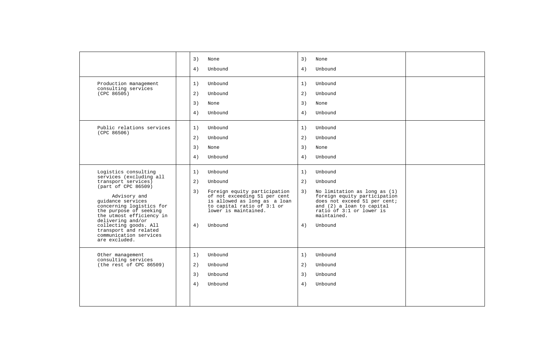|                                                                                                                                                                                                                                                                                                                                        | 3)<br>4)             | None<br>Unbound                                                                                                                                                                     | 3)<br>4)             | None<br>Unbound                                                                                                                                                                                       |  |
|----------------------------------------------------------------------------------------------------------------------------------------------------------------------------------------------------------------------------------------------------------------------------------------------------------------------------------------|----------------------|-------------------------------------------------------------------------------------------------------------------------------------------------------------------------------------|----------------------|-------------------------------------------------------------------------------------------------------------------------------------------------------------------------------------------------------|--|
| Production management<br>consulting services<br>(CPC 86505)                                                                                                                                                                                                                                                                            | 1)<br>2)<br>3)<br>4) | Unbound<br>Unbound<br>None<br>Unbound                                                                                                                                               | 1)<br>2)<br>3)<br>4) | Unbound<br>Unbound<br>None<br>Unbound                                                                                                                                                                 |  |
| Public relations services<br>(CPC 86506)                                                                                                                                                                                                                                                                                               | 1)<br>2)<br>3)<br>4) | Unbound<br>Unbound<br>None<br>Unbound                                                                                                                                               | 1)<br>2)<br>3)<br>4) | Unbound<br>Unbound<br>None<br>Unbound                                                                                                                                                                 |  |
| Logistics consulting<br>services (excluding all<br>transport services)<br>(part of CPC 86509)<br>Advisory and<br>quidance services<br>concerning logistics for<br>the purpose of seeking<br>the utmost efficiency in<br>delivering and/or<br>collecting goods. All<br>transport and related<br>communication services<br>are excluded. | 1)<br>2)<br>3)<br>4) | Unbound<br>Unbound<br>Foreign equity participation<br>of not exceeding 51 per cent<br>is allowed as long as a loan<br>to capital ratio of 3:1 or<br>lower is maintained.<br>Unbound | 1)<br>2)<br>3)<br>4) | Unbound<br>Unbound<br>No limitation as long as (1)<br>foreign equity participation<br>does not exceed 51 per cent;<br>and (2) a loan to capital<br>ratio of 3:1 or lower is<br>maintained.<br>Unbound |  |
| Other management<br>consulting services<br>(the rest of CPC 86509)                                                                                                                                                                                                                                                                     | 1)<br>2)<br>3)<br>4) | Unbound<br>Unbound<br>Unbound<br>Unbound                                                                                                                                            | 1)<br>2)<br>3)<br>4) | Unbound<br>Unbound<br>Unbound<br>Unbound                                                                                                                                                              |  |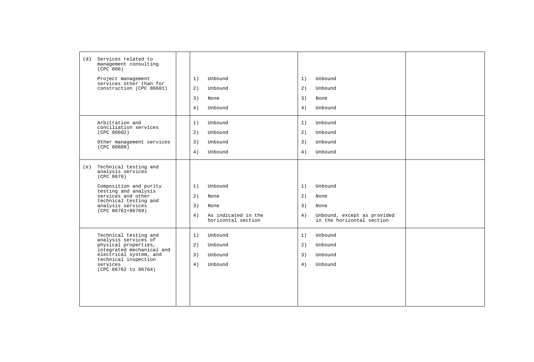| (d) Services related to<br>management consulting<br>(CPC 866) |    |                                           |    |                                                          |  |
|---------------------------------------------------------------|----|-------------------------------------------|----|----------------------------------------------------------|--|
| Project management                                            | 1) | Unbound                                   | 1) | Unbound                                                  |  |
| services other than for<br>construction (CPC 86601)           | 2) | Unbound                                   | 2) | Unbound                                                  |  |
|                                                               | 3) | None                                      | 3) | None                                                     |  |
|                                                               | 4) | Unbound                                   | 4) | Unbound                                                  |  |
| Arbitration and<br>conciliation services                      | 1) | Unbound                                   | 1) | Unbound                                                  |  |
| (CPC 86602)                                                   | 2) | Unbound                                   | 2) | Unbound                                                  |  |
| Other management services<br>(CPC 86609)                      | 3) | Unbound                                   | 3) | Unbound                                                  |  |
|                                                               | 4) | Unbound                                   | 4) | Unbound                                                  |  |
| (e) Technical testing and<br>analysis services<br>(CPC 8676)  |    |                                           |    |                                                          |  |
| Composition and purity                                        | 1) | Unbound                                   | 1) | Unbound                                                  |  |
| testing and analysis<br>services and other                    | 2) | None                                      | 2) | None                                                     |  |
| technical testing and<br>analysis services                    | 3) | None                                      | 3) | None                                                     |  |
| $(CPC 86761+86769)$                                           | 4) | As indicated in the<br>horizontal section | 4) | Unbound, except as provided<br>in the horizontal section |  |
| Technical testing and                                         | 1) | Unbound                                   | 1) | Unbound                                                  |  |
| analysis services of<br>physical properties,                  | 2) | Unbound                                   | 2) | Unbound                                                  |  |
| integrated mechanical and<br>electrical system, and           | 3) | Unbound                                   | 3) | Unbound                                                  |  |
| technical inspection<br>services<br>(CPC 86762 to 86764)      | 4) | Unbound                                   | 4) | Unbound                                                  |  |
|                                                               |    |                                           |    |                                                          |  |
|                                                               |    |                                           |    |                                                          |  |
|                                                               |    |                                           |    |                                                          |  |
|                                                               |    |                                           |    |                                                          |  |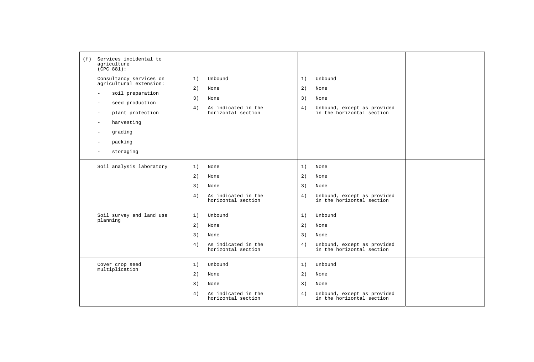| Services incidental to<br>(f)<br>agriculture<br>(CPC 881):<br>Consultancy services on<br>agricultural extension:                                                      | 1)<br>Unbound                                                                                | 1)<br>Unbound                                                                                               |  |
|-----------------------------------------------------------------------------------------------------------------------------------------------------------------------|----------------------------------------------------------------------------------------------|-------------------------------------------------------------------------------------------------------------|--|
| soil preparation<br>$\overline{\phantom{a}}$<br>seed production<br>÷<br>plant protection<br>$\overline{\phantom{a}}$<br>harvesting<br>grading<br>packing<br>storaging | 2)<br>None<br>3)<br>None<br>As indicated in the<br>4)<br>horizontal section                  | 2)<br>None<br>3)<br>None<br>4)<br>Unbound, except as provided<br>in the horizontal section                  |  |
| Soil analysis laboratory                                                                                                                                              | 1)<br>None<br>2)<br>None<br>3)<br>None<br>4)<br>As indicated in the<br>horizontal section    | 1)<br>None<br>2)<br>None<br>3)<br>None<br>Unbound, except as provided<br>4)<br>in the horizontal section    |  |
| Soil survey and land use<br>planning                                                                                                                                  | 1)<br>Unbound<br>2)<br>None<br>3)<br>None<br>As indicated in the<br>4)<br>horizontal section | 1)<br>Unbound<br>2)<br>None<br>3)<br>None<br>4)<br>Unbound, except as provided<br>in the horizontal section |  |
| Cover crop seed<br>multiplication                                                                                                                                     | Unbound<br>1)<br>2)<br>None<br>3)<br>None<br>4)<br>As indicated in the<br>horizontal section | Unbound<br>1)<br>2)<br>None<br>3)<br>None<br>4)<br>Unbound, except as provided<br>in the horizontal section |  |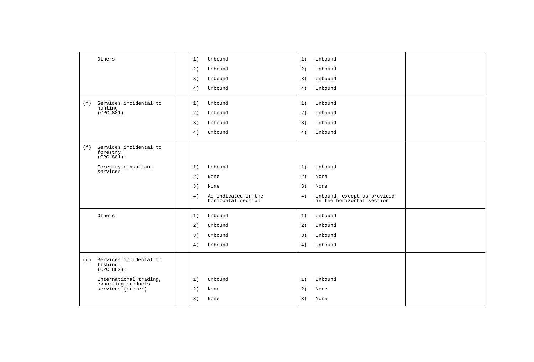| Others                                                 | 1) | Unbound                                   | 1) | Unbound                                                  |  |
|--------------------------------------------------------|----|-------------------------------------------|----|----------------------------------------------------------|--|
|                                                        | 2) | Unbound                                   | 2) | Unbound                                                  |  |
|                                                        | 3) | Unbound                                   | 3) | Unbound                                                  |  |
|                                                        | 4) | Unbound                                   | 4) | Unbound                                                  |  |
| Services incidental to<br>(f)<br>hunting               | 1) | Unbound                                   | 1) | Unbound                                                  |  |
| (CPC 881)                                              | 2) | Unbound                                   | 2) | Unbound                                                  |  |
|                                                        | 3) | Unbound                                   | 3) | Unbound                                                  |  |
|                                                        | 4) | Unbound                                   | 4) | Unbound                                                  |  |
| (f) Services incidental to<br>forestry<br>(CPC 881):   |    |                                           |    |                                                          |  |
| Forestry consultant                                    | 1) | Unbound                                   | 1) | Unbound                                                  |  |
| services                                               | 2) | None                                      | 2) | None                                                     |  |
|                                                        | 3) | None                                      | 3) | None                                                     |  |
|                                                        | 4) | As indicated in the<br>horizontal section | 4) | Unbound, except as provided<br>in the horizontal section |  |
| Others                                                 | 1) | Unbound                                   | 1) | Unbound                                                  |  |
|                                                        | 2) | Unbound                                   | 2) | Unbound                                                  |  |
|                                                        | 3) | Unbound                                   | 3) | Unbound                                                  |  |
|                                                        | 4) | Unbound                                   | 4) | Unbound                                                  |  |
| Services incidental to<br>(g)<br>fishing<br>(CPC 882): |    |                                           |    |                                                          |  |
| International trading,                                 | 1) | Unbound                                   | 1) | Unbound                                                  |  |
| exporting products<br>services (broker)                | 2) | None                                      | 2) | None                                                     |  |
|                                                        | 3) | None                                      | 3) | None                                                     |  |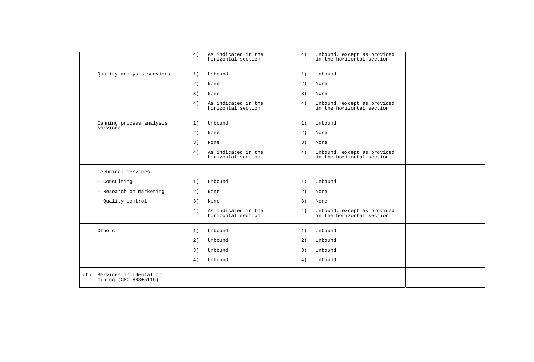|                                                        | 4)         | As indicated in the<br>horizontal section | 4) | Unbound, except as provided<br>in the horizontal section |  |
|--------------------------------------------------------|------------|-------------------------------------------|----|----------------------------------------------------------|--|
| Quality analysis services                              | 1)         | Unbound                                   | 1) | Unbound                                                  |  |
|                                                        | 2)<br>None |                                           | 2) | None                                                     |  |
|                                                        | 3)<br>None |                                           | 3) | None                                                     |  |
|                                                        | 4)         | As indicated in the<br>horizontal section | 4) | Unbound, except as provided<br>in the horizontal section |  |
| Canning process analysis<br>services                   | 1)         | Unbound                                   | 1) | Unbound                                                  |  |
|                                                        | 2)<br>None |                                           | 2) | None                                                     |  |
|                                                        | 3)<br>None |                                           | 3) | None                                                     |  |
|                                                        | 4)         | As indicated in the<br>horizontal section | 4) | Unbound, except as provided<br>in the horizontal section |  |
| Technical services                                     |            |                                           |    |                                                          |  |
| - Consulting                                           | 1)         | Unbound                                   | 1) | Unbound                                                  |  |
| - Research on marketing                                | 2)<br>None |                                           | 2) | None                                                     |  |
| - Quality control                                      | 3)<br>None |                                           | 3) | None                                                     |  |
|                                                        | 4)         | As indicated in the<br>horizontal section | 4) | Unbound, except as provided<br>in the horizontal section |  |
| Others                                                 | 1)         | Unbound                                   | 1) | Unbound                                                  |  |
|                                                        | 2)         | Unbound                                   | 2) | Unbound                                                  |  |
|                                                        | 3)         | Unbound                                   | 3) | Unbound                                                  |  |
|                                                        | 4)         | Unbound                                   | 4) | Unbound                                                  |  |
| Services incidental to<br>(h)<br>mining (CPC 883+5115) |            |                                           |    |                                                          |  |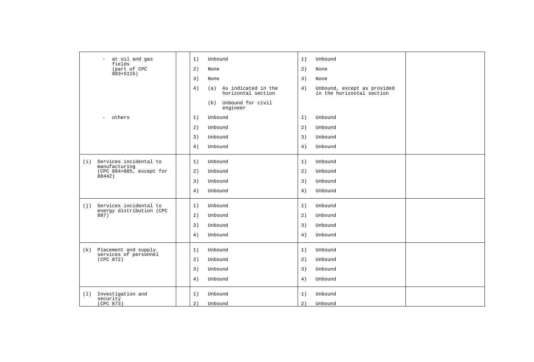| at oil and gas<br>$\equiv$<br>fields                      | 1) | Unbound                                       | 1) | Unbound                                                  |  |
|-----------------------------------------------------------|----|-----------------------------------------------|----|----------------------------------------------------------|--|
| (part of CPC<br>$883 + 5115$ )                            | 2) | None                                          | 2) | None                                                     |  |
|                                                           | 3) | None                                          | 3) | None                                                     |  |
|                                                           | 4) | (a) As indicated in the<br>horizontal section | 4) | Unbound, except as provided<br>in the horizontal section |  |
|                                                           |    | (b) Unbound for civil<br>engineer             |    |                                                          |  |
| others<br>$\overline{\phantom{a}}$                        | 1) | Unbound                                       | 1) | Unbound                                                  |  |
|                                                           | 2) | Unbound                                       | 2) | Unbound                                                  |  |
|                                                           | 3) | Unbound                                       | 3) | Unbound                                                  |  |
|                                                           | 4) | Unbound                                       | 4) | Unbound                                                  |  |
| Services incidental to<br>(i)<br>manufacturing            | 1) | Unbound                                       | 1) | Unbound                                                  |  |
| (CPC 884+885, except for                                  | 2) | Unbound                                       | 2) | Unbound                                                  |  |
| 88442)                                                    | 3) | Unbound                                       | 3) | Unbound                                                  |  |
|                                                           | 4) | Unbound                                       | 4) | Unbound                                                  |  |
| Services incidental to<br>(j)<br>energy distribution (CPC | 1) | Unbound                                       | 1) | Unbound                                                  |  |
| 887)                                                      | 2) | Unbound                                       | 2) | Unbound                                                  |  |
|                                                           | 3) | Unbound                                       | 3) | Unbound                                                  |  |
|                                                           | 4) | Unbound                                       | 4) | Unbound                                                  |  |
| (k) Placement and supply<br>services of personnel         | 1) | Unbound                                       | 1) | Unbound                                                  |  |
| (CPC 872)                                                 | 2) | Unbound                                       | 2) | Unbound                                                  |  |
|                                                           | 3) | Unbound                                       | 3) | Unbound                                                  |  |
|                                                           | 4) | Unbound                                       | 4) | Unbound                                                  |  |
| Investigation and<br>(1)<br>security                      | 1) | Unbound                                       | 1) | Unbound                                                  |  |
| (CPC 873)                                                 | 2) | Unbound                                       | 2) | Unbound                                                  |  |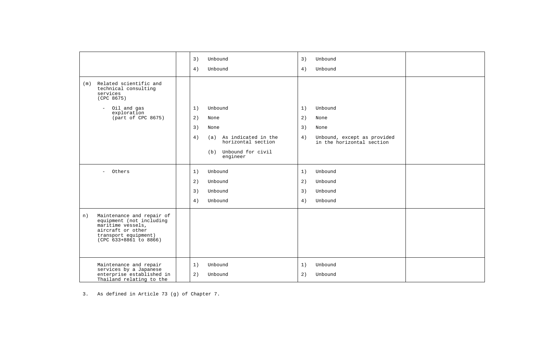|                                                                                                                                                         | 3)<br>3)<br>Unbound<br>Unbound<br>4)<br>Unbound<br>4)<br>Unbound                                                      |  |
|---------------------------------------------------------------------------------------------------------------------------------------------------------|-----------------------------------------------------------------------------------------------------------------------|--|
| Related scientific and<br>(m)<br>technical consulting<br>services<br>(CPC 8675)                                                                         |                                                                                                                       |  |
| Oil and gas<br>$\equiv$<br>exploration                                                                                                                  | Unbound<br>1)<br>1)<br>Unbound                                                                                        |  |
| (part of CPC 8675)                                                                                                                                      | 2)<br>2)<br>None<br>None                                                                                              |  |
|                                                                                                                                                         | 3)<br>3)<br>None<br>None                                                                                              |  |
|                                                                                                                                                         | 4)<br>(a) As indicated in the<br>Unbound, except as provided<br>4)<br>horizontal section<br>in the horizontal section |  |
|                                                                                                                                                         | Unbound for civil<br>(b)<br>engineer                                                                                  |  |
| - Others                                                                                                                                                | 1)<br>Unbound<br>1)<br>Unbound                                                                                        |  |
|                                                                                                                                                         | 2)<br>2)<br>Unbound<br>Unbound                                                                                        |  |
|                                                                                                                                                         | 3)<br>3)<br>Unbound<br>Unbound                                                                                        |  |
|                                                                                                                                                         | 4)<br>Unbound<br>4)<br>Unbound                                                                                        |  |
| Maintenance and repair of<br>n)<br>equipment (not including<br>maritime vessels,<br>aircraft or other<br>transport equipment)<br>(CPC 633+8861 to 8866) |                                                                                                                       |  |
| Maintenance and repair<br>services by a Japanese<br>enterprise established in                                                                           | 1)<br>Unbound<br>1)<br>Unbound<br>2)<br>Unbound<br>2)<br>Unbound                                                      |  |
| Thailand relating to the                                                                                                                                |                                                                                                                       |  |

3. As defined in Article 73 (g) of Chapter 7.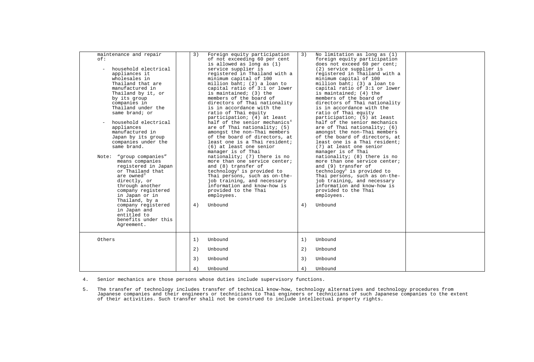| maintenance and repair<br>$\cap$ f:<br>household electrical<br>appliances it<br>wholesales in<br>Thailand that are<br>manufactured in<br>Thailand by it, or<br>by its group<br>companies in<br>Thailand under the<br>same brand; or<br>household electrical<br>appliances<br>manufactured in<br>Japan by its group<br>companies under the<br>same brand.<br>"group companies"<br>Note:<br>means companies<br>registered in Japan<br>or Thailand that<br>are owned <sup>3</sup><br>directly, or<br>through another<br>company registered<br>in Japan or in<br>Thailand, by a<br>company registered<br>in Japan and<br>entitled to<br>benefits under this<br>Agreement. | 3)<br>4) | Foreign equity participation<br>of not exceeding 60 per cent<br>is allowed as long as (1)<br>service supplier is<br>registered in Thailand with a<br>minimum capital of 100<br>million baht; (2) a loan to<br>capital ratio of 3:1 or lower<br>is maintained; (3) the<br>members of the board of<br>directors of Thai nationality<br>is in accordance with the<br>ratio of Thai equity<br>participation; (4) at least<br>half of the senior mechanics <sup>4</sup><br>are of Thai nationality; (5)<br>amongst the non-Thai members<br>of the board of directors, at<br>least one is a Thai resident;<br>(6) at least one senior<br>manager is of Thai<br>nationality; (7) there is no<br>more than one service center;<br>and (8) transfer of<br>technology <sup>5</sup> is provided to<br>Thai persons, such as on-the-<br>job training, and necessary<br>information and know-how is<br>provided to the Thai<br>employees.<br>Unbound | 3)<br>4) | No limitation as long as $(1)$<br>foreign equity participation<br>does not exceed 60 per cent;<br>(2) service supplier is<br>registered in Thailand with a<br>minimum capital of 100<br>million baht; (3) a loan to<br>capital ratio of 3:1 or lower<br>is maintained; (4) the<br>members of the board of<br>directors of Thai nationality<br>is in accordance with the<br>ratio of Thai equity<br>participation; (5) at least<br>half of the senior mechanics<br>are of Thai nationality; (6)<br>amongst the non-Thai members<br>of the board of directors, at<br>least one is a Thai resident;<br>(7) at least one senior<br>manager is of Thai<br>nationality; (8) there is no<br>more than one service center;<br>and (9) transfer of<br>technology <sup>5</sup> is provided to<br>Thai persons, such as on-the-<br>job training, and necessary<br>information and know-how is<br>provided to the Thai<br>employees.<br>Unbound |  |
|-----------------------------------------------------------------------------------------------------------------------------------------------------------------------------------------------------------------------------------------------------------------------------------------------------------------------------------------------------------------------------------------------------------------------------------------------------------------------------------------------------------------------------------------------------------------------------------------------------------------------------------------------------------------------|----------|-----------------------------------------------------------------------------------------------------------------------------------------------------------------------------------------------------------------------------------------------------------------------------------------------------------------------------------------------------------------------------------------------------------------------------------------------------------------------------------------------------------------------------------------------------------------------------------------------------------------------------------------------------------------------------------------------------------------------------------------------------------------------------------------------------------------------------------------------------------------------------------------------------------------------------------------|----------|-------------------------------------------------------------------------------------------------------------------------------------------------------------------------------------------------------------------------------------------------------------------------------------------------------------------------------------------------------------------------------------------------------------------------------------------------------------------------------------------------------------------------------------------------------------------------------------------------------------------------------------------------------------------------------------------------------------------------------------------------------------------------------------------------------------------------------------------------------------------------------------------------------------------------------------|--|
| Others                                                                                                                                                                                                                                                                                                                                                                                                                                                                                                                                                                                                                                                                | 1)<br>2) | Unbound<br>Unbound                                                                                                                                                                                                                                                                                                                                                                                                                                                                                                                                                                                                                                                                                                                                                                                                                                                                                                                      | 1)<br>2) | Unbound<br>Unbound                                                                                                                                                                                                                                                                                                                                                                                                                                                                                                                                                                                                                                                                                                                                                                                                                                                                                                                  |  |
|                                                                                                                                                                                                                                                                                                                                                                                                                                                                                                                                                                                                                                                                       | 3)       | Unbound                                                                                                                                                                                                                                                                                                                                                                                                                                                                                                                                                                                                                                                                                                                                                                                                                                                                                                                                 | 3)       | Unbound                                                                                                                                                                                                                                                                                                                                                                                                                                                                                                                                                                                                                                                                                                                                                                                                                                                                                                                             |  |
|                                                                                                                                                                                                                                                                                                                                                                                                                                                                                                                                                                                                                                                                       | 4)       | Unbound                                                                                                                                                                                                                                                                                                                                                                                                                                                                                                                                                                                                                                                                                                                                                                                                                                                                                                                                 | 4)       | Unbound                                                                                                                                                                                                                                                                                                                                                                                                                                                                                                                                                                                                                                                                                                                                                                                                                                                                                                                             |  |

<span id="page-85-1"></span>4. Senior mechanics are those persons whose duties include supervisory functions.

<span id="page-85-2"></span><span id="page-85-0"></span>5. The transfer of technology includes transfer of technical know-how, technology alternatives and technology procedures from<br>Japanese companies and their engineers or technicians to Thai engineers or technicians of such J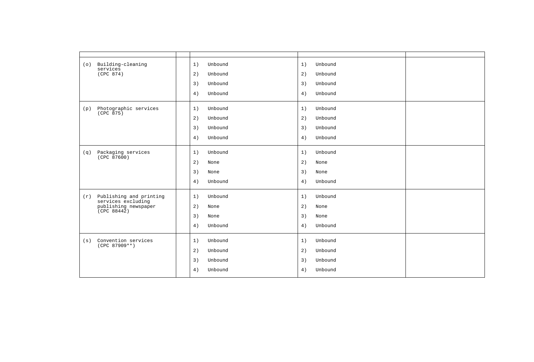| (0) | Building-cleaning<br>services                 | 1)<br>Unbound | 1) | Unbound |  |
|-----|-----------------------------------------------|---------------|----|---------|--|
|     | (CPC 874)                                     | 2)<br>Unbound | 2) | Unbound |  |
|     |                                               | 3)<br>Unbound | 3) | Unbound |  |
|     |                                               | 4)<br>Unbound | 4) | Unbound |  |
| (p) | Photographic services<br>(CPC 875)            | Unbound<br>1) | 1) | Unbound |  |
|     |                                               | 2)<br>Unbound | 2) | Unbound |  |
|     |                                               | 3)<br>Unbound | 3) | Unbound |  |
|     |                                               | Unbound<br>4) | 4) | Unbound |  |
| (q) | Packaging services<br>(CPC 87600)             | Unbound<br>1) | 1) | Unbound |  |
|     |                                               | 2)<br>None    | 2) | None    |  |
|     |                                               | 3)<br>None    | 3) | None    |  |
|     |                                               | 4)<br>Unbound | 4) | Unbound |  |
| (r) | Publishing and printing<br>services excluding | 1)<br>Unbound | 1) | Unbound |  |
|     | publishing newspaper<br>(CPC 88442)           | 2)<br>None    | 2) | None    |  |
|     |                                               | 3)<br>None    | 3) | None    |  |
|     |                                               | 4)<br>Unbound | 4) | Unbound |  |
| (s) | Convention services                           | 1)<br>Unbound | 1) | Unbound |  |
|     | $(CPC 87909**)$                               | 2)<br>Unbound | 2) | Unbound |  |
|     |                                               | 3)<br>Unbound | 3) | Unbound |  |
|     |                                               | 4)<br>Unbound | 4) | Unbound |  |
|     |                                               |               |    |         |  |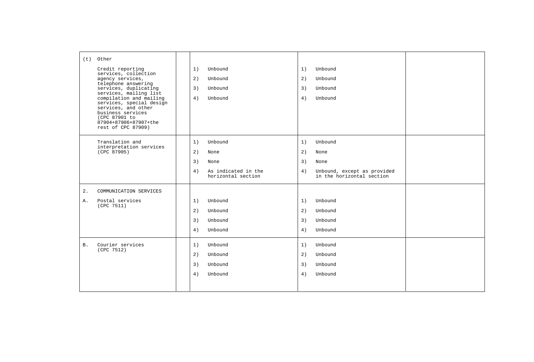|           | $(t)$ Other                                                                |  |    |                                           |    |                                                          |  |
|-----------|----------------------------------------------------------------------------|--|----|-------------------------------------------|----|----------------------------------------------------------|--|
|           | Credit reporting<br>services, collection                                   |  | 1) | Unbound                                   | 1) | Unbound                                                  |  |
|           | agency services,<br>telephone answering                                    |  | 2) | Unbound                                   | 2) | Unbound                                                  |  |
|           | services, duplicating<br>services, mailing list                            |  | 3) | Unbound                                   | 3) | Unbound                                                  |  |
|           | compilation and mailing<br>services, special design<br>services, and other |  | 4) | Unbound                                   | 4) | Unbound                                                  |  |
|           | business services<br>(CPC 87901 to<br>87904+87906+87907+the                |  |    |                                           |    |                                                          |  |
|           | rest of CPC 87909)                                                         |  |    |                                           |    |                                                          |  |
|           | Translation and                                                            |  | 1) | Unbound                                   | 1) | Unbound                                                  |  |
|           | interpretation services<br>(CPC 87905)                                     |  | 2) | None                                      | 2) | None                                                     |  |
|           |                                                                            |  | 3) | None                                      | 3) | None                                                     |  |
|           |                                                                            |  | 4) | As indicated in the<br>horizontal section | 4) | Unbound, except as provided<br>in the horizontal section |  |
| $2$ .     | COMMUNICATION SERVICES                                                     |  |    |                                           |    |                                                          |  |
| Α.        | Postal services<br>(CPC 7511)                                              |  | 1) | Unbound                                   | 1) | Unbound                                                  |  |
|           |                                                                            |  | 2) | Unbound                                   | 2) | Unbound                                                  |  |
|           |                                                                            |  | 3) | Unbound                                   | 3) | Unbound                                                  |  |
|           |                                                                            |  | 4) | Unbound                                   | 4) | Unbound                                                  |  |
| <b>B.</b> | Courier services<br>(CPC 7512)                                             |  | 1) | Unbound                                   | 1) | Unbound                                                  |  |
|           |                                                                            |  | 2) | Unbound                                   | 2) | Unbound                                                  |  |
|           |                                                                            |  | 3) | Unbound                                   | 3) | Unbound                                                  |  |
|           |                                                                            |  | 4) | Unbound                                   | 4) | Unbound                                                  |  |
|           |                                                                            |  |    |                                           |    |                                                          |  |
|           |                                                                            |  |    |                                           |    |                                                          |  |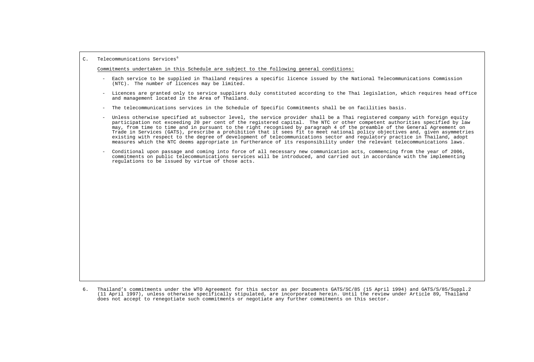## C. Telecommunications Services<sup>[6](#page-88-0)</sup>

Commitments undertaken in this Schedule are subject to the following general conditions:

- Each service to be supplied in Thailand requires a specific licence issued by the National Telecommunications Commission  $(NTC)$ . The number of licences may be limited.
- Licences are granted only to service suppliers duly constituted according to the Thai legislation, which requires head office and management located in the Area of Thailand.
- The telecommunications services in the Schedule of Specific Commitments shall be on facilities basis.
- Unless otherwise specified at subsector level, the service provider shall be a Thai registered company with foreign equity participation not exceeding 20 per cent of the registered capital. The NTC or other competent authorities specified by law may, from time to time and in pursuant to the right recognised by paragraph 4 of the preamble of the General Agreement on Trade in Services (GATS), prescribe a prohibition that it sees fit to meet national policy objectives and, given asymmetries existing with respect to the degree of development of telecommunications sector and regulatory practice in Thailand, adopt measures which the NTC deems appropriate in furtherance of its responsibility under the relevant telecommunications laws.
- Conditional upon passage and coming into force of all necessary new communication acts, commencing from the year of 2006, commitments on public telecommunications services will be introduced, and carried out in accordance with the implementing regulations to be issued by virtue of those acts.

<span id="page-88-0"></span><sup>6.</sup> Thailand's commitments under the WTO Agreement for this sector as per Documents GATS/SC/85 (15 April 1994) and GATS/S/85/Suppl.2 (11 April 1997), unless otherwise specifically stipulated, are incorporated herein. Until the review under Article 89, Thailand does not accept to renegotiate such commitments or negotiate any further commitments on this sector.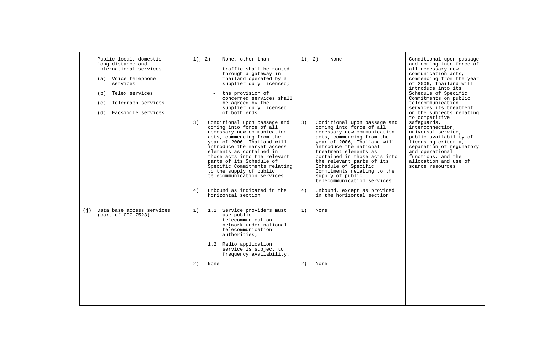| Public local, domestic<br>long distance and<br>international services:<br>(a) Voice telephone<br>services<br>Telex services<br>(b)<br>Telegraph services<br>(c)<br>Facsimile services<br>(d) | 3)<br>4) | 1), 2)<br>None, other than<br>traffic shall be routed<br>through a gateway in<br>Thailand operated by a<br>supplier duly licensed;<br>the provision of<br>concerned services shall<br>be agreed by the<br>supplier duly licensed<br>of both ends.<br>Conditional upon passage and<br>coming into force of all<br>necessary new communication<br>acts, commencing from the<br>year of 2006, Thailand will<br>introduce the market access<br>elements as contained in<br>those acts into the relevant<br>parts of its Schedule of<br>Specific Commitments relating<br>to the supply of public<br>telecommunication services.<br>Unbound as indicated in the | 1), 2)<br>3)<br>4) | None<br>Conditional upon passage and<br>coming into force of all<br>necessary new communication<br>acts, commencing from the<br>year of 2006, Thailand will<br>introduce the national<br>treatment elements as<br>contained in those acts into<br>the relevant parts of its<br>Schedule of Specific<br>Commitments relating to the<br>supply of public<br>telecommunication services.<br>Unbound, except as provided | Conditional upon passage<br>and coming into force of<br>all necessary new<br>communication acts,<br>commencing from the year<br>of 2006, Thailand will<br>introduce into its<br>Schedule of Specific<br>Commitments on public<br>telecommunication<br>services its treatment<br>on the subjects relating<br>to competitive<br>safeguards,<br>interconnection,<br>universal service.<br>public availability of<br>licensing criteria,<br>separation of regulatory<br>and operational<br>functions, and the<br>allocation and use of<br>scarce resources. |
|----------------------------------------------------------------------------------------------------------------------------------------------------------------------------------------------|----------|-----------------------------------------------------------------------------------------------------------------------------------------------------------------------------------------------------------------------------------------------------------------------------------------------------------------------------------------------------------------------------------------------------------------------------------------------------------------------------------------------------------------------------------------------------------------------------------------------------------------------------------------------------------|--------------------|----------------------------------------------------------------------------------------------------------------------------------------------------------------------------------------------------------------------------------------------------------------------------------------------------------------------------------------------------------------------------------------------------------------------|---------------------------------------------------------------------------------------------------------------------------------------------------------------------------------------------------------------------------------------------------------------------------------------------------------------------------------------------------------------------------------------------------------------------------------------------------------------------------------------------------------------------------------------------------------|
|                                                                                                                                                                                              |          | horizontal section                                                                                                                                                                                                                                                                                                                                                                                                                                                                                                                                                                                                                                        |                    | in the horizontal section                                                                                                                                                                                                                                                                                                                                                                                            |                                                                                                                                                                                                                                                                                                                                                                                                                                                                                                                                                         |
| (j) Data base access services<br>(part of CPC 7523)                                                                                                                                          | 1)<br>2) | 1.1 Service providers must<br>use public<br>telecommunication<br>network under national<br>telecommunication<br>authorities;<br>1.2 Radio application<br>service is subject to<br>frequency availability.<br>None                                                                                                                                                                                                                                                                                                                                                                                                                                         | 1)<br>2)           | None<br>None                                                                                                                                                                                                                                                                                                                                                                                                         |                                                                                                                                                                                                                                                                                                                                                                                                                                                                                                                                                         |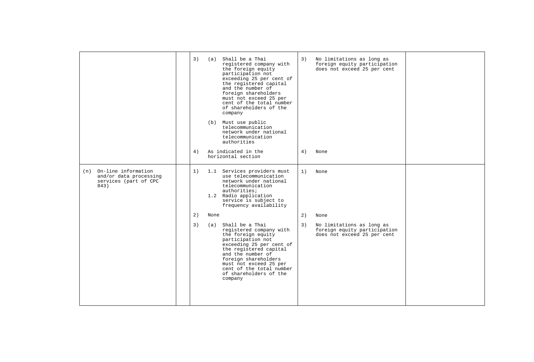|                                                                                    | 3)<br>4) | (a)  | Shall be a Thai<br>registered company with<br>the foreign equity<br>participation not<br>exceeding 25 per cent of<br>the registered capital<br>and the number of<br>foreign shareholders<br>must not exceed 25 per<br>cent of the total number<br>of shareholders of the<br>company<br>(b) Must use public<br>telecommunication<br>network under national<br>telecommunication<br>authorities<br>As indicated in the<br>horizontal section | 3)<br>4) | No limitations as long as<br>foreign equity participation<br>does not exceed 25 per cent<br>None |  |
|------------------------------------------------------------------------------------|----------|------|--------------------------------------------------------------------------------------------------------------------------------------------------------------------------------------------------------------------------------------------------------------------------------------------------------------------------------------------------------------------------------------------------------------------------------------------|----------|--------------------------------------------------------------------------------------------------|--|
| (n) On-line information<br>and/or data processing<br>services (part of CPC<br>843) | 1)       |      | 1.1 Services providers must<br>use telecommunication<br>network under national<br>telecommunication<br>authorities;<br>1.2 Radio application<br>service is subject to<br>frequency availability                                                                                                                                                                                                                                            | 1)       | None                                                                                             |  |
|                                                                                    | 2)       | None |                                                                                                                                                                                                                                                                                                                                                                                                                                            | 2)       | None                                                                                             |  |
|                                                                                    | 3)       |      | (a) Shall be a Thai<br>registered company with<br>the foreign equity<br>participation not<br>exceeding 25 per cent of<br>the registered capital<br>and the number of<br>foreign shareholders<br>must not exceed 25 per<br>cent of the total number<br>of shareholders of the<br>company                                                                                                                                                    | 3)       | No limitations as long as<br>foreign equity participation<br>does not exceed 25 per cent         |  |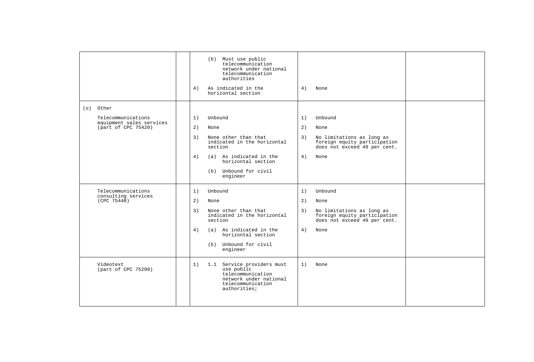|                                                 | (b) Must use public<br>telecommunication<br>network under national<br>telecommunication<br>authorities<br>As indicated in the<br>4)<br>horizontal section | 4)<br>None                                                                                      |  |
|-------------------------------------------------|-----------------------------------------------------------------------------------------------------------------------------------------------------------|-------------------------------------------------------------------------------------------------|--|
| (o) Other                                       |                                                                                                                                                           |                                                                                                 |  |
| Telecommunications                              | Unbound<br>1)                                                                                                                                             | 1)<br>Unbound                                                                                   |  |
| equipment sales services<br>(part of CPC 75420) | 2)<br>None                                                                                                                                                | 2)<br>None                                                                                      |  |
|                                                 | 3)<br>None other than that<br>indicated in the horizontal<br>section                                                                                      | 3)<br>No limitations as long as<br>foreign equity participation<br>does not exceed 49 per cent. |  |
|                                                 | (a) As indicated in the<br>4)<br>horizontal section                                                                                                       | 4)<br>None                                                                                      |  |
|                                                 | (b) Unbound for civil<br>engineer                                                                                                                         |                                                                                                 |  |
| Telecommunications                              | 1)<br>Unbound                                                                                                                                             | 1)<br>Unbound                                                                                   |  |
| consulting services<br>(CPC 75440)              | 2)<br>None                                                                                                                                                | 2)<br>None                                                                                      |  |
|                                                 | None other than that<br>3)<br>indicated in the horizontal<br>section                                                                                      | 3)<br>No limitations as long as<br>foreign equity participation<br>does not exceed 49 per cent. |  |
|                                                 | (a) As indicated in the<br>4)<br>horizontal section                                                                                                       | 4)<br>None                                                                                      |  |
|                                                 | (b) Unbound for civil<br>engineer                                                                                                                         |                                                                                                 |  |
| Videotext<br>(part of CPC 75299)                | 1.1 Service providers must<br>1)<br>use public<br>telecommunication<br>network under national<br>telecommunication<br>authorities;                        | 1)<br>None                                                                                      |  |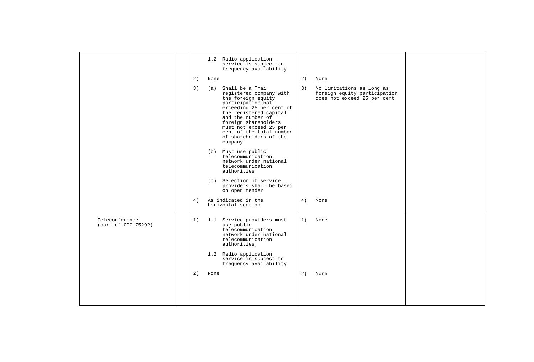|                                       |    |      | 1.2 Radio application<br>service is subject to<br>frequency availability                                                                                                                                                                                                                |    |                                                                                          |  |
|---------------------------------------|----|------|-----------------------------------------------------------------------------------------------------------------------------------------------------------------------------------------------------------------------------------------------------------------------------------------|----|------------------------------------------------------------------------------------------|--|
|                                       | 2) | None |                                                                                                                                                                                                                                                                                         | 2) | None                                                                                     |  |
|                                       | 3) |      | (a) Shall be a Thai<br>registered company with<br>the foreign equity<br>participation not<br>exceeding 25 per cent of<br>the registered capital<br>and the number of<br>foreign shareholders<br>must not exceed 25 per<br>cent of the total number<br>of shareholders of the<br>company | 3) | No limitations as long as<br>foreign equity participation<br>does not exceed 25 per cent |  |
|                                       |    |      | (b) Must use public<br>telecommunication<br>network under national<br>telecommunication<br>authorities                                                                                                                                                                                  |    |                                                                                          |  |
|                                       |    |      | (c) Selection of service<br>providers shall be based<br>on open tender                                                                                                                                                                                                                  |    |                                                                                          |  |
|                                       | 4) |      | As indicated in the<br>horizontal section                                                                                                                                                                                                                                               | 4) | None                                                                                     |  |
| Teleconference<br>(part of CPC 75292) | 1) |      | 1.1 Service providers must<br>use public<br>telecommunication<br>network under national<br>telecommunication<br>authorities;<br>1.2 Radio application<br>service is subject to                                                                                                          | 1) | None                                                                                     |  |
|                                       | 2) | None | frequency availability                                                                                                                                                                                                                                                                  | 2) | None                                                                                     |  |
|                                       |    |      |                                                                                                                                                                                                                                                                                         |    |                                                                                          |  |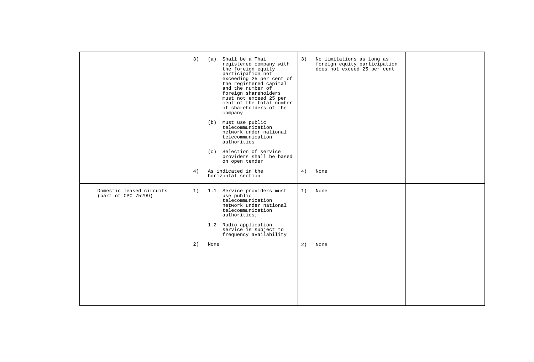| 3) |    | registered company with<br>the foreign equity<br>participation not<br>exceeding 25 per cent of<br>the registered capital<br>and the number of<br>foreign shareholders<br>must not exceed 25 per<br>cent of the total number<br>of shareholders of the<br>company<br>telecommunication<br>network under national<br>telecommunication<br>authorities<br>providers shall be based<br>on open tender | 3)                                                                                                                                                                                 | No limitations as long as<br>foreign equity participation<br>does not exceed 25 per cent |      |
|----|----|---------------------------------------------------------------------------------------------------------------------------------------------------------------------------------------------------------------------------------------------------------------------------------------------------------------------------------------------------------------------------------------------------|------------------------------------------------------------------------------------------------------------------------------------------------------------------------------------|------------------------------------------------------------------------------------------|------|
|    |    |                                                                                                                                                                                                                                                                                                                                                                                                   |                                                                                                                                                                                    |                                                                                          |      |
| 1) |    | use public<br>telecommunication<br>network under national<br>telecommunication<br>authorities;<br>service is subject to<br>frequency availability                                                                                                                                                                                                                                                 | 1)                                                                                                                                                                                 | None                                                                                     |      |
| 2) |    |                                                                                                                                                                                                                                                                                                                                                                                                   | 2)                                                                                                                                                                                 | None                                                                                     |      |
|    | 4) |                                                                                                                                                                                                                                                                                                                                                                                                   | (a) Shall be a Thai<br>(b) Must use public<br>(c) Selection of service<br>As indicated in the<br>horizontal section<br>1.1 Service providers must<br>1.2 Radio application<br>None | 4)                                                                                       | None |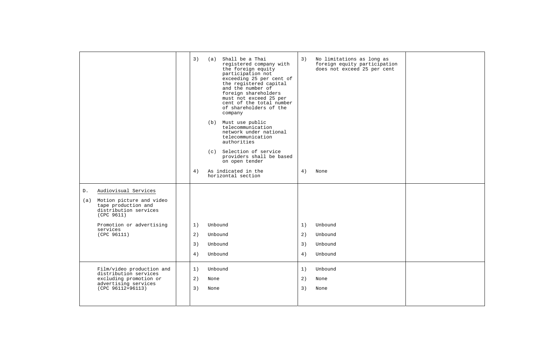|                                                                                               | 3)<br>4) |         | (a) Shall be a Thai<br>registered company with<br>the foreign equity<br>participation not<br>exceeding 25 per cent of<br>the registered capital<br>and the number of<br>foreign shareholders<br>must not exceed 25 per<br>cent of the total number<br>of shareholders of the<br>company<br>(b) Must use public<br>telecommunication<br>network under national<br>telecommunication<br>authorities<br>(c) Selection of service<br>providers shall be based<br>on open tender<br>As indicated in the<br>horizontal section | 3)<br>4) | No limitations as long as<br>foreign equity participation<br>does not exceed 25 per cent<br>None |  |
|-----------------------------------------------------------------------------------------------|----------|---------|--------------------------------------------------------------------------------------------------------------------------------------------------------------------------------------------------------------------------------------------------------------------------------------------------------------------------------------------------------------------------------------------------------------------------------------------------------------------------------------------------------------------------|----------|--------------------------------------------------------------------------------------------------|--|
| Audiovisual Services<br>D.                                                                    |          |         |                                                                                                                                                                                                                                                                                                                                                                                                                                                                                                                          |          |                                                                                                  |  |
| Motion picture and video<br>(a)<br>tape production and<br>distribution services<br>(CPC 9611) |          |         |                                                                                                                                                                                                                                                                                                                                                                                                                                                                                                                          |          |                                                                                                  |  |
| Promotion or advertising                                                                      | 1)       | Unbound |                                                                                                                                                                                                                                                                                                                                                                                                                                                                                                                          | 1)       | Unbound                                                                                          |  |
| services<br>(CPC 96111)                                                                       | 2)       | Unbound |                                                                                                                                                                                                                                                                                                                                                                                                                                                                                                                          | 2)       | Unbound                                                                                          |  |
|                                                                                               | 3)       | Unbound |                                                                                                                                                                                                                                                                                                                                                                                                                                                                                                                          | 3)       | Unbound                                                                                          |  |
|                                                                                               | 4)       | Unbound |                                                                                                                                                                                                                                                                                                                                                                                                                                                                                                                          | 4)       | Unbound                                                                                          |  |
| Film/video production and                                                                     | 1)       | Unbound |                                                                                                                                                                                                                                                                                                                                                                                                                                                                                                                          | 1)       | Unbound                                                                                          |  |
| distribution services<br>excluding promotion or<br>advertising services                       | 2)       | None    |                                                                                                                                                                                                                                                                                                                                                                                                                                                                                                                          | 2)       | None                                                                                             |  |
| $(CPC 96112+96113)$                                                                           | 3)       | None    |                                                                                                                                                                                                                                                                                                                                                                                                                                                                                                                          | 3)       | None                                                                                             |  |
|                                                                                               |          |         |                                                                                                                                                                                                                                                                                                                                                                                                                                                                                                                          |          |                                                                                                  |  |
|                                                                                               |          |         |                                                                                                                                                                                                                                                                                                                                                                                                                                                                                                                          |          |                                                                                                  |  |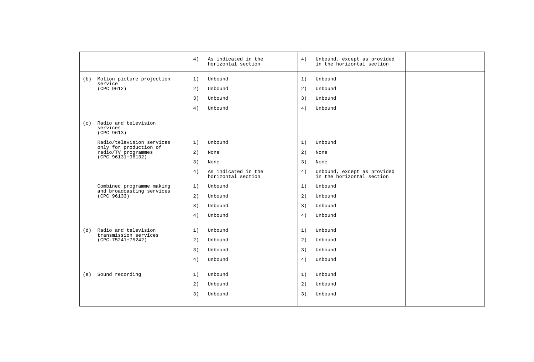|                                                                                                 | 4)                                                               | As indicated in the<br>horizontal section | 4)                   | Unbound, except as provided<br>in the horizontal section                            |  |
|-------------------------------------------------------------------------------------------------|------------------------------------------------------------------|-------------------------------------------|----------------------|-------------------------------------------------------------------------------------|--|
| (b) Motion picture projection<br>service<br>(CPC 9612)                                          | 1)<br>Unbound<br>2)<br>Unbound<br>3)<br>Unbound<br>4)<br>Unbound |                                           | 1)<br>2)<br>3)<br>4) | Unbound<br>Unbound<br>Unbound<br>Unbound                                            |  |
| (c) Radio and television<br>services<br>(CPC 9613)                                              |                                                                  |                                           |                      |                                                                                     |  |
| Radio/television services<br>only for production of<br>radio/TV programmes<br>(CPC 96131+96132) | Unbound<br>1)<br>2)<br>None<br>3)<br>None<br>4)                  | As indicated in the<br>horizontal section | 1)<br>2)<br>3)<br>4) | Unbound<br>None<br>None<br>Unbound, except as provided<br>in the horizontal section |  |
| Combined programme making<br>and broadcasting services<br>(CPC 96133)                           | Unbound<br>1)<br>Unbound<br>2)<br>3)<br>Unbound<br>Unbound<br>4) |                                           | 1)<br>2)<br>3)<br>4) | Unbound<br>Unbound<br>Unbound<br>Unbound                                            |  |
| Radio and television<br>(d)<br>transmission services<br>(CPC 75241+75242)                       | 1)<br>Unbound<br>2)<br>Unbound<br>3)<br>Unbound<br>4)<br>Unbound |                                           | 1)<br>2)<br>3)<br>4) | Unbound<br>Unbound<br>Unbound<br>Unbound                                            |  |
| (e) Sound recording                                                                             | 1)<br>Unbound<br>2)<br>Unbound<br>3)<br>Unbound                  |                                           | 1)<br>2)<br>3)       | Unbound<br>Unbound<br>Unbound                                                       |  |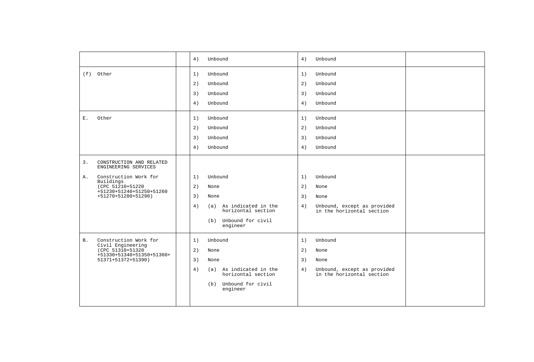|           |                                                                                                                                                               | 4)                                           | Unbound                                                                                                       | 4)                                           | Unbound                                                                              |  |
|-----------|---------------------------------------------------------------------------------------------------------------------------------------------------------------|----------------------------------------------|---------------------------------------------------------------------------------------------------------------|----------------------------------------------|--------------------------------------------------------------------------------------|--|
| Ε.        | (f) Other<br>Other                                                                                                                                            | 1)<br>2)<br>3)<br>4)<br>1)<br>2)<br>3)<br>4) | Unbound<br>Unbound<br>Unbound<br>Unbound<br>Unbound<br>Unbound<br>Unbound<br>Unbound                          | 1)<br>2)<br>3)<br>4)<br>1)<br>2)<br>3)<br>4) | Unbound<br>Unbound<br>Unbound<br>Unbound<br>Unbound<br>Unbound<br>Unbound<br>Unbound |  |
| 3.<br>Α.  | CONSTRUCTION AND RELATED<br>ENGINEERING SERVICES<br>Construction Work for<br>Buildings<br>(CPC 51210+51220<br>+51230+51240+51250+51260<br>+51270+51280+51290) | 1)<br>2)<br>3)<br>4)                         | Unbound<br>None<br>None<br>(a) As indicated in the<br>horizontal section<br>(b) Unbound for civil<br>engineer | 1)<br>2)<br>3)<br>4)                         | Unbound<br>None<br>None<br>Unbound, except as provided<br>in the horizontal section  |  |
| <b>B.</b> | Construction Work for<br>Civil Engineering<br>(CPC 51310+51320<br>+51330+51340+51350+51360+<br>51371+51372+51390)                                             | 1)<br>2)<br>3)<br>4)                         | Unbound<br>None<br>None<br>(a) As indicated in the<br>horizontal section<br>(b) Unbound for civil<br>engineer | 1)<br>2)<br>3)<br>4)                         | Unbound<br>None<br>None<br>Unbound, except as provided<br>in the horizontal section  |  |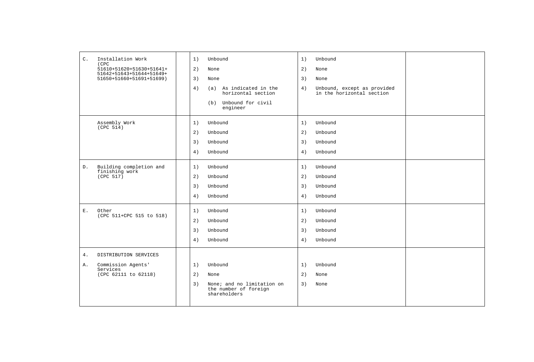| $\mathsf{C}$ .  | Installation Work                                    | 1) | Unbound                                                             | 1) | Unbound                                                  |  |
|-----------------|------------------------------------------------------|----|---------------------------------------------------------------------|----|----------------------------------------------------------|--|
|                 | (CPC<br>51610+51620+51630+51641+                     | 2) | None                                                                | 2) | None                                                     |  |
|                 | 51642+51643+51644+51649+<br>51650+51660+51691+51699) | 3) | None                                                                | 3) | None                                                     |  |
|                 |                                                      | 4) | (a) As indicated in the<br>horizontal section                       | 4) | Unbound, except as provided<br>in the horizontal section |  |
|                 |                                                      |    | (b) Unbound for civil<br>engineer                                   |    |                                                          |  |
|                 | Assembly Work                                        | 1) | Unbound                                                             | 1) | Unbound                                                  |  |
|                 | (CPC 514)                                            | 2) | Unbound                                                             | 2) | Unbound                                                  |  |
|                 |                                                      | 3) | Unbound                                                             | 3) | Unbound                                                  |  |
|                 |                                                      | 4) | Unbound                                                             | 4) | Unbound                                                  |  |
| ${\mathbb D}$ . | Building completion and<br>finishing work            | 1) | Unbound                                                             | 1) | Unbound                                                  |  |
|                 | (CPC 517)                                            | 2) | Unbound                                                             | 2) | Unbound                                                  |  |
|                 |                                                      | 3) | Unbound                                                             | 3) | Unbound                                                  |  |
|                 |                                                      | 4) | Unbound                                                             | 4) | Unbound                                                  |  |
| Ε.              | Other<br>(CPC 511+CPC 515 to 518)                    | 1) | Unbound                                                             | 1) | Unbound                                                  |  |
|                 |                                                      | 2) | Unbound                                                             | 2) | Unbound                                                  |  |
|                 |                                                      | 3) | Unbound                                                             | 3) | Unbound                                                  |  |
|                 |                                                      | 4) | Unbound                                                             | 4) | Unbound                                                  |  |
| $4$ .           | DISTRIBUTION SERVICES                                |    |                                                                     |    |                                                          |  |
| Α.              | Commission Agents'                                   | 1) | Unbound                                                             | 1) | Unbound                                                  |  |
|                 | Services<br>(CPC 62111 to 62118)                     | 2) | None                                                                | 2) | None                                                     |  |
|                 |                                                      | 3) | None; and no limitation on<br>the number of foreign<br>shareholders | 3) | None                                                     |  |
|                 |                                                      |    |                                                                     |    |                                                          |  |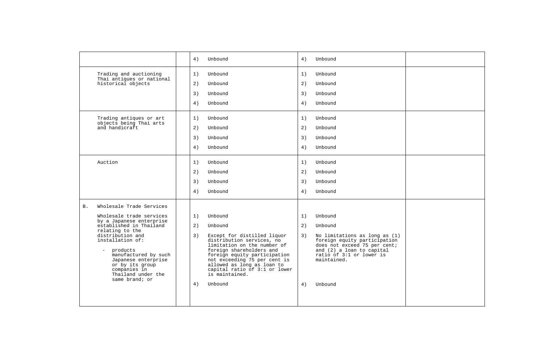|                       |                                                                                                                                                                                                                                                                                                              | 4)                         | Unbound                                                                                                                                                                                                                                                                                               | 4)                         | Unbound                                                                                                                                                                                                |  |
|-----------------------|--------------------------------------------------------------------------------------------------------------------------------------------------------------------------------------------------------------------------------------------------------------------------------------------------------------|----------------------------|-------------------------------------------------------------------------------------------------------------------------------------------------------------------------------------------------------------------------------------------------------------------------------------------------------|----------------------------|--------------------------------------------------------------------------------------------------------------------------------------------------------------------------------------------------------|--|
|                       | Trading and auctioning<br>Thai antiques or national<br>historical objects<br>Trading antiques or art                                                                                                                                                                                                         | 1)<br>2)<br>3)<br>4)<br>1) | Unbound<br>Unbound<br>Unbound<br>Unbound<br>Unbound                                                                                                                                                                                                                                                   | 1)<br>2)<br>3)<br>4)<br>1) | Unbound<br>Unbound<br>Unbound<br>Unbound<br>Unbound                                                                                                                                                    |  |
|                       | objects being Thai arts<br>and handicraft                                                                                                                                                                                                                                                                    | 2)<br>3)<br>4)             | Unbound<br>Unbound<br>Unbound                                                                                                                                                                                                                                                                         | 2)<br>3)<br>4)             | Unbound<br>Unbound<br>Unbound                                                                                                                                                                          |  |
| Auction               |                                                                                                                                                                                                                                                                                                              | 1)<br>2)<br>3)<br>4)       | Unbound<br>Unbound<br>Unbound<br>Unbound                                                                                                                                                                                                                                                              | 1)<br>2)<br>3)<br>4)       | Unbound<br>Unbound<br>Unbound<br>Unbound                                                                                                                                                               |  |
| <b>B.</b><br>$\equiv$ | Wholesale Trade Services<br>Wholesale trade services<br>by a Japanese enterprise<br>established in Thailand<br>relating to the<br>distribution and<br>installation of:<br>products<br>manufactured by such<br>Japanese enterprise<br>or by its group<br>companies in<br>Thailand under the<br>same brand; or | 1)<br>2)<br>3)<br>4)       | Unbound<br>Unbound<br>Except for distilled liquor<br>distribution services, no<br>limitation on the number of<br>foreign shareholders and<br>foreign equity participation<br>not exceeding 75 per cent is<br>allowed as long as loan to<br>capital ratio of 3:1 or lower<br>is maintained.<br>Unbound | 1)<br>2)<br>3)<br>4)       | Unbound<br>Unbound<br>No limitations as long as (1)<br>foreign equity participation<br>does not exceed 75 per cent;<br>and (2) a loan to capital<br>ratio of 3:1 or lower is<br>maintained.<br>Unbound |  |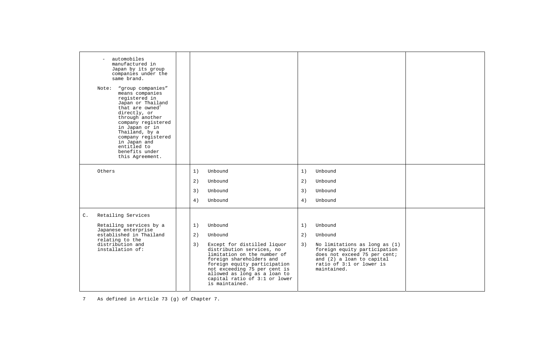| automobiles<br>$\overline{\phantom{0}}$<br>manufactured in<br>Japan by its group<br>companies under the<br>same brand.<br>"group companies"<br>Note:<br>means companies<br>registered in<br>Japan or Thailand<br>that are owned <sup>'</sup><br>directly, or<br>through another<br>company registered<br>in Japan or in<br>Thailand, by a<br>company registered<br>in Japan and<br>entitled to<br>benefits under<br>this Agreement. |                                                                                                                                                                                                                                                                              |    |                                                                                                                                                                       |  |
|-------------------------------------------------------------------------------------------------------------------------------------------------------------------------------------------------------------------------------------------------------------------------------------------------------------------------------------------------------------------------------------------------------------------------------------|------------------------------------------------------------------------------------------------------------------------------------------------------------------------------------------------------------------------------------------------------------------------------|----|-----------------------------------------------------------------------------------------------------------------------------------------------------------------------|--|
| Others                                                                                                                                                                                                                                                                                                                                                                                                                              | 1)<br>Unbound                                                                                                                                                                                                                                                                | 1) | Unbound                                                                                                                                                               |  |
|                                                                                                                                                                                                                                                                                                                                                                                                                                     | 2)<br>Unbound                                                                                                                                                                                                                                                                | 2) | Unbound                                                                                                                                                               |  |
|                                                                                                                                                                                                                                                                                                                                                                                                                                     | 3)<br>Unbound                                                                                                                                                                                                                                                                | 3) | Unbound                                                                                                                                                               |  |
|                                                                                                                                                                                                                                                                                                                                                                                                                                     | 4)<br>Unbound                                                                                                                                                                                                                                                                | 4) | Unbound                                                                                                                                                               |  |
| Retailing Services<br>$C$ .                                                                                                                                                                                                                                                                                                                                                                                                         |                                                                                                                                                                                                                                                                              |    |                                                                                                                                                                       |  |
| Retailing services by a<br>Japanese enterprise                                                                                                                                                                                                                                                                                                                                                                                      | 1)<br>Unbound                                                                                                                                                                                                                                                                | 1) | Unbound                                                                                                                                                               |  |
| established in Thailand<br>relating to the                                                                                                                                                                                                                                                                                                                                                                                          | 2)<br>Unbound                                                                                                                                                                                                                                                                | 2) | Unbound                                                                                                                                                               |  |
| distribution and<br>installation of:                                                                                                                                                                                                                                                                                                                                                                                                | 3)<br>Except for distilled liquor<br>distribution services, no<br>limitation on the number of<br>foreign shareholders and<br>foreign equity participation<br>not exceeding 75 per cent is<br>allowed as long as a loan to<br>capital ratio of 3:1 or lower<br>is maintained. | 3) | No limitations as long as (1)<br>foreign equity participation<br>does not exceed 75 per cent;<br>and (2) a loan to capital<br>ratio of 3:1 or lower is<br>maintained. |  |

7 As defined in Article 73 (g) of Chapter 7.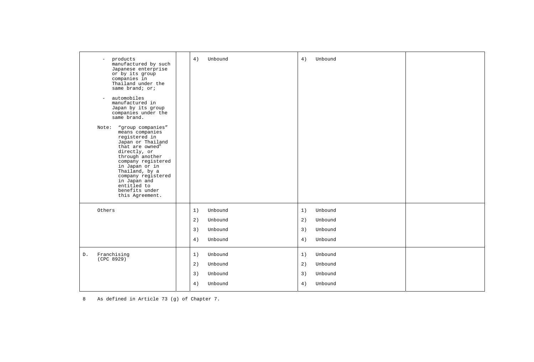| products<br>$\sim$<br>manufactured by such<br>Japanese enterprise<br>or by its group<br>companies in<br>Thailand under the<br>same brand; or;<br>automobiles<br>$\overline{\phantom{a}}$<br>manufactured in<br>Japan by its group<br>companies under the<br>same brand.<br>"group companies"<br>Note:<br>means companies<br>registered in<br>Japan or Thailand<br>that are owned <sup>8</sup><br>directly, or<br>through another<br>company registered<br>in Japan or in<br>Thailand, by a<br>company registered<br>in Japan and | 4)<br>Unbound                                                    | 4)<br>Unbound                                                    |  |
|----------------------------------------------------------------------------------------------------------------------------------------------------------------------------------------------------------------------------------------------------------------------------------------------------------------------------------------------------------------------------------------------------------------------------------------------------------------------------------------------------------------------------------|------------------------------------------------------------------|------------------------------------------------------------------|--|
| entitled to<br>benefits under<br>this Agreement.                                                                                                                                                                                                                                                                                                                                                                                                                                                                                 |                                                                  |                                                                  |  |
| Others                                                                                                                                                                                                                                                                                                                                                                                                                                                                                                                           | Unbound<br>1)<br>2)<br>Unbound<br>3)<br>Unbound<br>4)<br>Unbound | Unbound<br>1)<br>2)<br>Unbound<br>3)<br>Unbound<br>Unbound<br>4) |  |
| Franchising<br>D.<br>(CPC 8929)                                                                                                                                                                                                                                                                                                                                                                                                                                                                                                  | Unbound<br>1)<br>2)<br>Unbound<br>3)<br>Unbound<br>4)<br>Unbound | 1)<br>Unbound<br>2)<br>Unbound<br>3)<br>Unbound<br>Unbound<br>4) |  |

8 As defined in Article 73 (g) of Chapter 7.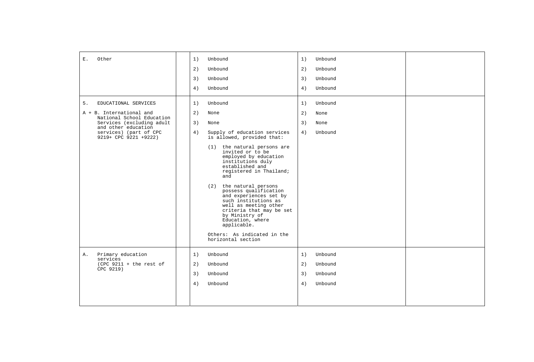| Other<br>Ε.                                                                                                                                                                                | Unbound<br>1)<br>2)<br>Unbound<br>3)<br>Unbound<br>Unbound<br>4)                                                                                                                                                                                                                                                                                                                                                                                                                                                                         | Unbound<br>1)<br>2)<br>Unbound<br>Unbound<br>3)<br>4)<br>Unbound |  |
|--------------------------------------------------------------------------------------------------------------------------------------------------------------------------------------------|------------------------------------------------------------------------------------------------------------------------------------------------------------------------------------------------------------------------------------------------------------------------------------------------------------------------------------------------------------------------------------------------------------------------------------------------------------------------------------------------------------------------------------------|------------------------------------------------------------------|--|
| 5.<br>EDUCATIONAL SERVICES<br>A + B. International and<br>National School Education<br>Services (excluding adult<br>and other education<br>services) (part of CPC<br>9219+ CPC 9221 +9222) | 1)<br>Unbound<br>2)<br>None<br>3)<br>None<br>4)<br>Supply of education services<br>is allowed, provided that:<br>(1) the natural persons are<br>invited or to be<br>employed by education<br>institutions duly<br>established and<br>registered in Thailand;<br>and<br>(2) the natural persons<br>possess qualification<br>and experiences set by<br>such institutions as<br>well as meeting other<br>criteria that may be set<br>by Ministry of<br>Education, where<br>applicable.<br>Others: As indicated in the<br>horizontal section | 1)<br>Unbound<br>2)<br>None<br>3)<br>None<br>4)<br>Unbound       |  |
| Primary education<br>Α.<br>services<br>$(CPC 9211 + the rest of$<br>CPC 9219)                                                                                                              | Unbound<br>1)<br>2)<br>Unbound<br>3)<br>Unbound<br>4)<br>Unbound                                                                                                                                                                                                                                                                                                                                                                                                                                                                         | Unbound<br>1)<br>2)<br>Unbound<br>3)<br>Unbound<br>4)<br>Unbound |  |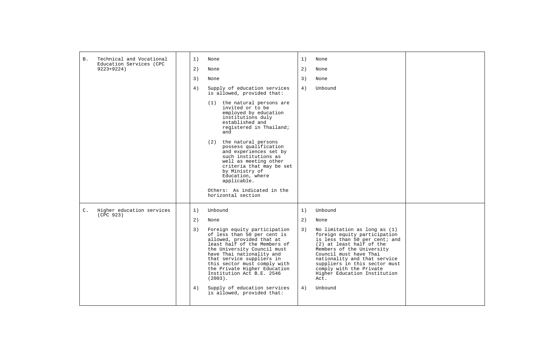| <b>B</b> .     | Technical and Vocational<br>Education Services (CPC | 1)       | None                                                                                                                                                                                                                                                                                                                                                                                       | 1)       | None                                                                                                                                                                                                                                                                                                                            |  |
|----------------|-----------------------------------------------------|----------|--------------------------------------------------------------------------------------------------------------------------------------------------------------------------------------------------------------------------------------------------------------------------------------------------------------------------------------------------------------------------------------------|----------|---------------------------------------------------------------------------------------------------------------------------------------------------------------------------------------------------------------------------------------------------------------------------------------------------------------------------------|--|
|                | $9223 + 9224$                                       | 2)       | None                                                                                                                                                                                                                                                                                                                                                                                       | 2)       | None                                                                                                                                                                                                                                                                                                                            |  |
|                |                                                     | 3)       | None                                                                                                                                                                                                                                                                                                                                                                                       | 3)       | None                                                                                                                                                                                                                                                                                                                            |  |
|                |                                                     | 4)       | Supply of education services<br>is allowed, provided that:                                                                                                                                                                                                                                                                                                                                 | 4)       | Unbound                                                                                                                                                                                                                                                                                                                         |  |
|                |                                                     |          | the natural persons are<br>(1)<br>invited or to be<br>employed by education<br>institutions duly<br>established and<br>registered in Thailand;<br>and                                                                                                                                                                                                                                      |          |                                                                                                                                                                                                                                                                                                                                 |  |
|                |                                                     |          | (2) the natural persons<br>possess qualification<br>and experiences set by<br>such institutions as<br>well as meeting other<br>criteria that may be set<br>by Ministry of<br>Education, where<br>applicable.                                                                                                                                                                               |          |                                                                                                                                                                                                                                                                                                                                 |  |
|                |                                                     |          | Others: As indicated in the<br>horizontal section                                                                                                                                                                                                                                                                                                                                          |          |                                                                                                                                                                                                                                                                                                                                 |  |
| $\mathsf{C}$ . | Higher education services<br>(CPC 923)              | 1)       | Unbound                                                                                                                                                                                                                                                                                                                                                                                    | 1)       | Unbound                                                                                                                                                                                                                                                                                                                         |  |
|                |                                                     | 2)       | None                                                                                                                                                                                                                                                                                                                                                                                       | 2)       | None                                                                                                                                                                                                                                                                                                                            |  |
|                |                                                     | 3)<br>4) | Foreign equity participation<br>of less than 50 per cent is<br>allowed, provided that at<br>least half of the Members of<br>the University Council must<br>have Thai nationality and<br>that service suppliers in<br>this sector must comply with<br>the Private Higher Education<br>Institution Act B.E. 2546<br>$(2003)$ .<br>Supply of education services<br>is allowed, provided that: | 3)<br>4) | No limitation as long as (1)<br>foreign equity participation<br>is less than 50 per cent; and<br>(2) at least half of the<br>Members of the University<br>Council must have Thai<br>nationality and that service<br>suppliers in this sector must<br>comply with the Private<br>Higher Education Institution<br>Act.<br>Unbound |  |
|                |                                                     |          |                                                                                                                                                                                                                                                                                                                                                                                            |          |                                                                                                                                                                                                                                                                                                                                 |  |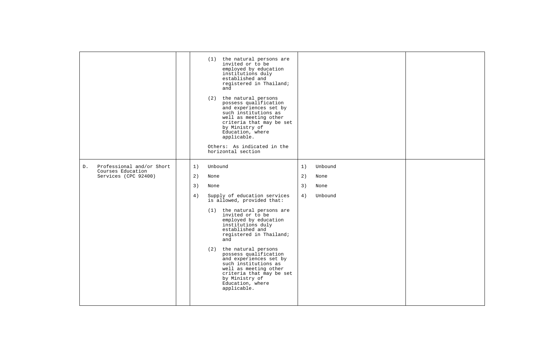|    |                                                                        |                      | (1) the natural persons are<br>invited or to be<br>employed by education<br>institutions duly<br>established and<br>registered in Thailand;<br>and<br>(2) the natural persons<br>possess qualification<br>and experiences set by<br>such institutions as<br>well as meeting other<br>criteria that may be set<br>by Ministry of<br>Education, where<br>applicable.<br>Others: As indicated in the<br>horizontal section                                     |                      |                                    |  |
|----|------------------------------------------------------------------------|----------------------|-------------------------------------------------------------------------------------------------------------------------------------------------------------------------------------------------------------------------------------------------------------------------------------------------------------------------------------------------------------------------------------------------------------------------------------------------------------|----------------------|------------------------------------|--|
| D. | Professional and/or Short<br>Courses Education<br>Services (CPC 92400) | 1)<br>2)<br>3)<br>4) | Unbound<br>None<br>None<br>Supply of education services<br>is allowed, provided that:<br>(1) the natural persons are<br>invited or to be<br>employed by education<br>institutions duly<br>established and<br>registered in Thailand;<br>and<br>(2) the natural persons<br>possess qualification<br>and experiences set by<br>such institutions as<br>well as meeting other<br>criteria that may be set<br>by Ministry of<br>Education, where<br>applicable. | 1)<br>2)<br>3)<br>4) | Unbound<br>None<br>None<br>Unbound |  |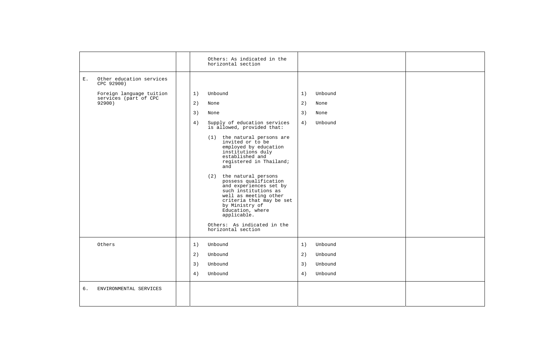|       |                                        |    | Others: As indicated in the<br>horizontal section                                                                                                                                                                                                                                                                                                                                                                       |    |         |  |
|-------|----------------------------------------|----|-------------------------------------------------------------------------------------------------------------------------------------------------------------------------------------------------------------------------------------------------------------------------------------------------------------------------------------------------------------------------------------------------------------------------|----|---------|--|
| $E$ . | Other education services<br>CPC 92900) |    |                                                                                                                                                                                                                                                                                                                                                                                                                         |    |         |  |
|       | Foreign language tuition               | 1) | Unbound                                                                                                                                                                                                                                                                                                                                                                                                                 | 1) | Unbound |  |
|       | services (part of CPC<br>92900)        | 2) | None                                                                                                                                                                                                                                                                                                                                                                                                                    | 2) | None    |  |
|       |                                        | 3) | None                                                                                                                                                                                                                                                                                                                                                                                                                    | 3) | None    |  |
|       |                                        | 4) | Supply of education services<br>is allowed, provided that:                                                                                                                                                                                                                                                                                                                                                              | 4) | Unbound |  |
|       |                                        |    | (1) the natural persons are<br>invited or to be<br>employed by education<br>institutions duly<br>established and<br>registered in Thailand;<br>and<br>(2) the natural persons<br>possess qualification<br>and experiences set by<br>such institutions as<br>well as meeting other<br>criteria that may be set<br>by Ministry of<br>Education, where<br>applicable.<br>Others: As indicated in the<br>horizontal section |    |         |  |
|       | Others                                 | 1) | Unbound                                                                                                                                                                                                                                                                                                                                                                                                                 | 1) | Unbound |  |
|       |                                        | 2) | Unbound                                                                                                                                                                                                                                                                                                                                                                                                                 | 2) | Unbound |  |
|       |                                        | 3) | Unbound                                                                                                                                                                                                                                                                                                                                                                                                                 | 3) | Unbound |  |
|       |                                        | 4) | Unbound                                                                                                                                                                                                                                                                                                                                                                                                                 | 4) | Unbound |  |
| б.    | ENVIRONMENTAL SERVICES                 |    |                                                                                                                                                                                                                                                                                                                                                                                                                         |    |         |  |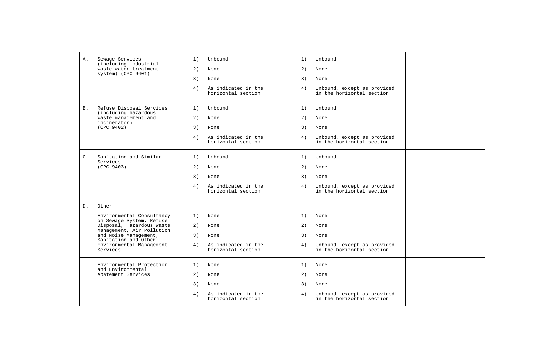| Α.             | Sewage Services<br>(including industrial                     | 1) | Unbound                                   | 1) | Unbound                                                  |  |
|----------------|--------------------------------------------------------------|----|-------------------------------------------|----|----------------------------------------------------------|--|
|                | waste water treatment                                        | 2) | None                                      | 2) | None                                                     |  |
|                | system) (CPC 9401)                                           | 3) | None                                      | 3) | None                                                     |  |
|                |                                                              | 4) | As indicated in the<br>horizontal section | 4) | Unbound, except as provided<br>in the horizontal section |  |
| <b>B</b> .     | Refuse Disposal Services<br>(including hazardous             | 1) | Unbound                                   | 1) | Unbound                                                  |  |
|                | waste management and<br>incinerator)                         | 2) | None                                      | 2) | None                                                     |  |
|                | (CPC 9402)                                                   | 3) | None                                      | 3) | None                                                     |  |
|                |                                                              | 4) | As indicated in the<br>horizontal section | 4) | Unbound, except as provided<br>in the horizontal section |  |
| $\mathsf{C}$ . | Sanitation and Similar<br>Services                           | 1) | Unbound                                   | 1) | Unbound                                                  |  |
|                | (CPC 9403)                                                   | 2) | None                                      | 2) | None                                                     |  |
|                |                                                              | 3) | None                                      | 3) | None                                                     |  |
|                |                                                              | 4) | As indicated in the<br>horizontal section | 4) | Unbound, except as provided<br>in the horizontal section |  |
| $D$ .          | Other                                                        |    |                                           |    |                                                          |  |
|                | Environmental Consultancy                                    | 1) | None                                      | 1) | None                                                     |  |
|                | on Sewage System, Refuse<br>Disposal, Hazardous Waste        | 2) | None                                      | 2) | None                                                     |  |
|                | Management, Air Pollution<br>and Noise Management,           | 3) | None                                      | 3) | None                                                     |  |
|                | Sanitation and Other<br>Environmental Management<br>Services | 4) | As indicated in the<br>horizontal section | 4) | Unbound, except as provided<br>in the horizontal section |  |
|                | Environmental Protection<br>and Environmental                | 1) | None                                      | 1) | None                                                     |  |
|                | Abatement Services                                           | 2) | None                                      | 2) | None                                                     |  |
|                |                                                              | 3) | None                                      | 3) | None                                                     |  |
|                |                                                              | 4) | As indicated in the<br>horizontal section | 4) | Unbound, except as provided<br>in the horizontal section |  |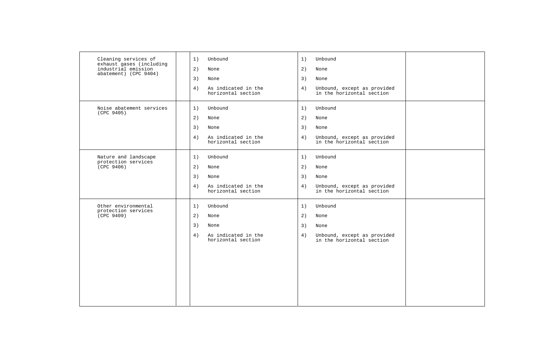| Cleaning services of<br>exhaust gases (including | 1) | Unbound                                   | 1) | Unbound                                                  |  |
|--------------------------------------------------|----|-------------------------------------------|----|----------------------------------------------------------|--|
| industrial emission<br>abatement) (CPC 9404)     | 2) | None                                      | 2) | None                                                     |  |
|                                                  | 3) | None                                      | 3) | None                                                     |  |
|                                                  | 4) | As indicated in the<br>horizontal section | 4) | Unbound, except as provided<br>in the horizontal section |  |
| Noise abatement services<br>(CPC 9405)           | 1) | Unbound                                   | 1) | Unbound                                                  |  |
|                                                  | 2) | None                                      | 2) | None                                                     |  |
|                                                  | 3) | None                                      | 3) | None                                                     |  |
|                                                  | 4) | As indicated in the<br>horizontal section | 4) | Unbound, except as provided<br>in the horizontal section |  |
| Nature and landscape                             | 1) | Unbound                                   | 1) | Unbound                                                  |  |
| protection services<br>(CPC 9406)                | 2) | None                                      | 2) | None                                                     |  |
|                                                  | 3) | None                                      | 3) | None                                                     |  |
|                                                  | 4) | As indicated in the<br>horizontal section | 4) | Unbound, except as provided<br>in the horizontal section |  |
| Other environmental                              | 1) | Unbound                                   | 1) | Unbound                                                  |  |
| protection services<br>(CPC 9409)                | 2) | None                                      | 2) | None                                                     |  |
|                                                  | 3) | None                                      | 3) | None                                                     |  |
|                                                  | 4) | As indicated in the<br>horizontal section | 4) | Unbound, except as provided<br>in the horizontal section |  |
|                                                  |    |                                           |    |                                                          |  |
|                                                  |    |                                           |    |                                                          |  |
|                                                  |    |                                           |    |                                                          |  |
|                                                  |    |                                           |    |                                                          |  |
|                                                  |    |                                           |    |                                                          |  |
|                                                  |    |                                           |    |                                                          |  |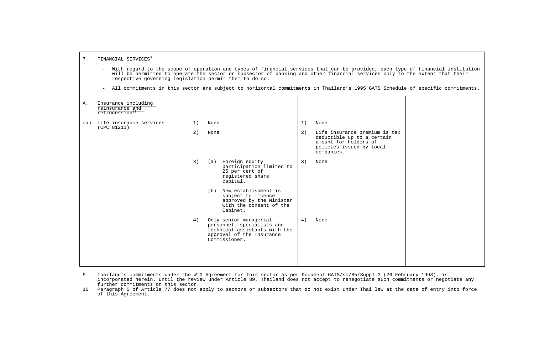|    |                                                                      |          | respective governing legislation permit them to do so.                                                                                                                                                 |          | With regard to the scope of operation and types of financial services that can be provided, each type of financial institution<br>will be permitted to operate the sector or subsector of banking and other financial services only to the extent that their<br>- All commitments in this sector are subject to horizontal commitments in Thailand's 1995 GATS Schedule of specific commitments. |  |
|----|----------------------------------------------------------------------|----------|--------------------------------------------------------------------------------------------------------------------------------------------------------------------------------------------------------|----------|--------------------------------------------------------------------------------------------------------------------------------------------------------------------------------------------------------------------------------------------------------------------------------------------------------------------------------------------------------------------------------------------------|--|
| Α. | Insurance including<br>reinsurance and<br>retrocession <sup>10</sup> |          |                                                                                                                                                                                                        |          |                                                                                                                                                                                                                                                                                                                                                                                                  |  |
|    | (a) Life insurance services<br>(CPC 81211)                           | 1)<br>2) | None<br>None                                                                                                                                                                                           | 1)<br>2) | None<br>Life insurance premium is tax<br>deductible up to a certain<br>amount for holders of<br>policies issued by local                                                                                                                                                                                                                                                                         |  |
|    |                                                                      | 3)       | (a) Foreign equity<br>participation limited to<br>25 per cent of<br>registered share<br>capital.<br>(b) New establishment is<br>subject to licence                                                     | 3)       | companies.<br>None                                                                                                                                                                                                                                                                                                                                                                               |  |
|    |                                                                      | 4)       | approved by the Minister<br>with the consent of the<br>Cabinet.<br>Only senior managerial<br>personnel, specialists and<br>technical assistants with the<br>approval of the Insurance<br>Commissioner. | 4)       | None                                                                                                                                                                                                                                                                                                                                                                                             |  |

7. FINANCIAL SERVICES<sup>9</sup>

9 Thailand's commitments under the WTO Agreement for this sector as per Document GATS/sc/85/Suppl.3 (26 February 1998), is incorporated herein. Until the review under Article 89, Thailand does not accept to renegotiate such commitments or negotiate any further commitments on this sector.

 10 Paragraph 5 of Article 77 does not apply to sectors or subsectors that do not exist under Thai law at the date of entry into force of this Agreement.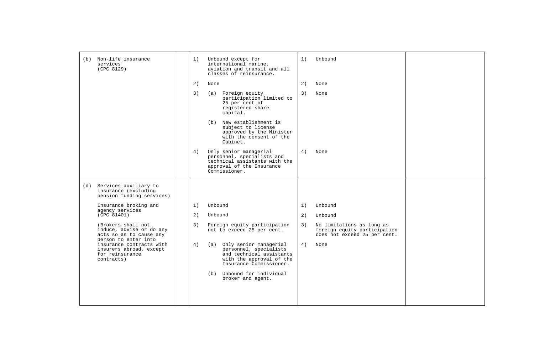| (b) Non-life insurance<br>services<br>(CPC 8129)                                                  | 1) | Unbound except for<br>international marine,<br>aviation and transit and all<br>classes of reinsurance.                                  | 1) | Unbound                                                                                   |  |
|---------------------------------------------------------------------------------------------------|----|-----------------------------------------------------------------------------------------------------------------------------------------|----|-------------------------------------------------------------------------------------------|--|
|                                                                                                   | 2) | None                                                                                                                                    | 2) | None                                                                                      |  |
|                                                                                                   | 3) | (a) Foreign equity<br>participation limited to<br>25 per cent of<br>registered share<br>capital.                                        | 3) | None                                                                                      |  |
|                                                                                                   |    | (b) New establishment is<br>subject to license<br>approved by the Minister<br>with the consent of the<br>Cabinet.                       |    |                                                                                           |  |
|                                                                                                   | 4) | Only senior managerial<br>personnel, specialists and<br>technical assistants with the<br>approval of the Insurance<br>Commissioner.     | 4) | None                                                                                      |  |
| (d) Services auxiliary to<br>insurance (excluding<br>pension funding services)                    |    |                                                                                                                                         |    |                                                                                           |  |
| Insurance broking and                                                                             | 1) | Unbound                                                                                                                                 | 1) | Unbound                                                                                   |  |
| agency services<br>(CPC 81401)                                                                    | 2) | Unbound                                                                                                                                 | 2) | Unbound                                                                                   |  |
| (Brokers shall not<br>induce, advise or do any<br>acts so as to cause any<br>person to enter into | 3) | Foreign equity participation<br>not to exceed 25 per cent.                                                                              | 3) | No limitations as long as<br>foreign equity participation<br>does not exceed 25 per cent. |  |
| insurance contracts with<br>insurers abroad, except<br>for reinsurance<br>contracts)              | 4) | (a) Only senior managerial<br>personnel, specialists<br>and technical assistants<br>with the approval of the<br>Insurance Commissioner. | 4) | None                                                                                      |  |
|                                                                                                   |    | (b) Unbound for individual<br>broker and agent.                                                                                         |    |                                                                                           |  |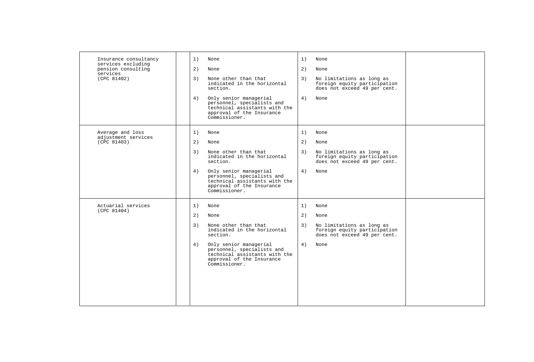| Insurance consultancy<br>services excluding<br>pension consulting<br>services | 1)<br>None<br>1)<br>None<br>2)<br>2)<br>None<br>None                                                                                                                     |
|-------------------------------------------------------------------------------|--------------------------------------------------------------------------------------------------------------------------------------------------------------------------|
| (CPC 81402)                                                                   | None other than that<br>3)<br>No limitations as long as<br>3)<br>indicated in the horizontal<br>foreign equity participation<br>does not exceed 49 per cent.<br>section. |
|                                                                               | 4)<br>4)<br>Only senior managerial<br>None<br>personnel, specialists and<br>technical assistants with the<br>approval of the Insurance<br>Commissioner.                  |
| Average and loss<br>adjustment services                                       | 1)<br>1)<br>None<br>None                                                                                                                                                 |
| (CPC 81403)                                                                   | 2)<br>2)<br>None<br>None                                                                                                                                                 |
|                                                                               | None other than that<br>3)<br>3)<br>No limitations as long as<br>indicated in the horizontal<br>foreign equity participation<br>does not exceed 49 per cent.<br>section. |
|                                                                               | 4)<br>Only senior managerial<br>4)<br>None<br>personnel, specialists and<br>technical assistants with the<br>approval of the Insurance<br>Commissioner.                  |
| Actuarial services<br>(CPC 81404)                                             | 1)<br>None<br>1)<br>None                                                                                                                                                 |
|                                                                               | 2)<br>2)<br>None<br>None                                                                                                                                                 |
|                                                                               | 3)<br>3)<br>None other than that<br>No limitations as long as<br>indicated in the horizontal<br>foreign equity participation<br>section.<br>does not exceed 49 per cent. |
|                                                                               | 4)<br>4)<br>Only senior managerial<br>None<br>personnel, specialists and<br>technical assistants with the<br>approval of the Insurance<br>Commissioner.                  |
|                                                                               |                                                                                                                                                                          |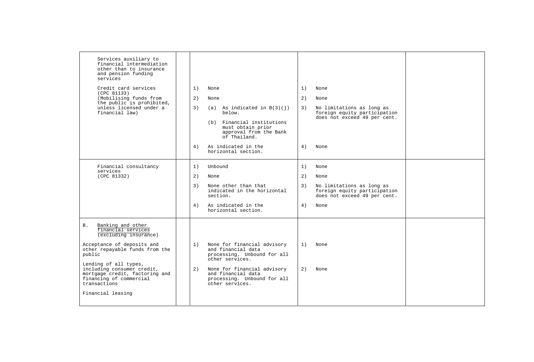| Services auxiliary to<br>financial intermediation<br>other than to insurance<br>and pension funding<br>services<br>Credit card services<br>(CPC 81133)<br>(Mobilising funds from<br>the public is prohibited,<br>unless licensed under a<br>financial law)                                                | 1)<br>2)<br>3)<br>4) | None<br>None<br>$(a)$ As indicated in $B(3)(i)$<br>below.<br>(b) Financial institutions<br>must obtain prior<br>approval from the Bank<br>of Thailand.<br>As indicated in the<br>horizontal section.       | 1)<br>2)<br>3)<br>4) | None<br>None<br>No limitations as long as<br>foreign equity participation<br>does not exceed 49 per cent.<br>None |  |
|-----------------------------------------------------------------------------------------------------------------------------------------------------------------------------------------------------------------------------------------------------------------------------------------------------------|----------------------|------------------------------------------------------------------------------------------------------------------------------------------------------------------------------------------------------------|----------------------|-------------------------------------------------------------------------------------------------------------------|--|
|                                                                                                                                                                                                                                                                                                           |                      |                                                                                                                                                                                                            |                      |                                                                                                                   |  |
| Financial consultancy<br>services                                                                                                                                                                                                                                                                         | 1)                   | Unbound                                                                                                                                                                                                    | 1)                   | None                                                                                                              |  |
| (CPC 81332)                                                                                                                                                                                                                                                                                               | 2)                   | None                                                                                                                                                                                                       | 2)                   | None                                                                                                              |  |
|                                                                                                                                                                                                                                                                                                           | 3)                   | None other than that<br>indicated in the horizontal<br>section.                                                                                                                                            | 3)                   | No limitations as long as<br>foreign equity participation<br>does not exceed 49 per cent.                         |  |
|                                                                                                                                                                                                                                                                                                           | 4)                   | As indicated in the<br>horizontal section.                                                                                                                                                                 | 4)                   | None                                                                                                              |  |
| Banking and other<br>В.<br>financial services<br>(excluding insurance)<br>Acceptance of deposits and<br>other repayable funds from the<br>public<br>Lending of all types,<br>including consumer credit,<br>mortgage credit, factoring and<br>financing of commercial<br>transactions<br>Financial leasing | 1)<br>2)             | None for financial advisory<br>and financial data<br>processing. Unbound for all<br>other services.<br>None for financial advisory<br>and financial data<br>processing. Unbound for all<br>other services. | 1)<br>2)             | None<br>None                                                                                                      |  |
|                                                                                                                                                                                                                                                                                                           |                      |                                                                                                                                                                                                            |                      |                                                                                                                   |  |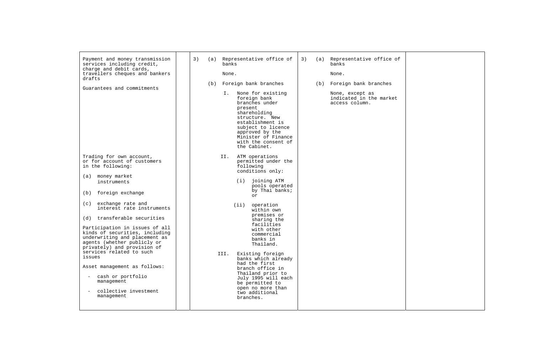| Payment and money transmission<br>services including credit,<br>charge and debit cards,<br>travellers cheques and bankers<br>drafts<br>Guarantees and commitments<br>Trading for own account,<br>or for account of customers<br>in the following:                                                                                                                                     | 3) | (a)<br>(b) | Representative office of<br>banks<br>None.<br>Foreign bank branches<br>I. None for existing<br>foreign bank<br>branches under<br>present<br>shareholding<br>structure. New<br>establishment is<br>subject to licence<br>approved by the<br>Minister of Finance<br>with the consent of<br>the Cabinet.<br>ATM operations<br>II.<br>permitted under the<br>following | 3) | (b) | (a) Representative office of<br>banks<br>None.<br>Foreign bank branches<br>None, except as<br>indicated in the market<br>access column. |  |
|---------------------------------------------------------------------------------------------------------------------------------------------------------------------------------------------------------------------------------------------------------------------------------------------------------------------------------------------------------------------------------------|----|------------|--------------------------------------------------------------------------------------------------------------------------------------------------------------------------------------------------------------------------------------------------------------------------------------------------------------------------------------------------------------------|----|-----|-----------------------------------------------------------------------------------------------------------------------------------------|--|
| (a) money market<br>instruments<br>(b) foreign exchange<br>(c) exchange rate and<br>interest rate instruments<br>(d) transferable securities<br>Participation in issues of all<br>kinds of securities, including<br>underwriting and placement as<br>agents (whether publicly or<br>privately) and provision of<br>services related to such<br>issues<br>Asset management as follows: |    |            | conditions only:<br>joining ATM<br>(i)<br>pools operated<br>by Thai banks;<br>or<br>operation<br>(iii)<br>within own<br>premises or<br>sharing the<br>facilities<br>with other<br>commercial<br>banks in<br>Thailand.<br>Existing foreign<br>III.<br>banks which already<br>had the first<br>branch office in                                                      |    |     |                                                                                                                                         |  |
| cash or portfolio<br>management<br>collective investment<br>management                                                                                                                                                                                                                                                                                                                |    |            | Thailand prior to<br>July 1995 will each<br>be permitted to<br>open no more than<br>two additional<br>branches.                                                                                                                                                                                                                                                    |    |     |                                                                                                                                         |  |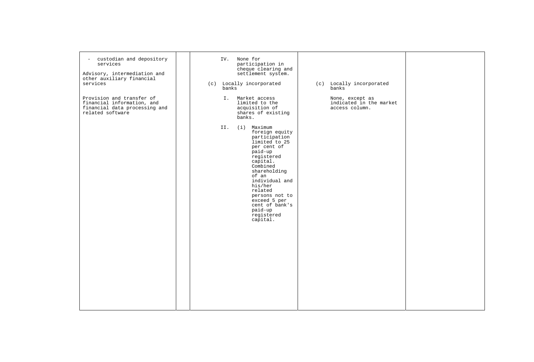| custodian and depository<br>$\equiv$<br>services<br>Advisory, intermediation and<br>other auxiliary financial<br>services | None for<br>IV.<br>participation in<br>cheque clearing and<br>settlement system.<br>(c) Locally incorporated<br>banks                                                                                                                                                                            | (c) Locally incorporated<br>banks                            |  |
|---------------------------------------------------------------------------------------------------------------------------|--------------------------------------------------------------------------------------------------------------------------------------------------------------------------------------------------------------------------------------------------------------------------------------------------|--------------------------------------------------------------|--|
| Provision and transfer of<br>financial information, and<br>financial data processing and<br>related software              | I. Market access<br>limited to the<br>acquisition of<br>shares of existing<br>banks.                                                                                                                                                                                                             | None, except as<br>indicated in the market<br>access column. |  |
|                                                                                                                           | (i) Maximum<br>II.<br>foreign equity<br>participation<br>limited to 25<br>per cent of<br>paid-up<br>registered<br>capital.<br>Combined<br>shareholding<br>of an<br>individual and<br>his/her<br>related<br>persons not to<br>exceed 5 per<br>cent of bank's<br>paid-up<br>registered<br>capital. |                                                              |  |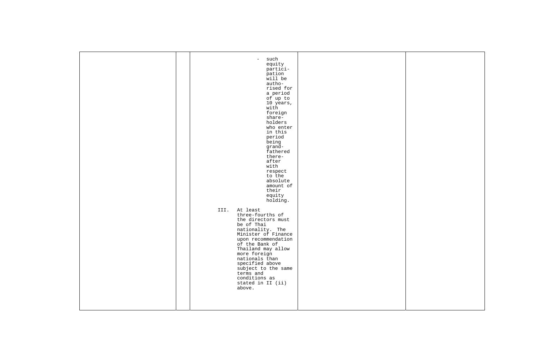| such<br>$-$<br>equity<br>partici-<br>pation<br>will be<br>autho-<br>rised for<br>a period<br>of up to<br>10 years,<br>with<br>foreign<br>share-<br>holders<br>who enter<br>in this<br>period<br>being<br>grand-<br>fathered<br>there-<br>after<br>with<br>respect<br>to the<br>absolute<br>amount of<br>their<br>equity<br>holding.<br>III. At least<br>three-fourths of<br>the directors must<br>be of Thai<br>nationality. The<br>Minister of Finance<br>upon recommendation<br>of the Bank of<br>Thailand may allow<br>more foreign<br>nationals than<br>specified above<br>subject to the same<br>terms and<br>conditions as<br>stated in II (ii)<br>above. |  |
|-----------------------------------------------------------------------------------------------------------------------------------------------------------------------------------------------------------------------------------------------------------------------------------------------------------------------------------------------------------------------------------------------------------------------------------------------------------------------------------------------------------------------------------------------------------------------------------------------------------------------------------------------------------------|--|
|                                                                                                                                                                                                                                                                                                                                                                                                                                                                                                                                                                                                                                                                 |  |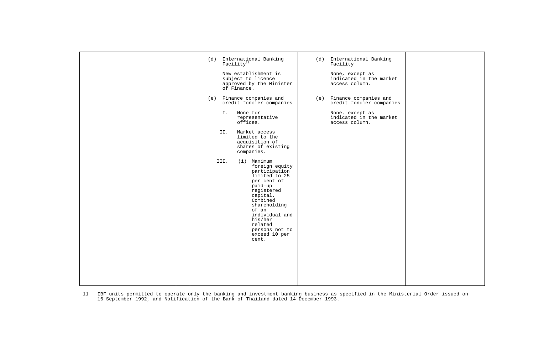| International Banking<br>(d)<br>Facility <sup>11</sup><br>New establishment is<br>subject to licence<br>approved by the Minister<br>of Finance.                                                                                                      | (d) International Banking<br>Facility<br>None, except as<br>indicated in the market<br>access column. |  |
|------------------------------------------------------------------------------------------------------------------------------------------------------------------------------------------------------------------------------------------------------|-------------------------------------------------------------------------------------------------------|--|
| (e) Finance companies and<br>credit foncier companies                                                                                                                                                                                                | (e) Finance companies and<br>credit foncier companies                                                 |  |
| None for<br>I.<br>representative<br>offices.                                                                                                                                                                                                         | None, except as<br>indicated in the market<br>access column.                                          |  |
| Market access<br>II.<br>limited to the<br>acquisition of<br>shares of existing<br>companies.                                                                                                                                                         |                                                                                                       |  |
| (i) Maximum<br>III.<br>foreign equity<br>participation<br>limited to 25<br>per cent of<br>paid-up<br>registered<br>capital.<br>Combined<br>shareholding<br>of an<br>individual and<br>his/her<br>related<br>persons not to<br>exceed 10 per<br>cent. |                                                                                                       |  |
|                                                                                                                                                                                                                                                      |                                                                                                       |  |

11 IBF units permitted to operate only the banking and investment banking business as specified in the Ministerial Order issued on 16 September 1992, and Notification of the Bank of Thailand dated 14 December 1993.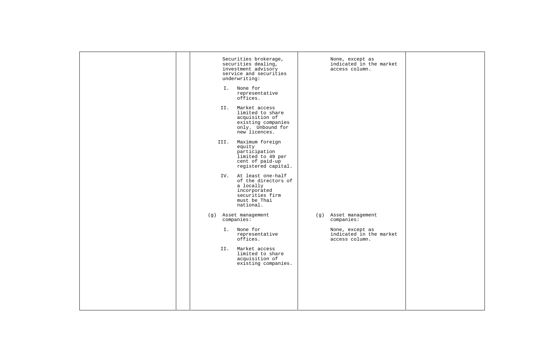| Securities brokerage,<br>securities dealing,<br>investment advisory<br>service and securities<br>underwriting:<br>I. None for<br>representative | None, except as<br>indicated in the market<br>access column. |
|-------------------------------------------------------------------------------------------------------------------------------------------------|--------------------------------------------------------------|
| offices.<br>Market access<br>II.<br>limited to share                                                                                            |                                                              |
| acquisition of<br>existing companies<br>only. Unbound for<br>new licences.                                                                      |                                                              |
| III. Maximum foreign<br>equity<br>participation<br>limited to 49 per<br>cent of paid-up<br>registered capital.                                  |                                                              |
| At least one-half<br>IV.<br>of the directors of<br>a locally<br>incorporated<br>securities firm<br>must be Thai<br>national.                    |                                                              |
| (g) Asset management<br>companies:                                                                                                              | (g) Asset management<br>companies:                           |
| I. None for<br>representative<br>offices.                                                                                                       | None, except as<br>indicated in the market<br>access column. |
| Market access<br>II.<br>limited to share<br>acquisition of<br>existing companies.                                                               |                                                              |
|                                                                                                                                                 |                                                              |
|                                                                                                                                                 |                                                              |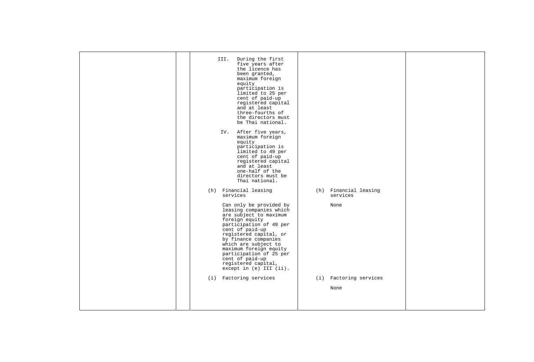| During the first<br>III.<br>five years after<br>the licence has<br>been granted,<br>maximum foreign<br>equity<br>participation is<br>limited to 25 per<br>cent of paid-up<br>registered capital<br>and at least<br>three-fourths of<br>the directors must<br>be Thai national.<br>After five years,<br>IV.<br>maximum foreign<br>equity<br>participation is<br>limited to 49 per<br>cent of paid-up<br>registered capital<br>and at least<br>one-half of the<br>directors must be<br>Thai national. |                                           |  |
|-----------------------------------------------------------------------------------------------------------------------------------------------------------------------------------------------------------------------------------------------------------------------------------------------------------------------------------------------------------------------------------------------------------------------------------------------------------------------------------------------------|-------------------------------------------|--|
| (h) Financial leasing<br>services<br>Can only be provided by<br>leasing companies which<br>are subject to maximum<br>foreign equity<br>participation of 49 per                                                                                                                                                                                                                                                                                                                                      | (h) Financial leasing<br>services<br>None |  |
| cent of paid-up<br>registered capital, or<br>by finance companies<br>which are subject to<br>maximum foreign equity<br>participation of 25 per<br>cent of paid-up<br>registered capital,<br>except in (e) III (ii).                                                                                                                                                                                                                                                                                 |                                           |  |
| (i) Factoring services                                                                                                                                                                                                                                                                                                                                                                                                                                                                              | (i) Factoring services                    |  |
|                                                                                                                                                                                                                                                                                                                                                                                                                                                                                                     | None                                      |  |
|                                                                                                                                                                                                                                                                                                                                                                                                                                                                                                     |                                           |  |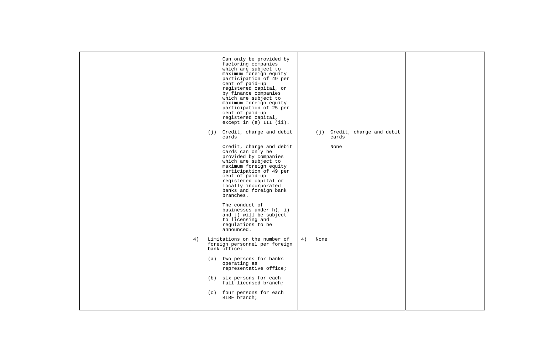| Can only be provided by<br>factoring companies<br>which are subject to<br>maximum foreign equity<br>participation of 49 per<br>cent of paid-up<br>registered capital, or<br>by finance companies<br>which are subject to<br>maximum foreign equity<br>participation of 25 per<br>cent of paid-up<br>registered capital,<br>except in (e) III (ii).<br>Credit, charge and debit<br>(j) Credit, charge and debit<br>(j)<br>cards<br>cards<br>Credit, charge and debit<br>None<br>cards can only be<br>provided by companies<br>which are subject to<br>maximum foreign equity<br>participation of 49 per<br>cent of paid-up<br>registered capital or<br>locally incorporated<br>banks and foreign bank<br>branches.<br>The conduct of<br>businesses under h), i)<br>and j) will be subject<br>to licensing and<br>regulations to be<br>announced.<br>Limitations on the number of<br>4)<br>4)<br>None<br>foreign personnel per foreign<br>bank office:<br>(a) two persons for banks<br>operating as<br>representative office;<br>(b) six persons for each<br>full-licensed branch;<br>(c) four persons for each<br>BIBF branch; |  |  |
|-------------------------------------------------------------------------------------------------------------------------------------------------------------------------------------------------------------------------------------------------------------------------------------------------------------------------------------------------------------------------------------------------------------------------------------------------------------------------------------------------------------------------------------------------------------------------------------------------------------------------------------------------------------------------------------------------------------------------------------------------------------------------------------------------------------------------------------------------------------------------------------------------------------------------------------------------------------------------------------------------------------------------------------------------------------------------------------------------------------------------------|--|--|
|                                                                                                                                                                                                                                                                                                                                                                                                                                                                                                                                                                                                                                                                                                                                                                                                                                                                                                                                                                                                                                                                                                                               |  |  |
|                                                                                                                                                                                                                                                                                                                                                                                                                                                                                                                                                                                                                                                                                                                                                                                                                                                                                                                                                                                                                                                                                                                               |  |  |
|                                                                                                                                                                                                                                                                                                                                                                                                                                                                                                                                                                                                                                                                                                                                                                                                                                                                                                                                                                                                                                                                                                                               |  |  |
|                                                                                                                                                                                                                                                                                                                                                                                                                                                                                                                                                                                                                                                                                                                                                                                                                                                                                                                                                                                                                                                                                                                               |  |  |
|                                                                                                                                                                                                                                                                                                                                                                                                                                                                                                                                                                                                                                                                                                                                                                                                                                                                                                                                                                                                                                                                                                                               |  |  |
|                                                                                                                                                                                                                                                                                                                                                                                                                                                                                                                                                                                                                                                                                                                                                                                                                                                                                                                                                                                                                                                                                                                               |  |  |
|                                                                                                                                                                                                                                                                                                                                                                                                                                                                                                                                                                                                                                                                                                                                                                                                                                                                                                                                                                                                                                                                                                                               |  |  |
|                                                                                                                                                                                                                                                                                                                                                                                                                                                                                                                                                                                                                                                                                                                                                                                                                                                                                                                                                                                                                                                                                                                               |  |  |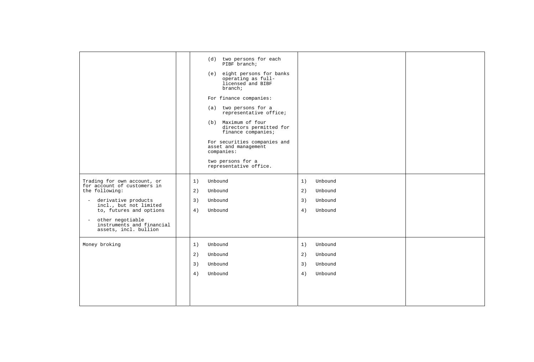|                                                                                                                                                          | two persons for each<br>(d)<br>PIBF branch;<br>eight persons for banks<br>(e)<br>operating as full-<br>licensed and BIBF<br>branch;<br>For finance companies:<br>(a) two persons for a<br>representative office;<br>(b) Maximum of four<br>directors permitted for<br>finance companies;<br>For securities companies and<br>asset and management<br>companies:<br>two persons for a<br>representative office. |                                                                  |  |
|----------------------------------------------------------------------------------------------------------------------------------------------------------|---------------------------------------------------------------------------------------------------------------------------------------------------------------------------------------------------------------------------------------------------------------------------------------------------------------------------------------------------------------------------------------------------------------|------------------------------------------------------------------|--|
| Trading for own account, or<br>for account of customers in<br>the following:<br>derivative products<br>incl., but not limited<br>to, futures and options | 1)<br>Unbound<br>2)<br>Unbound<br>3)<br>Unbound<br>4)<br>Unbound                                                                                                                                                                                                                                                                                                                                              | 1)<br>Unbound<br>2)<br>Unbound<br>3)<br>Unbound<br>4)<br>Unbound |  |
| other negotiable<br>instruments and financial<br>assets, incl. bullion                                                                                   |                                                                                                                                                                                                                                                                                                                                                                                                               |                                                                  |  |
| Money broking                                                                                                                                            | Unbound<br>1)<br>2)<br>Unbound                                                                                                                                                                                                                                                                                                                                                                                | 1)<br>Unbound<br>2)<br>Unbound                                   |  |
|                                                                                                                                                          | 3)<br>Unbound                                                                                                                                                                                                                                                                                                                                                                                                 | 3)<br>Unbound                                                    |  |
|                                                                                                                                                          | 4)<br>Unbound                                                                                                                                                                                                                                                                                                                                                                                                 | 4)<br>Unbound                                                    |  |
|                                                                                                                                                          |                                                                                                                                                                                                                                                                                                                                                                                                               |                                                                  |  |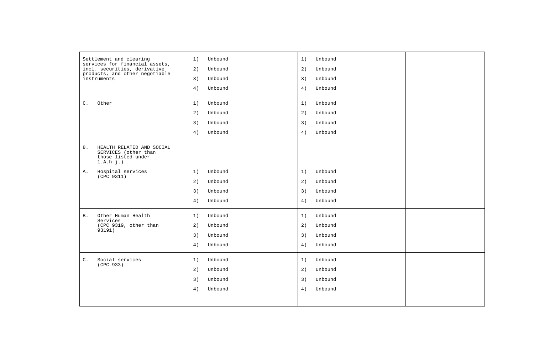| Settlement and clearing<br>services for financial assets,                                     | Unbound<br>1) | 1)<br>Unbound |  |
|-----------------------------------------------------------------------------------------------|---------------|---------------|--|
| incl. securities, derivative                                                                  | 2)<br>Unbound | 2)<br>Unbound |  |
| products, and other negotiable<br>instruments                                                 | 3)<br>Unbound | 3)<br>Unbound |  |
|                                                                                               | 4)<br>Unbound | 4)<br>Unbound |  |
| C.<br>Other                                                                                   | 1)<br>Unbound | 1)<br>Unbound |  |
|                                                                                               | Unbound<br>2) | 2)<br>Unbound |  |
|                                                                                               | 3)<br>Unbound | 3)<br>Unbound |  |
|                                                                                               | 4)<br>Unbound | Unbound<br>4) |  |
| 8.<br>HEALTH RELATED AND SOCIAL<br>SERVICES (other than<br>those listed under<br>$1.A.h-j.$ ) |               |               |  |
| Α.<br>Hospital services                                                                       | 1)<br>Unbound | 1)<br>Unbound |  |
| (CPC 9311)                                                                                    | 2)<br>Unbound | 2)<br>Unbound |  |
|                                                                                               | 3)<br>Unbound | 3)<br>Unbound |  |
|                                                                                               | 4)<br>Unbound | 4)<br>Unbound |  |
| Other Human Health<br><b>B.</b><br>Services                                                   | Unbound<br>1) | Unbound<br>1) |  |
| (CPC 9319, other than<br>93191)                                                               | 2)<br>Unbound | 2)<br>Unbound |  |
|                                                                                               | 3)<br>Unbound | 3)<br>Unbound |  |
|                                                                                               | 4)<br>Unbound | 4)<br>Unbound |  |
| Social services<br>$\mathsf{C}$ .<br>(CPC 933)                                                | Unbound<br>1) | 1)<br>Unbound |  |
|                                                                                               | 2)<br>Unbound | 2)<br>Unbound |  |
|                                                                                               | 3)<br>Unbound | 3)<br>Unbound |  |
|                                                                                               | 4)<br>Unbound | 4)<br>Unbound |  |
|                                                                                               |               |               |  |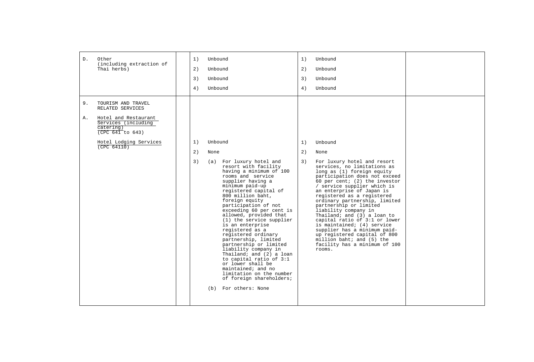| D. | Other<br>(including extraction of                                            | 1)            | Unbound |                                                                                                                                                                                                                                                                                                                                                                                                                                                                                                                                                                                                                                              | 1) | Unbound                                                                                                                                                                                                                                                                                                                                                                                                                                                                                                                                                                           |  |
|----|------------------------------------------------------------------------------|---------------|---------|----------------------------------------------------------------------------------------------------------------------------------------------------------------------------------------------------------------------------------------------------------------------------------------------------------------------------------------------------------------------------------------------------------------------------------------------------------------------------------------------------------------------------------------------------------------------------------------------------------------------------------------------|----|-----------------------------------------------------------------------------------------------------------------------------------------------------------------------------------------------------------------------------------------------------------------------------------------------------------------------------------------------------------------------------------------------------------------------------------------------------------------------------------------------------------------------------------------------------------------------------------|--|
|    | Thai herbs)                                                                  | 2)<br>Unbound |         |                                                                                                                                                                                                                                                                                                                                                                                                                                                                                                                                                                                                                                              | 2) | Unbound                                                                                                                                                                                                                                                                                                                                                                                                                                                                                                                                                                           |  |
|    |                                                                              | 3)            | Unbound |                                                                                                                                                                                                                                                                                                                                                                                                                                                                                                                                                                                                                                              | 3) | Unbound                                                                                                                                                                                                                                                                                                                                                                                                                                                                                                                                                                           |  |
|    |                                                                              | 4)            | Unbound |                                                                                                                                                                                                                                                                                                                                                                                                                                                                                                                                                                                                                                              | 4) | Unbound                                                                                                                                                                                                                                                                                                                                                                                                                                                                                                                                                                           |  |
| 9. | TOURISM AND TRAVEL<br>RELATED SERVICES                                       |               |         |                                                                                                                                                                                                                                                                                                                                                                                                                                                                                                                                                                                                                                              |    |                                                                                                                                                                                                                                                                                                                                                                                                                                                                                                                                                                                   |  |
| Α. | Hotel and Restaurant<br>Services (including<br>catering)<br>(CPC 641 to 643) |               |         |                                                                                                                                                                                                                                                                                                                                                                                                                                                                                                                                                                                                                                              |    |                                                                                                                                                                                                                                                                                                                                                                                                                                                                                                                                                                                   |  |
|    | Hotel Lodging Services                                                       | 1)            | Unbound |                                                                                                                                                                                                                                                                                                                                                                                                                                                                                                                                                                                                                                              | 1) | Unbound                                                                                                                                                                                                                                                                                                                                                                                                                                                                                                                                                                           |  |
|    | (CPC 64110)                                                                  | 2)            | None    |                                                                                                                                                                                                                                                                                                                                                                                                                                                                                                                                                                                                                                              | 2) | None                                                                                                                                                                                                                                                                                                                                                                                                                                                                                                                                                                              |  |
|    |                                                                              | 3)            |         | (a) For luxury hotel and<br>resort with facility<br>having a minimum of 100<br>rooms and service<br>supplier having a<br>minimum paid-up<br>registered capital of<br>800 million baht,<br>foreign equity<br>participation of not<br>exceeding 60 per cent is<br>allowed, provided that<br>(1) the service supplier<br>is an enterprise<br>registered as a<br>registered ordinary<br>partnership, limited<br>partnership or limited<br>liability company in<br>Thailand; and (2) a loan<br>to capital ratio of 3:1<br>or lower shall be<br>maintained; and no<br>limitation on the number<br>of foreign shareholders;<br>(b) For others: None | 3) | For luxury hotel and resort<br>services, no limitations as<br>long as (1) foreign equity<br>participation does not exceed<br>60 per cent; $(2)$ the investor<br>/ service supplier which is<br>an enterprise of Japan is<br>registered as a registered<br>ordinary partnership, limited<br>partnership or limited<br>liability company in<br>Thailand; and (3) a loan to<br>capital ratio of 3:1 or lower<br>is maintained; (4) service<br>supplier has a minimum paid-<br>up registered capital of 800<br>million baht; and $(5)$ the<br>facility has a minimum of 100<br>rooms. |  |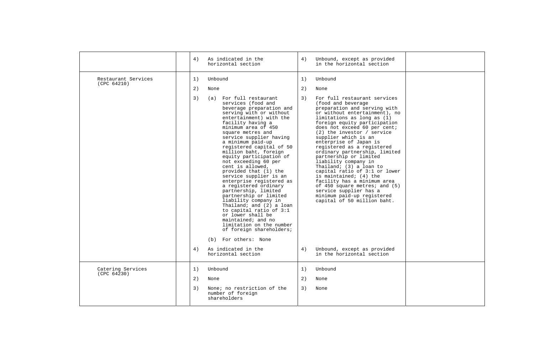|                                    | 4)       | As indicated in the<br>horizontal section                                                                                                                                                                                                                                                                                                                                                                                                                                                                                                                                                                                                                                                                                                                                                           | 4) | Unbound, except as provided<br>in the horizontal section                                                                                                                                                                                                                                                                                                                                                                                                                                                                                                                                                                                                                                         |  |
|------------------------------------|----------|-----------------------------------------------------------------------------------------------------------------------------------------------------------------------------------------------------------------------------------------------------------------------------------------------------------------------------------------------------------------------------------------------------------------------------------------------------------------------------------------------------------------------------------------------------------------------------------------------------------------------------------------------------------------------------------------------------------------------------------------------------------------------------------------------------|----|--------------------------------------------------------------------------------------------------------------------------------------------------------------------------------------------------------------------------------------------------------------------------------------------------------------------------------------------------------------------------------------------------------------------------------------------------------------------------------------------------------------------------------------------------------------------------------------------------------------------------------------------------------------------------------------------------|--|
| Restaurant Services<br>(CPC 64210) | 1)       | Unbound                                                                                                                                                                                                                                                                                                                                                                                                                                                                                                                                                                                                                                                                                                                                                                                             | 1) | Unbound                                                                                                                                                                                                                                                                                                                                                                                                                                                                                                                                                                                                                                                                                          |  |
|                                    | 2)       | None                                                                                                                                                                                                                                                                                                                                                                                                                                                                                                                                                                                                                                                                                                                                                                                                | 2) | None                                                                                                                                                                                                                                                                                                                                                                                                                                                                                                                                                                                                                                                                                             |  |
|                                    | 3)<br>4) | (a) For full restaurant<br>3)<br>services (food and<br>beverage preparation and<br>serving with or without<br>entertainment) with the<br>facility having a<br>minimum area of 450<br>square metres and<br>service supplier having<br>a minimum paid-up<br>registered capital of 50<br>million baht, foreign<br>equity participation of<br>not exceeding 60 per<br>cent is allowed,<br>provided that (1) the<br>service supplier is an<br>enterprise registered as<br>a registered ordinary<br>partnership, limited<br>partnership or limited<br>liability company in<br>Thailand; and (2) a loan<br>to capital ratio of 3:1<br>or lower shall be<br>maintained; and no<br>limitation on the number<br>of foreign shareholders;<br>(b) For others: None<br>As indicated in the<br>horizontal section |    | For full restaurant services<br>(food and beverage<br>preparation and serving with<br>or without entertainment), no<br>limitations as long as (1)<br>foreign equity participation<br>does not exceed 60 per cent;<br>$(2)$ the investor / service<br>supplier which is an<br>enterprise of Japan is<br>registered as a registered<br>ordinary partnership, limited<br>partnership or limited<br>liability company in<br>Thailand; (3) a loan to<br>capital ratio of 3:1 or lower<br>is maintained; (4) the<br>facility has a minimum area<br>of 450 square metres; and (5)<br>service supplier has a<br>minimum paid-up registered<br>capital of 50 million baht.<br>Unbound, except as provided |  |
|                                    |          |                                                                                                                                                                                                                                                                                                                                                                                                                                                                                                                                                                                                                                                                                                                                                                                                     |    | in the horizontal section                                                                                                                                                                                                                                                                                                                                                                                                                                                                                                                                                                                                                                                                        |  |
| Catering Services<br>(CPC 64230)   | 1)       | Unbound                                                                                                                                                                                                                                                                                                                                                                                                                                                                                                                                                                                                                                                                                                                                                                                             | 1) | Unbound                                                                                                                                                                                                                                                                                                                                                                                                                                                                                                                                                                                                                                                                                          |  |
|                                    | 2)       | None                                                                                                                                                                                                                                                                                                                                                                                                                                                                                                                                                                                                                                                                                                                                                                                                | 2) | None                                                                                                                                                                                                                                                                                                                                                                                                                                                                                                                                                                                                                                                                                             |  |
|                                    | 3)       | None; no restriction of the<br>number of foreign<br>shareholders                                                                                                                                                                                                                                                                                                                                                                                                                                                                                                                                                                                                                                                                                                                                    | 3) | None                                                                                                                                                                                                                                                                                                                                                                                                                                                                                                                                                                                                                                                                                             |  |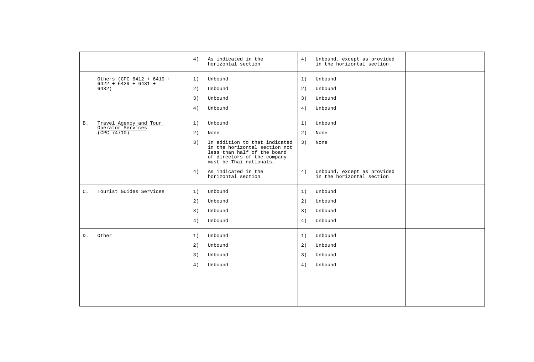|                |                                                     | 4) | As indicated in the<br>horizontal section                                                                                                               | 4) | Unbound, except as provided<br>in the horizontal section |  |
|----------------|-----------------------------------------------------|----|---------------------------------------------------------------------------------------------------------------------------------------------------------|----|----------------------------------------------------------|--|
|                | Others (CPC 6412 + 6419 +<br>$6422 + 6429 + 6431 +$ | 1) | Unbound                                                                                                                                                 | 1) | Unbound                                                  |  |
|                | 6432)                                               | 2) | Unbound                                                                                                                                                 | 2) | Unbound                                                  |  |
|                |                                                     | 3) | Unbound                                                                                                                                                 | 3) | Unbound                                                  |  |
|                |                                                     | 4) | Unbound                                                                                                                                                 | 4) | Unbound                                                  |  |
| Β.             | Travel Agency and Tour<br>Operator Services         | 1) | Unbound                                                                                                                                                 | 1) | Unbound                                                  |  |
|                | (CPC 74710)                                         | 2) | None                                                                                                                                                    | 2) | None                                                     |  |
|                |                                                     | 3) | In addition to that indicated<br>in the horizontal section not<br>less than half of the board<br>of directors of the company<br>must be Thai nationals. | 3) | None                                                     |  |
|                |                                                     | 4) | As indicated in the<br>horizontal section                                                                                                               | 4) | Unbound, except as provided<br>in the horizontal section |  |
| $\mathsf{C}$ . | Tourist Guides Services                             | 1) | Unbound                                                                                                                                                 | 1) | Unbound                                                  |  |
|                |                                                     | 2) | Unbound                                                                                                                                                 | 2) | Unbound                                                  |  |
|                |                                                     | 3) | Unbound                                                                                                                                                 | 3) | Unbound                                                  |  |
|                |                                                     | 4) | Unbound                                                                                                                                                 | 4) | Unbound                                                  |  |
| D.             | Other                                               | 1) | Unbound                                                                                                                                                 | 1) | Unbound                                                  |  |
|                |                                                     | 2) | Unbound                                                                                                                                                 | 2) | Unbound                                                  |  |
|                |                                                     | 3) | Unbound                                                                                                                                                 | 3) | Unbound                                                  |  |
|                |                                                     | 4) | Unbound                                                                                                                                                 | 4) | Unbound                                                  |  |
|                |                                                     |    |                                                                                                                                                         |    |                                                          |  |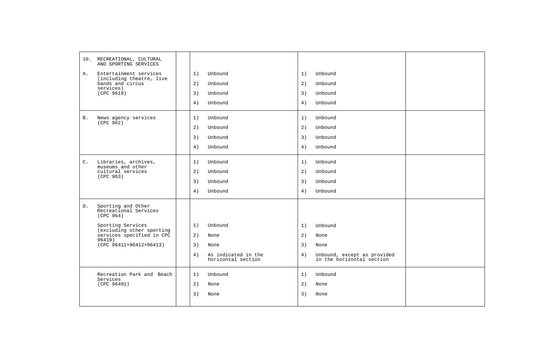|           | 10. RECREATIONAL, CULTURAL<br>AND SPORTING SERVICES      |                                                 |    |                                                          |  |
|-----------|----------------------------------------------------------|-------------------------------------------------|----|----------------------------------------------------------|--|
| A.        | Entertainment services                                   | Unbound<br>1)                                   | 1) | Unbound                                                  |  |
|           | (including theatre, live<br>bands and circus             | 2)<br>Unbound                                   | 2) | Unbound                                                  |  |
|           | services)<br>(CPC 9619)                                  | 3)<br>Unbound                                   | 3) | Unbound                                                  |  |
|           |                                                          | 4)<br>Unbound                                   | 4) | Unbound                                                  |  |
| <b>B.</b> | News agency services<br>(CPC 962)                        | 1)<br>Unbound                                   | 1) | Unbound                                                  |  |
|           |                                                          | 2)<br>Unbound                                   | 2) | Unbound                                                  |  |
|           |                                                          | 3)<br>Unbound                                   | 3) | Unbound                                                  |  |
|           |                                                          | Unbound<br>4)                                   | 4) | Unbound                                                  |  |
| $C$ .     | Libraries, archives,<br>museums and other                | 1)<br>Unbound                                   | 1) | Unbound                                                  |  |
|           | cultural services<br>(CPC 963)                           | 2)<br>Unbound                                   | 2) | Unbound                                                  |  |
|           |                                                          | 3)<br>Unbound                                   | 3) | Unbound                                                  |  |
|           |                                                          | 4)<br>Unbound                                   | 4) | Unbound                                                  |  |
| $D$ .     | Sporting and Other<br>Recreational Services<br>(CPC 964) |                                                 |    |                                                          |  |
|           | Sporting Services                                        | 1)<br>Unbound                                   | 1) | Unbound                                                  |  |
|           | (excluding other sporting<br>services specified in CPC   | 2)<br>None                                      | 2) | None                                                     |  |
|           | $96419$ )<br>(CPC 96411+96412+96413)                     | 3)<br>None                                      | 3) | None                                                     |  |
|           |                                                          | 4)<br>As indicated in the<br>horizontal section | 4) | Unbound, except as provided<br>in the horizontal section |  |
|           | Recreation Park and Beach<br>Services                    | 1)<br>Unbound                                   | 1) | Unbound                                                  |  |
|           | (CPC 96491)                                              | 2)<br>None                                      | 2) | None                                                     |  |
|           |                                                          | 3)<br>None                                      | 3) | None                                                     |  |
|           |                                                          |                                                 |    |                                                          |  |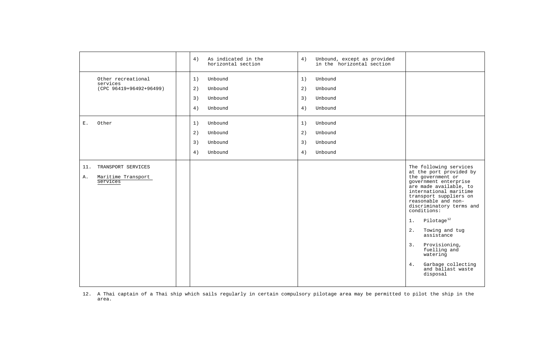|                                                                   | 4)<br>As indicated in the<br>horizontal section                  | 4)<br>Unbound, except as provided<br>in the horizontal section   |                                                                                                                                                                                                                                                                                                                                                                                                                                       |
|-------------------------------------------------------------------|------------------------------------------------------------------|------------------------------------------------------------------|---------------------------------------------------------------------------------------------------------------------------------------------------------------------------------------------------------------------------------------------------------------------------------------------------------------------------------------------------------------------------------------------------------------------------------------|
| Other recreational<br>services<br>(CPC 96419+96492+96499)         | 1)<br>Unbound<br>2)<br>Unbound<br>3)<br>Unbound<br>4)<br>Unbound | 1)<br>Unbound<br>2)<br>Unbound<br>3)<br>Unbound<br>4)<br>Unbound |                                                                                                                                                                                                                                                                                                                                                                                                                                       |
| Ε.<br>Other                                                       | 1)<br>Unbound<br>2)<br>Unbound<br>3)<br>Unbound<br>Unbound<br>4) | 1)<br>Unbound<br>2)<br>Unbound<br>3)<br>Unbound<br>4)<br>Unbound |                                                                                                                                                                                                                                                                                                                                                                                                                                       |
| TRANSPORT SERVICES<br>11.<br>Maritime Transport<br>Α.<br>Services |                                                                  |                                                                  | The following services<br>at the port provided by<br>the government or<br>government enterprise<br>are made available, to<br>international maritime<br>transport suppliers on<br>reasonable and non-<br>discriminatory terms and<br>conditions:<br>Pilotage <sup>12</sup><br>1.<br>2.<br>Towing and tug<br>assistance<br>3.<br>Provisioning,<br>fuelling and<br>watering<br>Garbage collecting<br>4.<br>and ballast waste<br>disposal |

12. A Thai captain of a Thai ship which sails regularly in certain compulsory pilotage area may be permitted to pilot the ship in the area.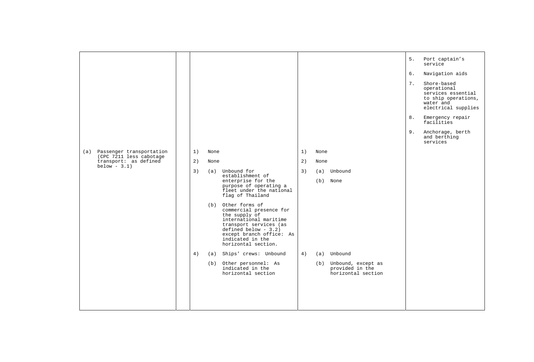|                                                         |    |      |                                                                                                                                                                                                                 |    |      |                                                                 | 5. | Port captain's<br>service                                                                                   |
|---------------------------------------------------------|----|------|-----------------------------------------------------------------------------------------------------------------------------------------------------------------------------------------------------------------|----|------|-----------------------------------------------------------------|----|-------------------------------------------------------------------------------------------------------------|
|                                                         |    |      |                                                                                                                                                                                                                 |    |      |                                                                 | 6. | Navigation aids                                                                                             |
|                                                         |    |      |                                                                                                                                                                                                                 |    |      |                                                                 | 7. | Shore-based<br>operational<br>services essential<br>to ship operations,<br>water and<br>electrical supplies |
|                                                         |    |      |                                                                                                                                                                                                                 |    |      |                                                                 | 8. | Emergency repair<br>facilities                                                                              |
|                                                         |    |      |                                                                                                                                                                                                                 |    |      |                                                                 | 9. | Anchorage, berth<br>and berthing<br>services                                                                |
| (a) Passenger transportation<br>(CPC 7211 less cabotage | 1) | None |                                                                                                                                                                                                                 | 1) | None |                                                                 |    |                                                                                                             |
| transport: as defined<br>below - $3.1$ )                | 2) | None |                                                                                                                                                                                                                 | 2) | None |                                                                 |    |                                                                                                             |
|                                                         | 3) | (a)  | Unbound for<br>establishment of<br>enterprise for the<br>purpose of operating a<br>fleet under the national<br>flag of Thailand                                                                                 | 3) |      | (a) Unbound<br>(b) None                                         |    |                                                                                                             |
|                                                         |    | (b)  | Other forms of<br>commercial presence for<br>the supply of<br>international maritime<br>transport services (as<br>$defined below - 3.2)$<br>except branch office: As<br>indicated in the<br>horizontal section. |    |      |                                                                 |    |                                                                                                             |
|                                                         | 4) | (a)  | Ships' crews: Unbound                                                                                                                                                                                           | 4) | (a)  | Unbound                                                         |    |                                                                                                             |
|                                                         |    |      | (b) Other personnel: As<br>indicated in the<br>horizontal section                                                                                                                                               |    |      | (b) Unbound, except as<br>provided in the<br>horizontal section |    |                                                                                                             |
|                                                         |    |      |                                                                                                                                                                                                                 |    |      |                                                                 |    |                                                                                                             |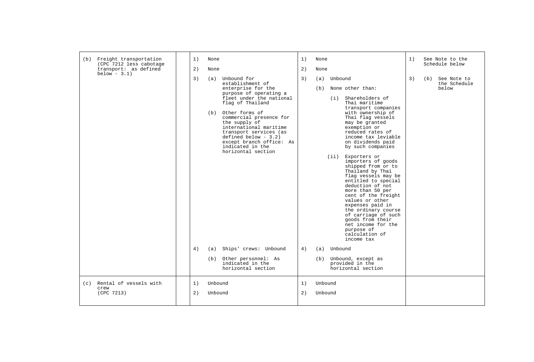| Freight transportation<br>(b)<br>(CPC 7212 less cabotage | 1)<br>None                                                                                                                                                             |                                                                                                                                                                                                                                                                    | 1)<br>None               |                                                                                                                                                                                                                                                                                                                                                                                                                                                                                                                                                                                                                                                                                            | 1) | See Note to the<br>Schedule below           |
|----------------------------------------------------------|------------------------------------------------------------------------------------------------------------------------------------------------------------------------|--------------------------------------------------------------------------------------------------------------------------------------------------------------------------------------------------------------------------------------------------------------------|--------------------------|--------------------------------------------------------------------------------------------------------------------------------------------------------------------------------------------------------------------------------------------------------------------------------------------------------------------------------------------------------------------------------------------------------------------------------------------------------------------------------------------------------------------------------------------------------------------------------------------------------------------------------------------------------------------------------------------|----|---------------------------------------------|
| transport: as defined<br>below $-3.1$ )                  | 2)<br>None                                                                                                                                                             |                                                                                                                                                                                                                                                                    | 2)<br>None               |                                                                                                                                                                                                                                                                                                                                                                                                                                                                                                                                                                                                                                                                                            |    |                                             |
|                                                          | 3)<br>Unbound for<br>(a)<br>establishment of<br>flag of Thailand<br>Other forms of<br>(b)<br>the supply of<br>indicated in the<br>4)<br>(a)<br>(b) Other personnel: As | 3)<br>enterprise for the<br>purpose of operating a<br>fleet under the national<br>commercial presence for<br>international maritime<br>transport services (as<br>defined below $-3.2$ )<br>except branch office: As<br>horizontal section<br>Ships' crews: Unbound | (a)<br>(b)<br>4)         | Unbound<br>None other than:<br>Shareholders of<br>(i)<br>Thai maritime<br>transport companies<br>with ownership of<br>Thai flag vessels<br>may be granted<br>exemption or<br>reduced rates of<br>income tax leviable<br>on dividends paid<br>by such companies<br>Exporters or<br>(iii)<br>importers of goods<br>shipped from or to<br>Thailand by Thai<br>flag vessels may be<br>entitled to special<br>deduction of not<br>more than 50 per<br>cent of the freight<br>values or other<br>expenses paid in<br>the ordinary course<br>of carriage of such<br>goods from their<br>net income for the<br>purpose of<br>calculation of<br>income tax<br>(a) Unbound<br>(b) Unbound, except as | 3) | See Note to<br>(b)<br>the Schedule<br>below |
|                                                          | indicated in the                                                                                                                                                       | horizontal section                                                                                                                                                                                                                                                 |                          | provided in the<br>horizontal section                                                                                                                                                                                                                                                                                                                                                                                                                                                                                                                                                                                                                                                      |    |                                             |
| (c) Rental of vessels with<br>crew<br>(CPC 7213)         | Unbound<br>1)<br>2)<br>Unbound                                                                                                                                         | 1)                                                                                                                                                                                                                                                                 | Unbound<br>2)<br>Unbound |                                                                                                                                                                                                                                                                                                                                                                                                                                                                                                                                                                                                                                                                                            |    |                                             |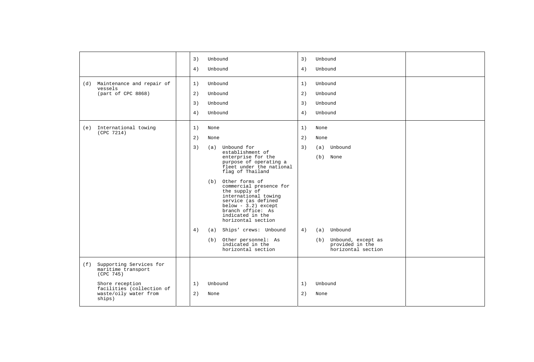|     |                                                            | 3) | Unbound |                                                                                                                                                                                                   | 3) | Unbound                                                         |  |
|-----|------------------------------------------------------------|----|---------|---------------------------------------------------------------------------------------------------------------------------------------------------------------------------------------------------|----|-----------------------------------------------------------------|--|
|     |                                                            | 4) | Unbound |                                                                                                                                                                                                   | 4) | Unbound                                                         |  |
|     | (d) Maintenance and repair of                              | 1) | Unbound |                                                                                                                                                                                                   | 1) | Unbound                                                         |  |
|     | vessels<br>(part of CPC 8868)                              | 2) | Unbound |                                                                                                                                                                                                   | 2) | Unbound                                                         |  |
|     |                                                            | 3) | Unbound |                                                                                                                                                                                                   | 3) | Unbound                                                         |  |
|     |                                                            | 4) | Unbound |                                                                                                                                                                                                   | 4) | Unbound                                                         |  |
| (e) | International towing<br>(CPC 7214)                         | 1) | None    |                                                                                                                                                                                                   | 1) | None                                                            |  |
|     |                                                            | 2) | None    |                                                                                                                                                                                                   | 2) | None                                                            |  |
|     |                                                            | 3) | (a)     | Unbound for<br>establishment of                                                                                                                                                                   | 3) | Unbound<br>(a)                                                  |  |
|     |                                                            |    |         | enterprise for the<br>purpose of operating a<br>fleet under the national<br>flag of Thailand                                                                                                      |    | (b) None                                                        |  |
|     |                                                            |    | (b)     | Other forms of<br>commercial presence for<br>the supply of<br>international towing<br>service (as defined<br>$below - 3.2) except$<br>branch office: As<br>indicated in the<br>horizontal section |    |                                                                 |  |
|     |                                                            | 4) | (a)     | Ships' crews: Unbound                                                                                                                                                                             | 4) | Unbound<br>(a)                                                  |  |
|     |                                                            |    |         | (b) Other personnel: As<br>indicated in the<br>horizontal section                                                                                                                                 |    | (b) Unbound, except as<br>provided in the<br>horizontal section |  |
| (f) | Supporting Services for<br>maritime transport<br>(CPC 745) |    |         |                                                                                                                                                                                                   |    |                                                                 |  |
|     | Shore reception<br>facilities (collection of               | 1) | Unbound |                                                                                                                                                                                                   | 1) | Unbound                                                         |  |
|     | waste/oily water from<br>ships)                            | 2) | None    |                                                                                                                                                                                                   | 2) | None                                                            |  |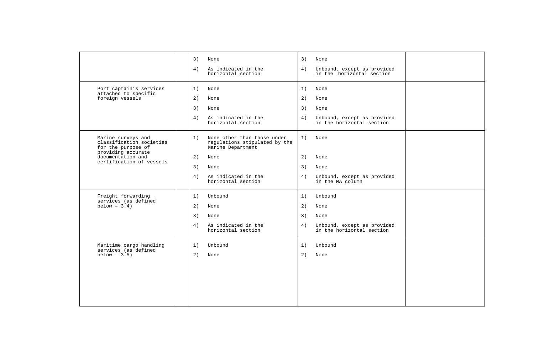|                                                                                                                                             | 3)<br>None<br>3)<br>None<br>4)<br>As indicated in the<br>4)<br>Unbound, except as provided<br>horizontal section<br>in the horizontal section                                                                                                                             |  |
|---------------------------------------------------------------------------------------------------------------------------------------------|---------------------------------------------------------------------------------------------------------------------------------------------------------------------------------------------------------------------------------------------------------------------------|--|
| Port captain's services<br>attached to specific<br>foreign vessels                                                                          | 1)<br>1)<br>None<br>None<br>2)<br>2)<br>None<br>None<br>3)<br>3)<br>None<br>None<br>As indicated in the<br>4)<br>Unbound, except as provided<br>4)<br>horizontal section<br>in the horizontal section                                                                     |  |
| Marine surveys and<br>classification societies<br>for the purpose of<br>providing accurate<br>documentation and<br>certification of vessels | None other than those under<br>1)<br>1)<br>None<br>regulations stipulated by the<br>Marine Department<br>2)<br>2)<br>None<br>None<br>3)<br>3)<br>None<br>None<br>4)<br>As indicated in the<br>Unbound, except as provided<br>4)<br>in the MA column<br>horizontal section |  |
| Freight forwarding<br>services (as defined<br>below $-3.4$ )                                                                                | Unbound<br>1)<br>Unbound<br>1)<br>2)<br>2)<br>None<br>None<br>3)<br>3)<br>None<br>None<br>As indicated in the<br>4)<br>4)<br>Unbound, except as provided<br>horizontal section<br>in the horizontal section                                                               |  |
| Maritime cargo handling<br>services (as defined<br>$below - 3.5)$                                                                           | Unbound<br>Unbound<br>1)<br>1)<br>2)<br>2)<br>None<br>None                                                                                                                                                                                                                |  |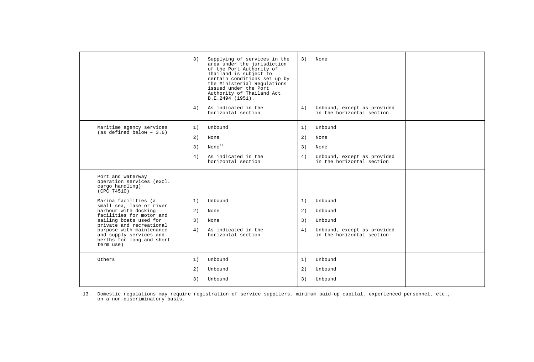|                                                                                                                                                                                                                                                             | Supplying of services in the<br>3)<br>area under the jurisdiction<br>of the Port Authority of<br>Thailand is subject to<br>certain conditions set up by<br>the Ministerial Regulations<br>issued under the Port<br>Authority of Thailand Act<br>B.E.2494 (1951).<br>As indicated in the<br>4)<br>horizontal section | 3)<br>None<br>Unbound, except as provided<br>4)<br>in the horizontal section                                      |
|-------------------------------------------------------------------------------------------------------------------------------------------------------------------------------------------------------------------------------------------------------------|---------------------------------------------------------------------------------------------------------------------------------------------------------------------------------------------------------------------------------------------------------------------------------------------------------------------|-------------------------------------------------------------------------------------------------------------------|
| Maritime agency services<br>$(as defined below - 3.6)$                                                                                                                                                                                                      | 1)<br>Unbound<br>2)<br>None<br>None $^{13}$<br>3)<br>4)<br>As indicated in the<br>horizontal section                                                                                                                                                                                                                | 1)<br>Unbound<br>2)<br>None<br>3)<br>None<br>4)<br>Unbound, except as provided<br>in the horizontal section       |
| Port and waterway<br>operation services (excl.<br>cargo handling)<br>(CPC 74510)                                                                                                                                                                            |                                                                                                                                                                                                                                                                                                                     |                                                                                                                   |
| Marina facilities (a<br>small sea, lake or river<br>harbour with docking<br>facilities for motor and<br>sailing boats used for<br>private and recreational<br>purpose with maintenance<br>and supply services and<br>berths for long and short<br>term use) | Unbound<br>1)<br>2)<br>None<br>3)<br>None<br>As indicated in the<br>4)<br>horizontal section                                                                                                                                                                                                                        | 1)<br>Unbound<br>2)<br>Unbound<br>3)<br>Unbound<br>4)<br>Unbound, except as provided<br>in the horizontal section |
| Others                                                                                                                                                                                                                                                      | Unbound<br>1)<br>2)<br>Unbound<br>Unbound<br>3)                                                                                                                                                                                                                                                                     | 1)<br>Unbound<br>2)<br>Unbound<br>3)<br>Unbound                                                                   |

13. Domestic regulations may require registration of service suppliers, minimum paid-up capital, experienced personnel, etc., on a non-discriminatory basis.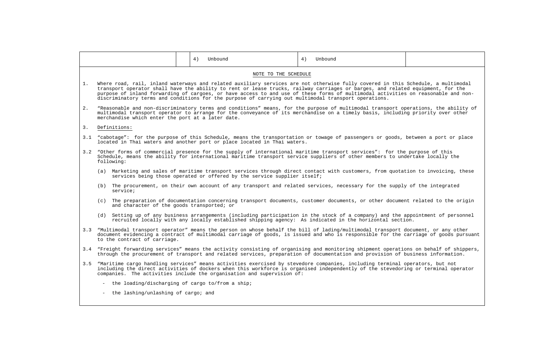|    |                                                                                                                                                                                                                                                                                                                                                                                                                                                                                                                 |  | 4) Unbound                                                               | 4) Unbound                                                                                                                                                                                                                                                                |  |  |  |  |  |  |  |
|----|-----------------------------------------------------------------------------------------------------------------------------------------------------------------------------------------------------------------------------------------------------------------------------------------------------------------------------------------------------------------------------------------------------------------------------------------------------------------------------------------------------------------|--|--------------------------------------------------------------------------|---------------------------------------------------------------------------------------------------------------------------------------------------------------------------------------------------------------------------------------------------------------------------|--|--|--|--|--|--|--|
|    | NOTE TO THE SCHEDULE                                                                                                                                                                                                                                                                                                                                                                                                                                                                                            |  |                                                                          |                                                                                                                                                                                                                                                                           |  |  |  |  |  |  |  |
| 1. | Where road, rail, inland waterways and related auxiliary services are not otherwise fully covered in this Schedule, a multimodal<br>transport operator shall have the ability to rent or lease trucks, railway carriages or barges, and related equipment, for the<br>purpose of inland forwarding of cargoes, or have access to and use of these forms of multimodal activities on reasonable and non-<br>discriminatory terms and conditions for the purpose of carrying out multimodal transport operations. |  |                                                                          |                                                                                                                                                                                                                                                                           |  |  |  |  |  |  |  |
| 2. | "Reasonable and non-discriminatory terms and conditions" means, for the purpose of multimodal transport operations, the ability of<br>multimodal transport operator to arrange for the conveyance of its merchandise on a timely basis, including priority over other<br>merchandise which enter the port at a later date.                                                                                                                                                                                      |  |                                                                          |                                                                                                                                                                                                                                                                           |  |  |  |  |  |  |  |
| 3. | Definitions:                                                                                                                                                                                                                                                                                                                                                                                                                                                                                                    |  |                                                                          |                                                                                                                                                                                                                                                                           |  |  |  |  |  |  |  |
|    |                                                                                                                                                                                                                                                                                                                                                                                                                                                                                                                 |  | located in Thai waters and another port or place located in Thai waters. | 3.1 "cabotage": for the purpose of this Schedule, means the transportation or towage of passengers or goods, between a port or place                                                                                                                                      |  |  |  |  |  |  |  |
|    | 3.2 "Other forms of commercial presence for the supply of international maritime transport services": for the purpose of this<br>Schedule, means the ability for international maritime transport service suppliers of other members to undertake locally the<br>following:                                                                                                                                                                                                                                     |  |                                                                          |                                                                                                                                                                                                                                                                           |  |  |  |  |  |  |  |
|    | (a) Marketing and sales of maritime transport services through direct contact with customers, from quotation to invoicing, these<br>services being those operated or offered by the service supplier itself;                                                                                                                                                                                                                                                                                                    |  |                                                                          |                                                                                                                                                                                                                                                                           |  |  |  |  |  |  |  |
|    | (b) The procurement, on their own account of any transport and related services, necessary for the supply of the integrated<br>service;                                                                                                                                                                                                                                                                                                                                                                         |  |                                                                          |                                                                                                                                                                                                                                                                           |  |  |  |  |  |  |  |
|    | and character of the goods transported; or                                                                                                                                                                                                                                                                                                                                                                                                                                                                      |  |                                                                          | (c) The preparation of documentation concerning transport documents, customer documents, or other document related to the origin                                                                                                                                          |  |  |  |  |  |  |  |
|    |                                                                                                                                                                                                                                                                                                                                                                                                                                                                                                                 |  |                                                                          | (d) Setting up of any business arrangements (including participation in the stock of a company) and the appointment of personnel<br>recruited locally with any locally established shipping agency: As indicated in the horizontal section.                               |  |  |  |  |  |  |  |
|    | 3.3 "Multimodal transport operator" means the person on whose behalf the bill of lading/multimodal transport document, or any other<br>document evidencing a contract of multimodal carriage of goods, is issued and who is responsible for the carriage of goods pursuant<br>to the contract of carriage.                                                                                                                                                                                                      |  |                                                                          |                                                                                                                                                                                                                                                                           |  |  |  |  |  |  |  |
|    |                                                                                                                                                                                                                                                                                                                                                                                                                                                                                                                 |  |                                                                          | 3.4 "Freight forwarding services" means the activity consisting of organising and monitoring shipment operations on behalf of shippers,<br>through the procurement of transport and related services, preparation of documentation and provision of business information. |  |  |  |  |  |  |  |
|    |                                                                                                                                                                                                                                                                                                                                                                                                                                                                                                                 |  | companies. The activities include the organisation and supervision of:   | 3.5 "Maritime cargo handling services" means activities exercised by stevedore companies, including terminal operators, but not<br>including the direct activities of dockers when this workforce is organised independently of the stevedoring or terminal operator      |  |  |  |  |  |  |  |
|    | - the loading/discharging of cargo to/from a ship;                                                                                                                                                                                                                                                                                                                                                                                                                                                              |  |                                                                          |                                                                                                                                                                                                                                                                           |  |  |  |  |  |  |  |
|    | the lashing/unlashing of cargo; and                                                                                                                                                                                                                                                                                                                                                                                                                                                                             |  |                                                                          |                                                                                                                                                                                                                                                                           |  |  |  |  |  |  |  |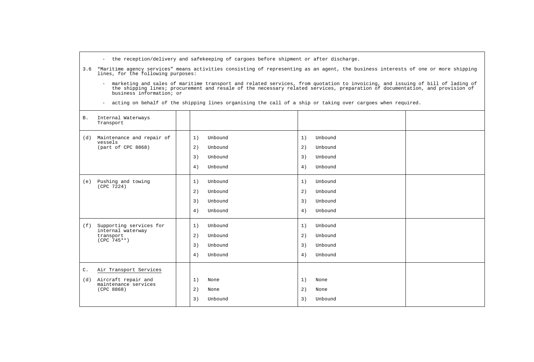- the reception/delivery and safekeeping of cargoes before shipment or after discharge.
- 3.6 "Maritime agency services" means activities consisting of representing as an agent, the business interests of one or more shipping lines, for the following purposes:
- marketing and sales of maritime transport and related services, from quotation to invoicing, and issuing of bill of lading of –<br>the shipping lines; procurement and resale of the necessary related services, preparation of d business information; or
	- acting on behalf of the shipping lines organising the call of a ship or taking over cargoes when required.

| <b>B</b> .            | Internal Waterways<br>Transport                                                     |                                                                  |                      |                                          |  |
|-----------------------|-------------------------------------------------------------------------------------|------------------------------------------------------------------|----------------------|------------------------------------------|--|
| (d)                   | Maintenance and repair of<br>vessels<br>(part of CPC 8868)                          | Unbound<br>1)<br>2)<br>Unbound<br>3)<br>Unbound<br>4)<br>Unbound | 1)<br>2)<br>3)<br>4) | Unbound<br>Unbound<br>Unbound<br>Unbound |  |
| (e)                   | Pushing and towing<br>(CPC 7224)                                                    | 1)<br>Unbound<br>2)<br>Unbound<br>3)<br>Unbound<br>4)<br>Unbound | 1)<br>2)<br>3)<br>4) | Unbound<br>Unbound<br>Unbound<br>Unbound |  |
| (f)                   | Supporting services for<br>internal waterway<br>transport<br>$(CPC 745**)$          | 1)<br>Unbound<br>2)<br>Unbound<br>3)<br>Unbound<br>4)<br>Unbound | 1)<br>2)<br>3)<br>4) | Unbound<br>Unbound<br>Unbound<br>Unbound |  |
| $\mathtt{C}$ .<br>(d) | Air Transport Services<br>Aircraft repair and<br>maintenance services<br>(CPC 8868) | 1)<br>None<br>2)<br>None<br>3)<br>Unbound                        | 1)<br>2)<br>3)       | None<br>None<br>Unbound                  |  |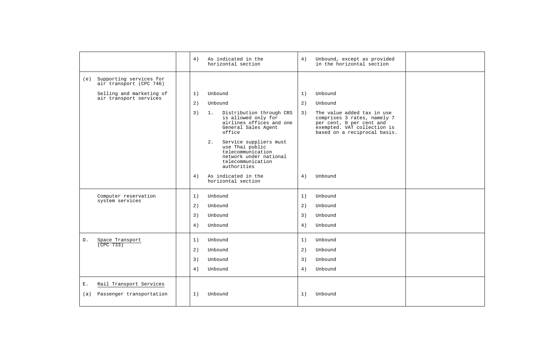|           |                                                     | 4) | As indicated in the<br>horizontal section                                                                                          | 4) | Unbound, except as provided<br>in the horizontal section                                                                                             |  |
|-----------|-----------------------------------------------------|----|------------------------------------------------------------------------------------------------------------------------------------|----|------------------------------------------------------------------------------------------------------------------------------------------------------|--|
| (e)       | Supporting services for<br>air transport (CPC 746)  |    |                                                                                                                                    |    |                                                                                                                                                      |  |
|           | Selling and marketing of                            | 1) | Unbound                                                                                                                            | 1) | Unbound                                                                                                                                              |  |
|           | air transport services                              | 2) | Unbound                                                                                                                            | 2) | Unbound                                                                                                                                              |  |
|           |                                                     | 3) | $1$ .<br>Distribution through CRS<br>is allowed only for<br>airlines offices and one<br>General Sales Agent<br>office              | 3) | The value added tax in use<br>comprises 3 rates, namely 7<br>per cent, 0 per cent and<br>exempted. VAT collection is<br>based on a reciprocal basis. |  |
|           |                                                     |    | 2.<br>Service suppliers must<br>use Thai public<br>telecommunication<br>network under national<br>telecommunication<br>authorities |    |                                                                                                                                                      |  |
|           |                                                     | 4) | As indicated in the<br>horizontal section                                                                                          | 4) | Unbound                                                                                                                                              |  |
|           | Computer reservation                                | 1) | Unbound                                                                                                                            | 1) | Unbound                                                                                                                                              |  |
|           | system services                                     | 2) | Unbound                                                                                                                            | 2) | Unbound                                                                                                                                              |  |
|           |                                                     | 3) | Unbound                                                                                                                            | 3) | Unbound                                                                                                                                              |  |
|           |                                                     | 4) | Unbound                                                                                                                            | 4) | Unbound                                                                                                                                              |  |
| D.        | Space Transport<br>$($ CPC 733)                     | 1) | Unbound                                                                                                                            | 1) | Unbound                                                                                                                                              |  |
|           |                                                     | 2) | Unbound                                                                                                                            | 2) | Unbound                                                                                                                                              |  |
|           |                                                     | 3) | Unbound                                                                                                                            | 3) | Unbound                                                                                                                                              |  |
|           |                                                     | 4) | Unbound                                                                                                                            | 4) | Unbound                                                                                                                                              |  |
| Ε.<br>(a) | Rail Transport Services<br>Passenger transportation | 1) | Unbound                                                                                                                            | 1) | Unbound                                                                                                                                              |  |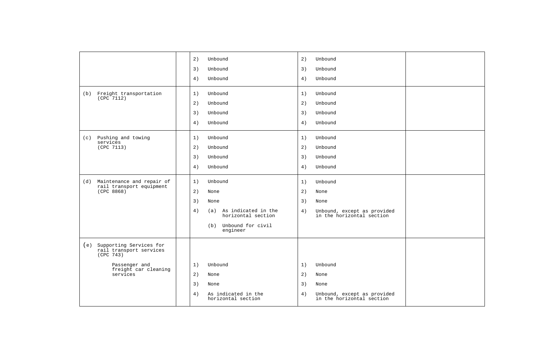|                                                                     | 2) | Unbound                                       | 2) | Unbound                                                  |  |
|---------------------------------------------------------------------|----|-----------------------------------------------|----|----------------------------------------------------------|--|
|                                                                     | 3) | Unbound                                       | 3) | Unbound                                                  |  |
|                                                                     | 4) | Unbound                                       | 4) | Unbound                                                  |  |
| Freight transportation<br>(b)<br>(CPC 7112)                         | 1) | Unbound                                       | 1) | Unbound                                                  |  |
|                                                                     | 2) | Unbound                                       | 2) | Unbound                                                  |  |
|                                                                     | 3) | Unbound                                       | 3) | Unbound                                                  |  |
|                                                                     | 4) | Unbound                                       | 4) | Unbound                                                  |  |
| (c) Pushing and towing                                              | 1) | Unbound                                       | 1) | Unbound                                                  |  |
| services<br>(CPC 7113)                                              | 2) | Unbound                                       | 2) | Unbound                                                  |  |
|                                                                     | 3) | Unbound                                       | 3) | Unbound                                                  |  |
|                                                                     | 4) | Unbound                                       | 4) | Unbound                                                  |  |
|                                                                     |    |                                               |    |                                                          |  |
| (d) Maintenance and repair of<br>rail transport equipment           | 1) | Unbound                                       | 1) | Unbound                                                  |  |
| (CPC 8868)                                                          | 2) | None                                          | 2) | None                                                     |  |
|                                                                     | 3) | None                                          | 3) | None                                                     |  |
|                                                                     | 4) | (a) As indicated in the<br>horizontal section | 4) | Unbound, except as provided<br>in the horizontal section |  |
|                                                                     |    | (b) Unbound for civil<br>engineer             |    |                                                          |  |
| (e) Supporting Services for<br>rail transport services<br>(CPC 743) |    |                                               |    |                                                          |  |
| Passenger and                                                       | 1) | Unbound                                       | 1) | Unbound                                                  |  |
| freight car cleaning<br>services                                    | 2) | None                                          | 2) | None                                                     |  |
|                                                                     | 3) | None                                          | 3) | None                                                     |  |
|                                                                     | 4) | As indicated in the<br>horizontal section     | 4) | Unbound, except as provided<br>in the horizontal section |  |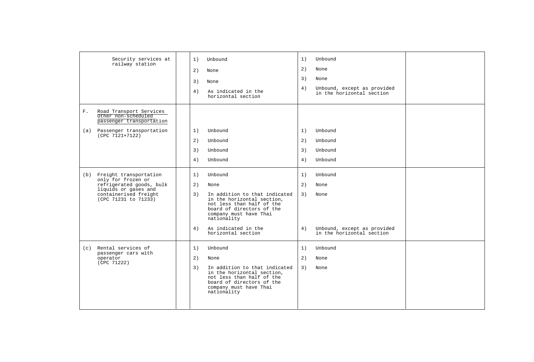|    | Security services at<br>railway station                                    | 1) | Unbound                                                                                                                                                        | 1) | Unbound                                                  |  |
|----|----------------------------------------------------------------------------|----|----------------------------------------------------------------------------------------------------------------------------------------------------------------|----|----------------------------------------------------------|--|
|    |                                                                            | 2) | None                                                                                                                                                           | 2) | None                                                     |  |
|    |                                                                            | 3) | None                                                                                                                                                           | 3) | None                                                     |  |
|    |                                                                            | 4) | As indicated in the<br>horizontal section                                                                                                                      | 4) | Unbound, except as provided<br>in the horizontal section |  |
| F. | Road Transport Services<br>Other non-scheduled<br>passenger transportation |    |                                                                                                                                                                |    |                                                          |  |
|    | (a) Passenger transportation                                               | 1) | Unbound                                                                                                                                                        | 1) | Unbound                                                  |  |
|    | (CPC 7121+7122)                                                            | 2) | Unbound                                                                                                                                                        | 2) | Unbound                                                  |  |
|    |                                                                            | 3) | Unbound                                                                                                                                                        | 3) | Unbound                                                  |  |
|    |                                                                            | 4) | Unbound                                                                                                                                                        | 4) | Unbound                                                  |  |
|    | (b) Freight transportation<br>only for frozen or                           | 1) | Unbound                                                                                                                                                        | 1) | Unbound                                                  |  |
|    | refrigerated goods, bulk<br>liquids or gases and                           | 2) | None                                                                                                                                                           | 2) | None                                                     |  |
|    | containerised freight<br>(CPC 71231 to 71233)                              | 3) | In addition to that indicated<br>in the horizontal section.<br>not less than half of the<br>board of directors of the<br>company must have Thai<br>nationality | 3) | None                                                     |  |
|    |                                                                            | 4) | As indicated in the<br>horizontal section                                                                                                                      | 4) | Unbound, except as provided<br>in the horizontal section |  |
|    | (c) Rental services of                                                     | 1) | Unbound                                                                                                                                                        | 1) | Unbound                                                  |  |
|    | passenger cars with<br>operator                                            | 2) | None                                                                                                                                                           | 2) | None                                                     |  |
|    | (CPC 71222)                                                                | 3) | In addition to that indicated<br>in the horizontal section,<br>not less than half of the<br>board of directors of the<br>company must have Thai<br>nationality | 3) | None                                                     |  |
|    |                                                                            |    |                                                                                                                                                                |    |                                                          |  |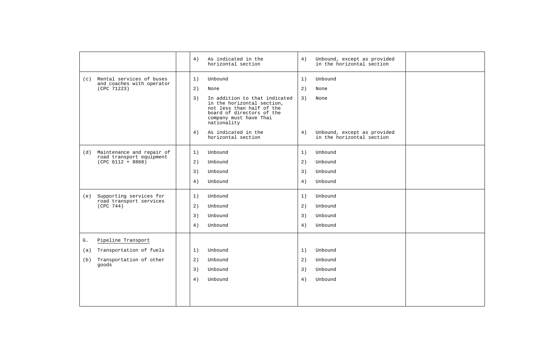|     |                                                           | 4) | As indicated in the<br>horizontal section                                                                                                                      | 4) | Unbound, except as provided<br>in the horizontal section |  |
|-----|-----------------------------------------------------------|----|----------------------------------------------------------------------------------------------------------------------------------------------------------------|----|----------------------------------------------------------|--|
|     | (c) Rental services of buses<br>and coaches with operator | 1) | Unbound                                                                                                                                                        | 1) | Unbound                                                  |  |
|     | (CPC 71223)                                               | 2) | None                                                                                                                                                           | 2) | None                                                     |  |
|     |                                                           | 3) | In addition to that indicated<br>in the horizontal section,<br>not less than half of the<br>board of directors of the<br>company must have Thai<br>nationality | 3) | None                                                     |  |
|     |                                                           | 4) | As indicated in the<br>horizontal section                                                                                                                      | 4) | Unbound, except as provided<br>in the horizontal section |  |
|     | (d) Maintenance and repair of                             | 1) | Unbound                                                                                                                                                        | 1) | Unbound                                                  |  |
|     | road transport equipment<br>$(CPC 6112 + 8868)$           | 2) | Unbound                                                                                                                                                        | 2) | Unbound                                                  |  |
|     |                                                           | 3) | Unbound                                                                                                                                                        | 3) | Unbound                                                  |  |
|     |                                                           | 4) | Unbound                                                                                                                                                        | 4) | Unbound                                                  |  |
| (e) | Supporting services for<br>road transport services        | 1) | Unbound                                                                                                                                                        | 1) | Unbound                                                  |  |
|     | (CPC 744)                                                 | 2) | Unbound                                                                                                                                                        | 2) | Unbound                                                  |  |
|     |                                                           | 3) | Unbound                                                                                                                                                        | 3) | Unbound                                                  |  |
|     |                                                           | 4) | Unbound                                                                                                                                                        | 4) | Unbound                                                  |  |
| G.  | Pipeline Transport                                        |    |                                                                                                                                                                |    |                                                          |  |
| (a) | Transportation of fuels                                   | 1) | Unbound                                                                                                                                                        | 1) | Unbound                                                  |  |
| (b) | Transportation of other<br>qoods                          | 2) | Unbound                                                                                                                                                        | 2) | Unbound                                                  |  |
|     |                                                           | 3) | Unbound                                                                                                                                                        | 3) | Unbound                                                  |  |
|     |                                                           | 4) | Unbound                                                                                                                                                        | 4) | Unbound                                                  |  |
|     |                                                           |    |                                                                                                                                                                |    |                                                          |  |
|     |                                                           |    |                                                                                                                                                                |    |                                                          |  |
|     |                                                           |    |                                                                                                                                                                |    |                                                          |  |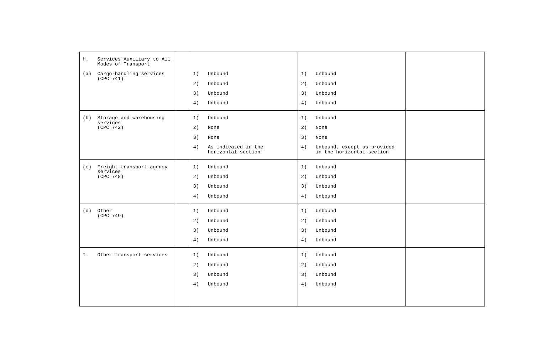| H. | Services Auxiliary to All<br>Modes of Transport |                                                 |    |                                                          |  |
|----|-------------------------------------------------|-------------------------------------------------|----|----------------------------------------------------------|--|
|    | (a) Cargo-handling services<br>(CPC 741)        | 1)<br>Unbound                                   | 1) | Unbound                                                  |  |
|    |                                                 | 2)<br>Unbound                                   | 2) | Unbound                                                  |  |
|    |                                                 | 3)<br>Unbound                                   | 3) | Unbound                                                  |  |
|    |                                                 | 4)<br>Unbound                                   | 4) | Unbound                                                  |  |
|    | (b) Storage and warehousing<br>services         | 1)<br>Unbound                                   | 1) | Unbound                                                  |  |
|    | (CPC 742)                                       | 2)<br>None                                      | 2) | None                                                     |  |
|    |                                                 | 3)<br>None                                      | 3) | None                                                     |  |
|    |                                                 | As indicated in the<br>4)<br>horizontal section | 4) | Unbound, except as provided<br>in the horizontal section |  |
|    | (c) Freight transport agency                    | 1)<br>Unbound                                   | 1) | Unbound                                                  |  |
|    | services<br>(CPC 748)                           | 2)<br>Unbound                                   | 2) | Unbound                                                  |  |
|    |                                                 | 3)<br>Unbound                                   | 3) | Unbound                                                  |  |
|    |                                                 | 4)<br>Unbound                                   | 4) | Unbound                                                  |  |
|    | (d) Other<br>(CPC 749)                          | 1)<br>Unbound                                   | 1) | Unbound                                                  |  |
|    |                                                 | 2)<br>Unbound                                   | 2) | Unbound                                                  |  |
|    |                                                 | 3)<br>Unbound                                   | 3) | Unbound                                                  |  |
|    |                                                 | Unbound<br>4)                                   | 4) | Unbound                                                  |  |
| Ι. | Other transport services                        | 1)<br>Unbound                                   | 1) | Unbound                                                  |  |
|    |                                                 | Unbound<br>2)                                   | 2) | Unbound                                                  |  |
|    |                                                 | 3)<br>Unbound                                   | 3) | Unbound                                                  |  |
|    |                                                 | 4)<br>Unbound                                   | 4) | Unbound                                                  |  |
|    |                                                 |                                                 |    |                                                          |  |
|    |                                                 |                                                 |    |                                                          |  |